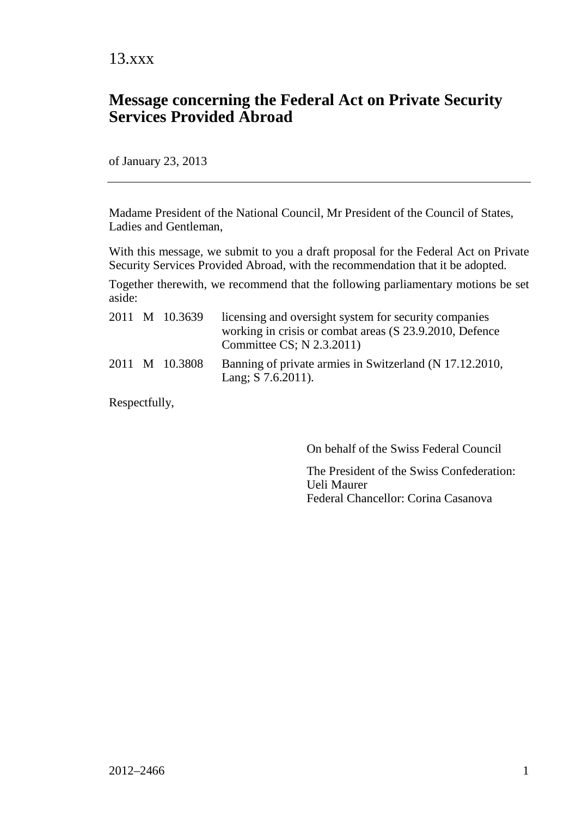#### **Message concerning the Federal Act on Private Security Services Provided Abroad**

of January 23, 2013

Madame President of the National Council, Mr President of the Council of States, Ladies and Gentleman,

With this message, we submit to you a draft proposal for the Federal Act on Private Security Services Provided Abroad, with the recommendation that it be adopted.

Together therewith, we recommend that the following parliamentary motions be set aside:

|  | 2011 M 10.3639 | licensing and oversight system for security companies<br>working in crisis or combat areas (S 23.9.2010, Defence<br>Committee CS; N 2.3.2011) |
|--|----------------|-----------------------------------------------------------------------------------------------------------------------------------------------|
|  | 2011 M 10.3808 | Banning of private armies in Switzerland (N 17.12.2010,<br>Lang: $S$ 7.6.2011).                                                               |

Respectfully,

On behalf of the Swiss Federal Council

The President of the Swiss Confederation: Ueli Maurer Federal Chancellor: Corina Casanova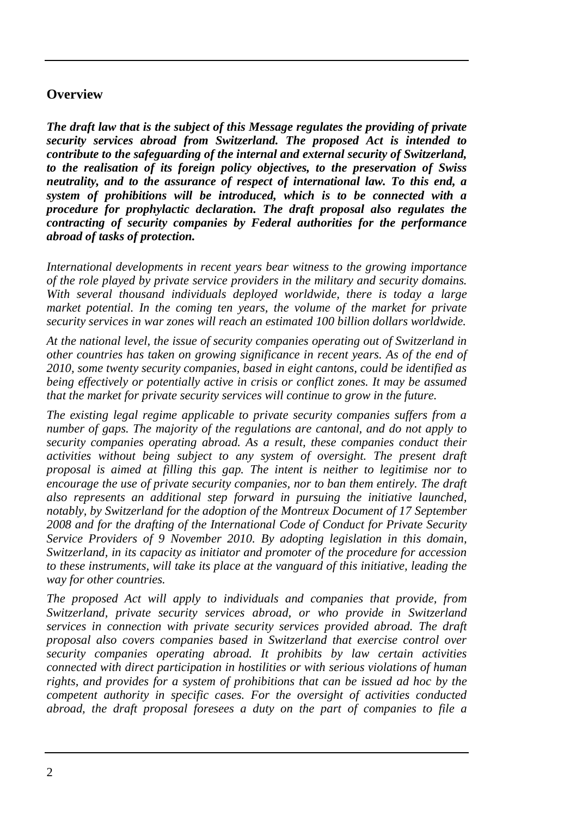#### <span id="page-1-0"></span>**Overview**

*The draft law that is the subject of this Message regulates the providing of private security services abroad from Switzerland. The proposed Act is intended to contribute to the safeguarding of the internal and external security of Switzerland, to the realisation of its foreign policy objectives, to the preservation of Swiss neutrality, and to the assurance of respect of international law. To this end, a system of prohibitions will be introduced, which is to be connected with a procedure for prophylactic declaration. The draft proposal also regulates the contracting of security companies by Federal authorities for the performance abroad of tasks of protection.*

*International developments in recent years bear witness to the growing importance of the role played by private service providers in the military and security domains. With several thousand individuals deployed worldwide, there is today a large market potential. In the coming ten years, the volume of the market for private security services in war zones will reach an estimated 100 billion dollars worldwide.*

*At the national level, the issue of security companies operating out of Switzerland in other countries has taken on growing significance in recent years. As of the end of 2010, some twenty security companies, based in eight cantons, could be identified as being effectively or potentially active in crisis or conflict zones. It may be assumed that the market for private security services will continue to grow in the future.*

*The existing legal regime applicable to private security companies suffers from a number of gaps. The majority of the regulations are cantonal, and do not apply to security companies operating abroad. As a result, these companies conduct their activities without being subject to any system of oversight. The present draft proposal is aimed at filling this gap. The intent is neither to legitimise nor to*  encourage the use of private security companies, nor to ban them entirely. The draft *also represents an additional step forward in pursuing the initiative launched, notably, by Switzerland for the adoption of the Montreux Document of 17 September 2008 and for the drafting of the International Code of Conduct for Private Security Service Providers of 9 November 2010. By adopting legislation in this domain, Switzerland, in its capacity as initiator and promoter of the procedure for accession to these instruments, will take its place at the vanguard of this initiative, leading the way for other countries.*

*The proposed Act will apply to individuals and companies that provide, from Switzerland, private security services abroad, or who provide in Switzerland services in connection with private security services provided abroad. The draft proposal also covers companies based in Switzerland that exercise control over security companies operating abroad. It prohibits by law certain activities connected with direct participation in hostilities or with serious violations of human rights, and provides for a system of prohibitions that can be issued ad hoc by the competent authority in specific cases. For the oversight of activities conducted abroad, the draft proposal foresees a duty on the part of companies to file a*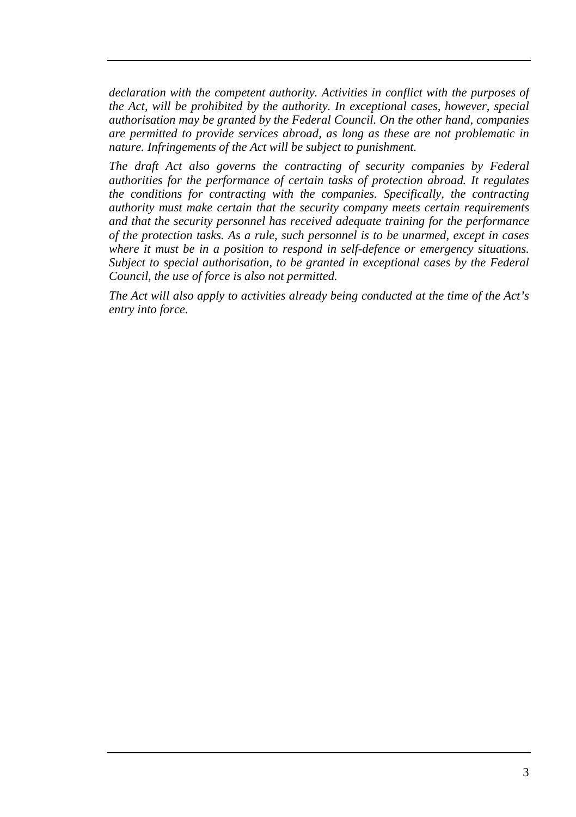*declaration with the competent authority. Activities in conflict with the purposes of the Act, will be prohibited by the authority. In exceptional cases, however, special authorisation may be granted by the Federal Council. On the other hand, companies are permitted to provide services abroad, as long as these are not problematic in nature. Infringements of the Act will be subject to punishment.*

*The draft Act also governs the contracting of security companies by Federal authorities for the performance of certain tasks of protection abroad. It regulates the conditions for contracting with the companies. Specifically, the contracting authority must make certain that the security company meets certain requirements and that the security personnel has received adequate training for the performance of the protection tasks. As a rule, such personnel is to be unarmed, except in cases where it must be in a position to respond in self-defence or emergency situations. Subject to special authorisation, to be granted in exceptional cases by the Federal Council, the use of force is also not permitted.*

*The Act will also apply to activities already being conducted at the time of the Act's entry into force.*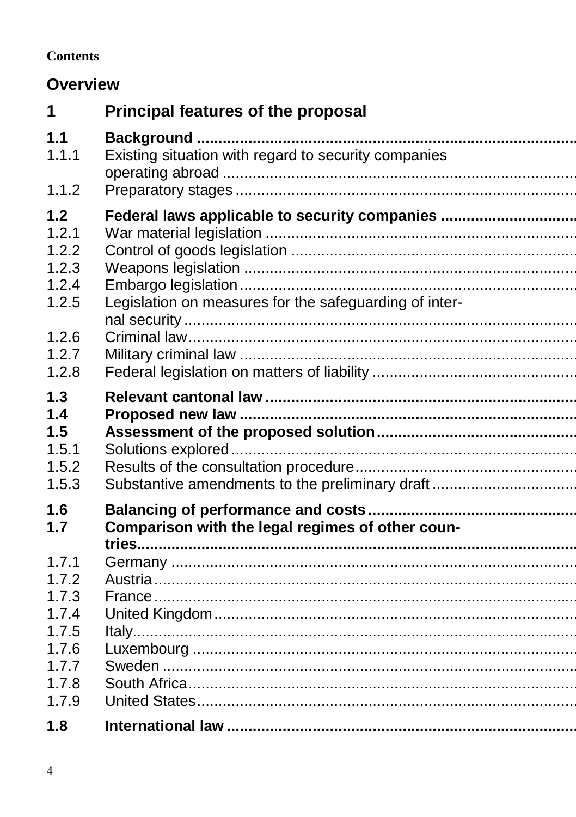#### **Contents**

## **Overview**

| 1                                                                             | <b>Principal features of the proposal</b>                                                               |
|-------------------------------------------------------------------------------|---------------------------------------------------------------------------------------------------------|
| 1.1<br>1.1.1                                                                  | Existing situation with regard to security companies                                                    |
| 1.1.2                                                                         |                                                                                                         |
| 1.2<br>1.2.1<br>1.2.2<br>1.2.3<br>1.2.4<br>1.2.5<br>1.2.6<br>1.2.7<br>1.2.8   | Federal laws applicable to security companies<br>Legislation on measures for the safeguarding of inter- |
| 1.3<br>1.4<br>1.5<br>1.5.1<br>1.5.2<br>1.5.3                                  | Substantive amendments to the preliminary draft                                                         |
| 1.6<br>1.7                                                                    | Comparison with the legal regimes of other coun-                                                        |
| 1.7.1<br>1.7.2<br>1.7.3<br>1.7.4<br>1.7.5<br>1.7.6<br>1.7.7<br>1.7.8<br>1.7.9 |                                                                                                         |
| 1.8                                                                           |                                                                                                         |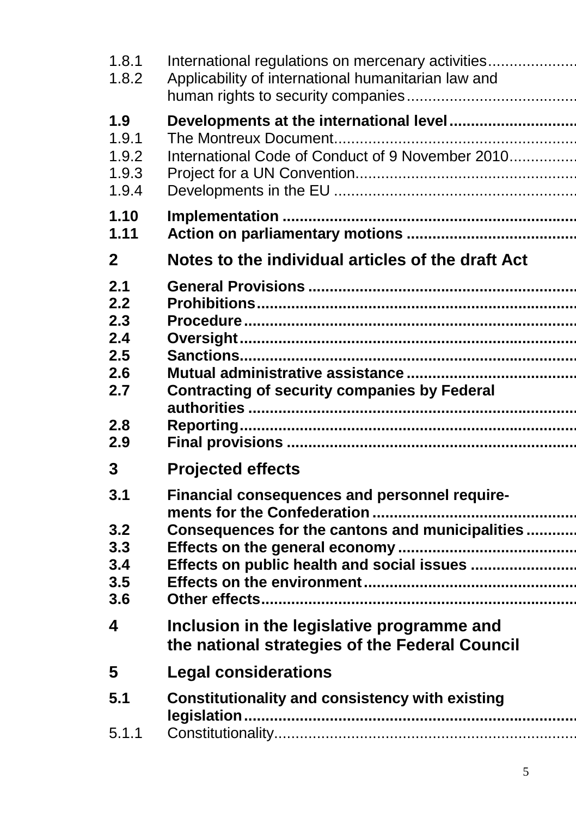| 1.8.1<br>1.8.2 | International regulations on mercenary activities<br>Applicability of international humanitarian law and |
|----------------|----------------------------------------------------------------------------------------------------------|
| 1.9            |                                                                                                          |
| 1.9.1          |                                                                                                          |
| 1.9.2          | International Code of Conduct of 9 November 2010                                                         |
| 1.9.3<br>1.9.4 |                                                                                                          |
| 1.10           |                                                                                                          |
| 1.11           |                                                                                                          |
| $\mathbf{2}$   | Notes to the individual articles of the draft Act                                                        |
| 2.1            |                                                                                                          |
| 2.2<br>2.3     |                                                                                                          |
| 2.4            |                                                                                                          |
| 2.5            |                                                                                                          |
| 2.6            |                                                                                                          |
| 2.7            | <b>Contracting of security companies by Federal</b>                                                      |
| 2.8            |                                                                                                          |
| 2.9            |                                                                                                          |
| 3              | <b>Projected effects</b>                                                                                 |
| 3.1            | Financial consequences and personnel require-                                                            |
| 3.2            | Consequences for the cantons and municipalities                                                          |
| 3.3            |                                                                                                          |
| 3.4            | Effects on public health and social issues                                                               |
| 3.5<br>3.6     |                                                                                                          |
|                |                                                                                                          |
| 4              | Inclusion in the legislative programme and<br>the national strategies of the Federal Council             |
| 5              | <b>Legal considerations</b>                                                                              |
| 5.1            | Constitutionality and consistency with existing                                                          |
| 5.1.1          |                                                                                                          |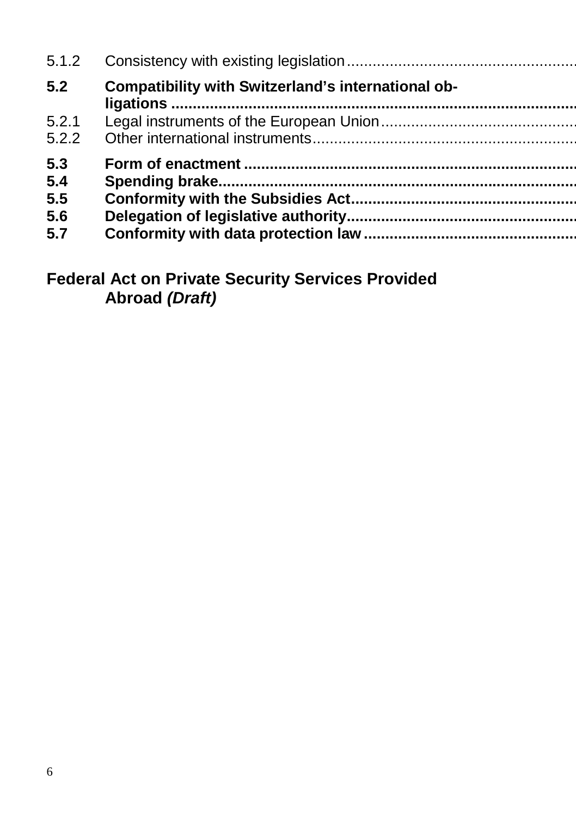| 5.1.2          |                                                    |
|----------------|----------------------------------------------------|
| 5.2            | Compatibility with Switzerland's international ob- |
| 5.2.1<br>5.2.2 |                                                    |
| 5.3<br>5.4     |                                                    |
| 5.5            |                                                    |
| 5.6            |                                                    |
| 5.7            |                                                    |

### **Federal Act on Private Security Services Provided Abroad** *(Draft)*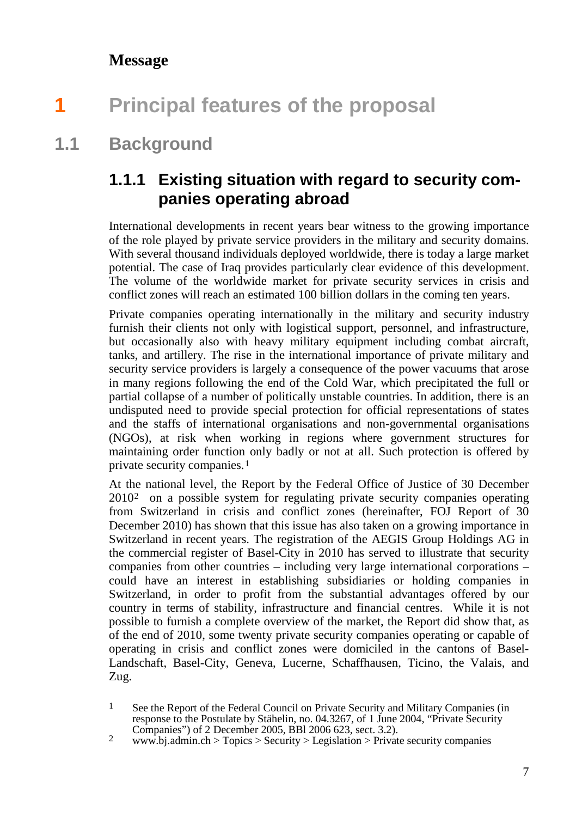#### <span id="page-6-0"></span>**Message**

# **1 Principal features of the proposal**

### **1.1 Background**

### <span id="page-6-2"></span><span id="page-6-1"></span>**1.1.1 Existing situation with regard to security companies operating abroad**

International developments in recent years bear witness to the growing importance of the role played by private service providers in the military and security domains. With several thousand individuals deployed worldwide, there is today a large market potential. The case of Iraq provides particularly clear evidence of this development. The volume of the worldwide market for private security services in crisis and conflict zones will reach an estimated 100 billion dollars in the coming ten years.

Private companies operating internationally in the military and security industry furnish their clients not only with logistical support, personnel, and infrastructure, but occasionally also with heavy military equipment including combat aircraft, tanks, and artillery. The rise in the international importance of private military and security service providers is largely a consequence of the power vacuums that arose in many regions following the end of the Cold War, which precipitated the full or partial collapse of a number of politically unstable countries. In addition, there is an undisputed need to provide special protection for official representations of states and the staffs of international organisations and non-governmental organisations (NGOs), at risk when working in regions where government structures for maintaining order function only badly or not at all. Such protection is offered by private security companies.[1](#page-6-3)

At the national level, the Report by the Federal Office of Justice of 30 December 2010[2](#page-6-4) on a possible system for regulating private security companies operating from Switzerland in crisis and conflict zones (hereinafter, FOJ Report of 30 December 2010) has shown that this issue has also taken on a growing importance in Switzerland in recent years. The registration of the AEGIS Group Holdings AG in the commercial register of Basel-City in 2010 has served to illustrate that security companies from other countries – including very large international corporations – could have an interest in establishing subsidiaries or holding companies in Switzerland, in order to profit from the substantial advantages offered by our country in terms of stability, infrastructure and financial centres. While it is not possible to furnish a complete overview of the market, the Report did show that, as of the end of 2010, some twenty private security companies operating or capable of operating in crisis and conflict zones were domiciled in the cantons of Basel-Landschaft, Basel-City, Geneva, Lucerne, Schaffhausen, Ticino, the Valais, and Zug.

<span id="page-6-3"></span><sup>&</sup>lt;sup>1</sup> See the Report of the Federal Council on Private Security and Military Companies (in response to the Postulate by Stähelin, no. 04.3267, of 1 June 2004, "Private Security" Companies") of 2 December 2005, BBl 2006 623, sect. 3.2).

<span id="page-6-4"></span><sup>&</sup>lt;sup>2</sup> www.bj.admin.ch > Topics > Security > Legislation > Private security companies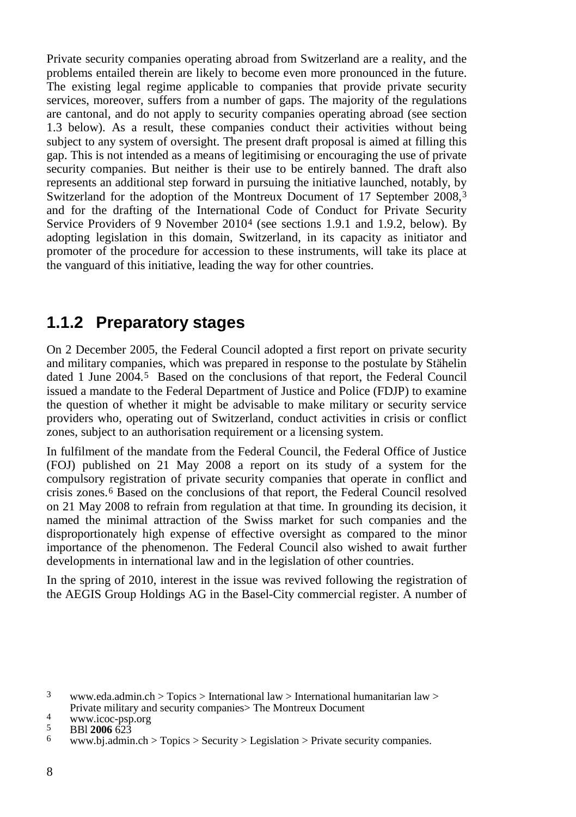Private security companies operating abroad from Switzerland are a reality, and the problems entailed therein are likely to become even more pronounced in the future. The existing legal regime applicable to companies that provide private security services, moreover, suffers from a number of gaps. The majority of the regulations are cantonal, and do not apply to security companies operating abroad (see section 1.3 below). As a result, these companies conduct their activities without being subject to any system of oversight. The present draft proposal is aimed at filling this gap. This is not intended as a means of legitimising or encouraging the use of private security companies. But neither is their use to be entirely banned. The draft also represents an additional step forward in pursuing the initiative launched, notably, by Switzerland for the adoption of the Montreux Document of 17 September 2008,<sup>[3](#page-7-1)</sup> and for the drafting of the International Code of Conduct for Private Security Service Providers of 9 November 2010[4](#page-7-2) (see sections 1.9.1 and 1.9.2, below). By adopting legislation in this domain, Switzerland, in its capacity as initiator and promoter of the procedure for accession to these instruments, will take its place at the vanguard of this initiative, leading the way for other countries.

#### <span id="page-7-0"></span>**1.1.2 Preparatory stages**

On 2 December 2005, the Federal Council adopted a first report on private security and military companies, which was prepared in response to the postulate by Stähelin dated 1 June 2004.[5](#page-7-3) Based on the conclusions of that report, the Federal Council issued a mandate to the Federal Department of Justice and Police (FDJP) to examine the question of whether it might be advisable to make military or security service providers who, operating out of Switzerland, conduct activities in crisis or conflict zones, subject to an authorisation requirement or a licensing system.

In fulfilment of the mandate from the Federal Council, the Federal Office of Justice (FOJ) published on 21 May 2008 a report on its study of a system for the compulsory registration of private security companies that operate in conflict and crisis zones. [6](#page-7-4) Based on the conclusions of that report, the Federal Council resolved on 21 May 2008 to refrain from regulation at that time. In grounding its decision, it named the minimal attraction of the Swiss market for such companies and the disproportionately high expense of effective oversight as compared to the minor importance of the phenomenon. The Federal Council also wished to await further developments in international law and in the legislation of other countries.

In the spring of 2010, interest in the issue was revived following the registration of the AEGIS Group Holdings AG in the Basel-City commercial register. A number of

<span id="page-7-1"></span><sup>&</sup>lt;sup>3</sup> www.eda.admin.ch > [Topics](http://www.eda.admin.ch/eda/de/home/topics.html) > [International law](http://www.eda.admin.ch/eda/de/home/topics/intla.html) [> International humanitarian law](http://www.eda.admin.ch/eda/de/home/topics/intla/humlaw.html) > Private military and security companies > The Montreux Document

<span id="page-7-4"></span><span id="page-7-3"></span>

<span id="page-7-2"></span>Private military and security companies<br>
A www.icoc-psp.org<br>
5 BBl **2006** 623<br>
6 www.bj.admin.ch [> Topics](http://www.bj.admin.ch/content/bj/de/home/themen.html) [> Security](http://www.bj.admin.ch/content/bj/de/home/themen/sicherheit.html) > Legislation > Private security companies.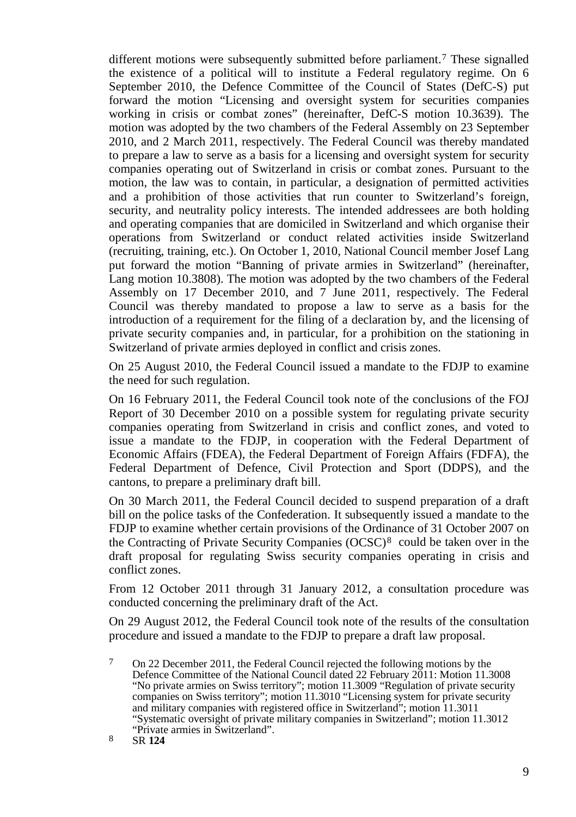different motions were subsequently submitted before parliament.<sup>[7](#page-8-0)</sup> These signalled the existence of a political will to institute a Federal regulatory regime. On 6 September 2010, the Defence Committee of the Council of States (DefC-S) put forward the motion "Licensing and oversight system for securities companies working in crisis or combat zones" (hereinafter, DefC-S motion 10.3639). The motion was adopted by the two chambers of the Federal Assembly on 23 September 2010, and 2 March 2011, respectively. The Federal Council was thereby mandated to prepare a law to serve as a basis for a licensing and oversight system for security companies operating out of Switzerland in crisis or combat zones. Pursuant to the motion, the law was to contain, in particular, a designation of permitted activities and a prohibition of those activities that run counter to Switzerland's foreign, security, and neutrality policy interests. The intended addressees are both holding and operating companies that are domiciled in Switzerland and which organise their operations from Switzerland or conduct related activities inside Switzerland (recruiting, training, etc.). On October 1, 2010, National Council member Josef Lang put forward the motion "Banning of private armies in Switzerland" (hereinafter, Lang motion 10.3808). The motion was adopted by the two chambers of the Federal Assembly on 17 December 2010, and 7 June 2011, respectively. The Federal Council was thereby mandated to propose a law to serve as a basis for the introduction of a requirement for the filing of a declaration by, and the licensing of private security companies and, in particular, for a prohibition on the stationing in Switzerland of private armies deployed in conflict and crisis zones.

On 25 August 2010, the Federal Council issued a mandate to the FDJP to examine the need for such regulation.

On 16 February 2011, the Federal Council took note of the conclusions of the FOJ Report of 30 December 2010 on a possible system for regulating private security companies operating from Switzerland in crisis and conflict zones, and voted to issue a mandate to the FDJP, in cooperation with the Federal Department of Economic Affairs (FDEA), the Federal Department of Foreign Affairs (FDFA), the Federal Department of Defence, Civil Protection and Sport (DDPS), and the cantons, to prepare a preliminary draft bill.

On 30 March 2011, the Federal Council decided to suspend preparation of a draft bill on the police tasks of the Confederation. It subsequently issued a mandate to the FDJP to examine whether certain provisions of the Ordinance of 31 October 2007 on the Contracting of Private Security Companies (OCSC)[8](#page-8-1) could be taken over in the draft proposal for regulating Swiss security companies operating in crisis and conflict zones.

From 12 October 2011 through 31 January 2012, a consultation procedure was conducted concerning the preliminary draft of the Act.

On 29 August 2012, the Federal Council took note of the results of the consultation procedure and issued a mandate to the FDJP to prepare a draft law proposal.

<span id="page-8-1"></span>

<span id="page-8-0"></span><sup>7</sup> On 22 December 2011, the Federal Council rejected the following motions by the Defence Committee of the National Council dated 22 February 2011: Motion 11.3008 "No private armies on Swiss territory"; motion 11.3009 "Regulation of private security companies on Swiss territory"; motion 11.3010 "Licensing system for private security and military companies with registered office in Switzerland"; motion 11.3011 "Systematic oversight of private military companies in Switzerland"; motion 11.3012 "Private armies in Switzerland". <sup>8</sup> SR **<sup>124</sup>**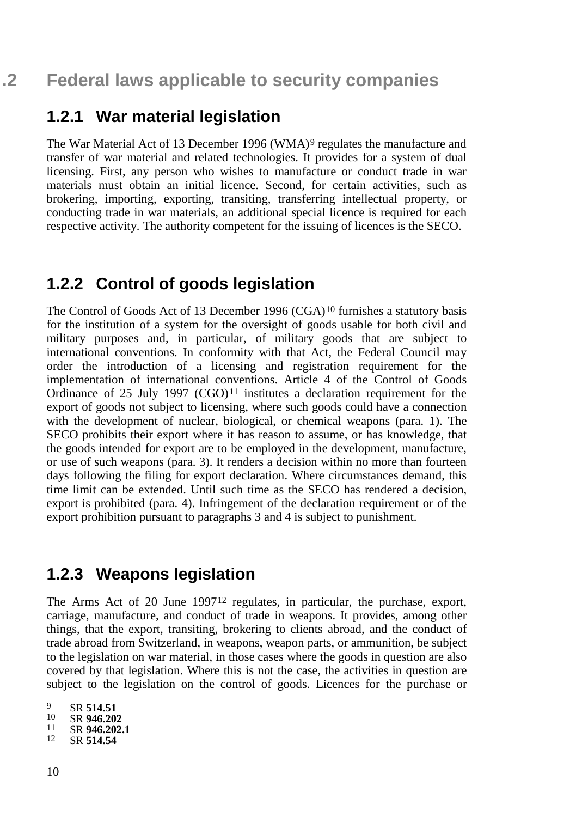#### <span id="page-9-1"></span><span id="page-9-0"></span>**1.2.1 War material legislation**

The War Material Act of 13 December 1[9](#page-9-4)96 (WMA)<sup>9</sup> regulates the manufacture and transfer of war material and related technologies. It provides for a system of dual licensing. First, any person who wishes to manufacture or conduct trade in war materials must obtain an initial licence. Second, for certain activities, such as brokering, importing, exporting, transiting, transferring intellectual property, or conducting trade in war materials, an additional special licence is required for each respective activity. The authority competent for the issuing of licences is the SECO.

#### <span id="page-9-2"></span>**1.2.2 Control of goods legislation**

The Control of Goods Act of 13 December 1996  $(CGA)^{10}$  $(CGA)^{10}$  $(CGA)^{10}$  furnishes a statutory basis for the institution of a system for the oversight of goods usable for both civil and military purposes and, in particular, of military goods that are subject to international conventions. In conformity with that Act, the Federal Council may order the introduction of a licensing and registration requirement for the implementation of international conventions. Article 4 of the Control of Goods Ordinance of 25 July 1997 (CGO)[11](#page-9-6) institutes a declaration requirement for the export of goods not subject to licensing, where such goods could have a connection with the development of nuclear, biological, or chemical weapons (para. 1). The SECO prohibits their export where it has reason to assume, or has knowledge, that the goods intended for export are to be employed in the development, manufacture, or use of such weapons (para. 3). It renders a decision within no more than fourteen days following the filing for export declaration. Where circumstances demand, this time limit can be extended. Until such time as the SECO has rendered a decision, export is prohibited (para. 4). Infringement of the declaration requirement or of the export prohibition pursuant to paragraphs 3 and 4 is subject to punishment.

#### <span id="page-9-3"></span>**1.2.3 Weapons legislation**

The Arms Act of 20 June 1997<sup>[12](#page-9-7)</sup> regulates, in particular, the purchase, export, carriage, manufacture, and conduct of trade in weapons. It provides, among other things, that the export, transiting, brokering to clients abroad, and the conduct of trade abroad from Switzerland, in weapons, weapon parts, or ammunition, be subject to the legislation on war material, in those cases where the goods in question are also covered by that legislation. Where this is not the case, the activities in question are subject to the legislation on the control of goods. Licences for the purchase or

<span id="page-9-7"></span><span id="page-9-6"></span><span id="page-9-5"></span><span id="page-9-4"></span><sup>9</sup> SR **514.51**<br><sup>10</sup> SR **946.202** <sup>10</sup> SR **946.202** <sup>11</sup> SR **946.202.1** <sup>12</sup> SR **514.54**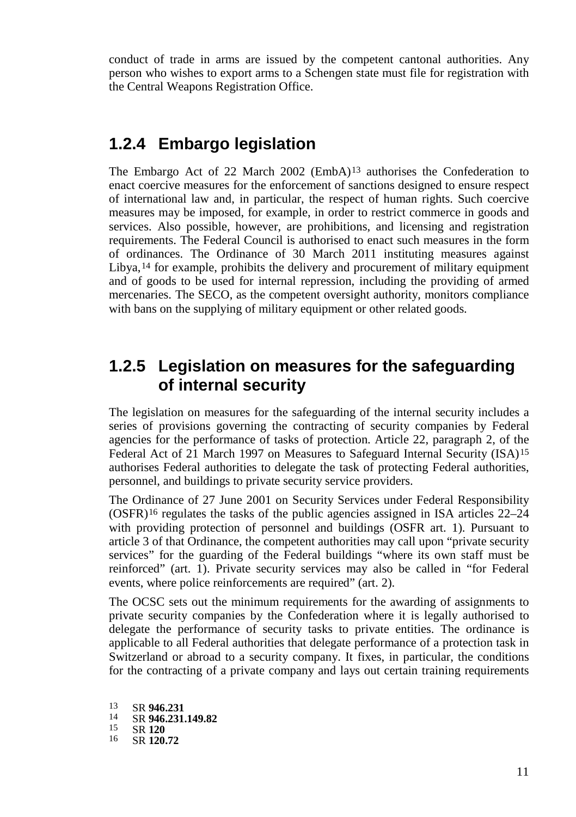conduct of trade in arms are issued by the competent cantonal authorities. Any person who wishes to export arms to a Schengen state must file for registration with the Central Weapons Registration Office.

#### <span id="page-10-0"></span>**1.2.4 Embargo legislation**

The Embargo Act of 22 March 2002 (EmbA)[13](#page-10-2) authorises the Confederation to enact coercive measures for the enforcement of sanctions designed to ensure respect of international law and, in particular, the respect of human rights. Such coercive measures may be imposed, for example, in order to restrict commerce in goods and services. Also possible, however, are prohibitions, and licensing and registration requirements. The Federal Council is authorised to enact such measures in the form of ordinances. The Ordinance of 30 March 2011 instituting measures against Libya,<sup>[14](#page-10-3)</sup> for example, prohibits the delivery and procurement of military equipment and of goods to be used for internal repression, including the providing of armed mercenaries. The SECO, as the competent oversight authority, monitors compliance with bans on the supplying of military equipment or other related goods.

#### <span id="page-10-1"></span>**1.2.5 Legislation on measures for the safeguarding of internal security**

The legislation on measures for the safeguarding of the internal security includes a series of provisions governing the contracting of security companies by Federal agencies for the performance of tasks of protection. Article 22, paragraph 2, of the Federal Act of 21 March 1997 on Measures to Safeguard Internal Security (ISA)[15](#page-10-4) authorises Federal authorities to delegate the task of protecting Federal authorities, personnel, and buildings to private security service providers.

The Ordinance of 27 June 2001 on Security Services under Federal Responsibility  $(OSFR)^{16}$  $(OSFR)^{16}$  $(OSFR)^{16}$  regulates the tasks of the public agencies assigned in ISA articles 22–24 with providing protection of personnel and buildings (OSFR art. 1). Pursuant to article 3 of that Ordinance, the competent authorities may call upon "private security services" for the guarding of the Federal buildings "where its own staff must be reinforced" (art. 1). Private security services may also be called in "for Federal events, where police reinforcements are required" (art. 2).

The OCSC sets out the minimum requirements for the awarding of assignments to private security companies by the Confederation where it is legally authorised to delegate the performance of security tasks to private entities. The ordinance is applicable to all Federal authorities that delegate performance of a protection task in Switzerland or abroad to a security company. It fixes, in particular, the conditions for the contracting of a private company and lays out certain training requirements

<span id="page-10-5"></span><span id="page-10-4"></span><span id="page-10-3"></span><span id="page-10-2"></span><sup>13</sup> SR **946.231** <sup>14</sup> SR **946.231.149.82** <sup>15</sup> SR **<sup>120</sup>** <sup>16</sup> SR **120.72**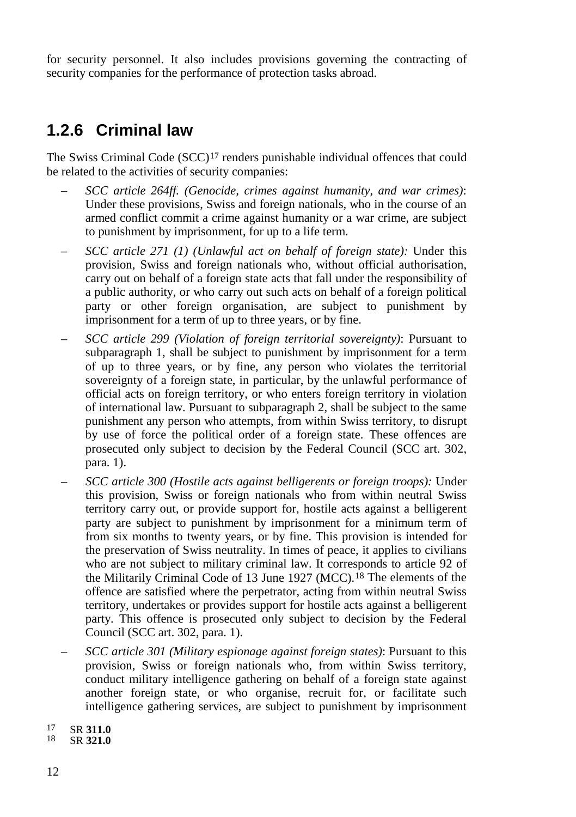for security personnel. It also includes provisions governing the contracting of security companies for the performance of protection tasks abroad.

### <span id="page-11-0"></span>**1.2.6 Criminal law**

The Swiss Criminal Code (SCC)[17](#page-11-1) renders punishable individual offences that could be related to the activities of security companies:

- *SCC article 264ff. (Genocide, crimes against humanity, and war crimes)*: Under these provisions, Swiss and foreign nationals, who in the course of an armed conflict commit a crime against humanity or a war crime, are subject to punishment by imprisonment, for up to a life term.
- *SCC article 271 (1) (Unlawful act on behalf of foreign state):* Under this provision, Swiss and foreign nationals who, without official authorisation, carry out on behalf of a foreign state acts that fall under the responsibility of a public authority, or who carry out such acts on behalf of a foreign political party or other foreign organisation, are subject to punishment by imprisonment for a term of up to three years, or by fine.
- *SCC article 299 (Violation of foreign territorial sovereignty)*: Pursuant to subparagraph 1, shall be subject to punishment by imprisonment for a term of up to three years, or by fine, any person who violates the territorial sovereignty of a foreign state, in particular, by the unlawful performance of official acts on foreign territory, or who enters foreign territory in violation of international law. Pursuant to subparagraph 2, shall be subject to the same punishment any person who attempts, from within Swiss territory, to disrupt by use of force the political order of a foreign state. These offences are prosecuted only subject to decision by the Federal Council (SCC art. 302, para. 1).
- *SCC article 300 (Hostile acts against belligerents or foreign troops):* Under this provision, Swiss or foreign nationals who from within neutral Swiss territory carry out, or provide support for, hostile acts against a belligerent party are subject to punishment by imprisonment for a minimum term of from six months to twenty years, or by fine. This provision is intended for the preservation of Swiss neutrality. In times of peace, it applies to civilians who are not subject to military criminal law. It corresponds to article 92 of the Militarily Criminal Code of 13 June 1927 (MCC).<sup>[18](#page-11-2)</sup> The elements of the offence are satisfied where the perpetrator, acting from within neutral Swiss territory, undertakes or provides support for hostile acts against a belligerent party. This offence is prosecuted only subject to decision by the Federal Council (SCC art. 302, para. 1).
- *SCC article 301 (Military espionage against foreign states)*: Pursuant to this provision, Swiss or foreign nationals who, from within Swiss territory, conduct military intelligence gathering on behalf of a foreign state against another foreign state, or who organise, recruit for, or facilitate such intelligence gathering services, are subject to punishment by imprisonment
- <span id="page-11-1"></span><sup>17</sup> SR **311.0** <sup>18</sup> SR **321.0**
- <span id="page-11-2"></span>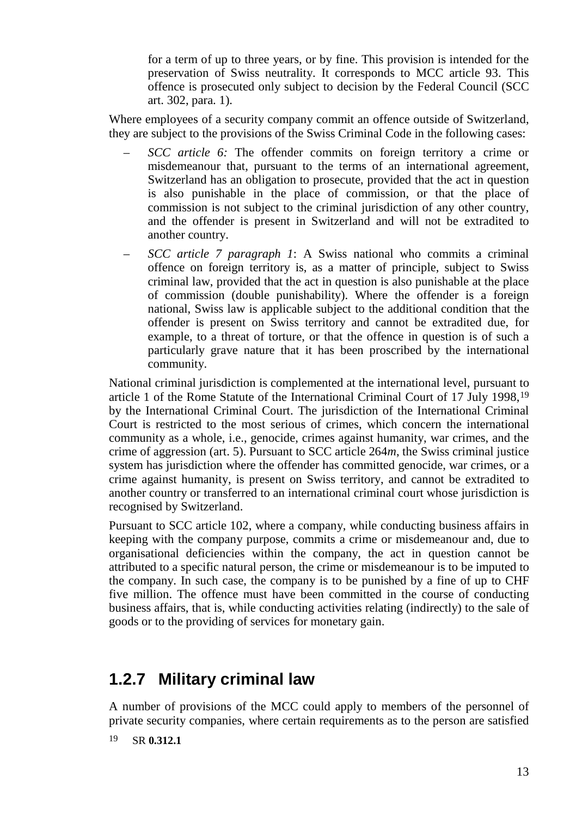for a term of up to three years, or by fine. This provision is intended for the preservation of Swiss neutrality. It corresponds to MCC article 93. This offence is prosecuted only subject to decision by the Federal Council (SCC art. 302, para. 1).

Where employees of a security company commit an offence outside of Switzerland, they are subject to the provisions of the Swiss Criminal Code in the following cases:

- *SCC article 6:* The offender commits on foreign territory a crime or misdemeanour that, pursuant to the terms of an international agreement, Switzerland has an obligation to prosecute, provided that the act in question is also punishable in the place of commission, or that the place of commission is not subject to the criminal jurisdiction of any other country, and the offender is present in Switzerland and will not be extradited to another country.
- *SCC article 7 paragraph 1*: A Swiss national who commits a criminal offence on foreign territory is, as a matter of principle, subject to Swiss criminal law, provided that the act in question is also punishable at the place of commission (double punishability). Where the offender is a foreign national, Swiss law is applicable subject to the additional condition that the offender is present on Swiss territory and cannot be extradited due, for example, to a threat of torture, or that the offence in question is of such a particularly grave nature that it has been proscribed by the international community.

National criminal jurisdiction is complemented at the international level, pursuant to article 1 of the Rome Statute of the International Criminal Court of 17 July 1998,[19](#page-12-1) by the International Criminal Court. The jurisdiction of the International Criminal Court is restricted to the most serious of crimes, which concern the international community as a whole, i.e., genocide, crimes against humanity, war crimes, and the crime of aggression (art. 5). Pursuant to SCC article 264*m*, the Swiss criminal justice system has jurisdiction where the offender has committed genocide, war crimes, or a crime against humanity, is present on Swiss territory, and cannot be extradited to another country or transferred to an international criminal court whose jurisdiction is recognised by Switzerland.

Pursuant to SCC article 102, where a company, while conducting business affairs in keeping with the company purpose, commits a crime or misdemeanour and, due to organisational deficiencies within the company, the act in question cannot be attributed to a specific natural person, the crime or misdemeanour is to be imputed to the company. In such case, the company is to be punished by a fine of up to CHF five million. The offence must have been committed in the course of conducting business affairs, that is, while conducting activities relating (indirectly) to the sale of goods or to the providing of services for monetary gain.

### <span id="page-12-0"></span>**1.2.7 Military criminal law**

A number of provisions of the MCC could apply to members of the personnel of private security companies, where certain requirements as to the person are satisfied

<span id="page-12-1"></span>19 SR **0.312.1**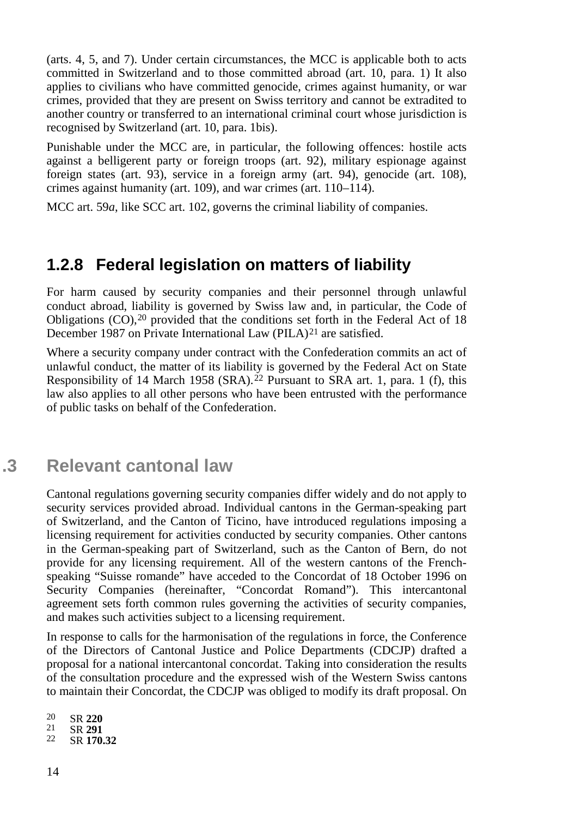(arts. 4, 5, and 7). Under certain circumstances, the MCC is applicable both to acts committed in Switzerland and to those committed abroad (art. 10, para. 1) It also applies to civilians who have committed genocide, crimes against humanity, or war crimes, provided that they are present on Swiss territory and cannot be extradited to another country or transferred to an international criminal court whose jurisdiction is recognised by Switzerland (art. 10, para. 1bis).

Punishable under the MCC are, in particular, the following offences: hostile acts against a belligerent party or foreign troops (art. 92), military espionage against foreign states (art. 93), service in a foreign army (art. 94), genocide (art. 108), crimes against humanity (art. 109), and war crimes (art. 110–114).

MCC art. 59*a*, like SCC art. 102, governs the criminal liability of companies.

#### <span id="page-13-0"></span>**1.2.8 Federal legislation on matters of liability**

For harm caused by security companies and their personnel through unlawful conduct abroad, liability is governed by Swiss law and, in particular, the Code of Obligations (CO),[20](#page-13-2) provided that the conditions set forth in the Federal Act of 18 December 1987 on Private International Law (PILA)<sup>[21](#page-13-3)</sup> are satisfied.

Where a security company under contract with the Confederation commits an act of unlawful conduct, the matter of its liability is governed by the Federal Act on State Responsibility of 14 March 1958 (SRA). [22](#page-13-4) Pursuant to SRA art. 1, para. 1 (f), this law also applies to all other persons who have been entrusted with the performance of public tasks on behalf of the Confederation.

### <span id="page-13-1"></span>**.3 Relevant cantonal law**

Cantonal regulations governing security companies differ widely and do not apply to security services provided abroad. Individual cantons in the German-speaking part of Switzerland, and the Canton of Ticino, have introduced regulations imposing a licensing requirement for activities conducted by security companies. Other cantons in the German-speaking part of Switzerland, such as the Canton of Bern, do not provide for any licensing requirement. All of the western cantons of the Frenchspeaking "Suisse romande" have acceded to the Concordat of 18 October 1996 on Security Companies (hereinafter, "Concordat Romand"). This intercantonal agreement sets forth common rules governing the activities of security companies, and makes such activities subject to a licensing requirement.

In response to calls for the harmonisation of the regulations in force, the Conference of the Directors of Cantonal Justice and Police Departments (CDCJP) drafted a proposal for a national intercantonal concordat. Taking into consideration the results of the consultation procedure and the expressed wish of the Western Swiss cantons to maintain their Concordat, the CDCJP was obliged to modify its draft proposal. On

- <span id="page-13-3"></span><span id="page-13-2"></span><sup>20</sup> SR **<sup>220</sup>** <sup>21</sup> SR **<sup>291</sup>** <sup>22</sup> SR **170.32**
- <span id="page-13-4"></span>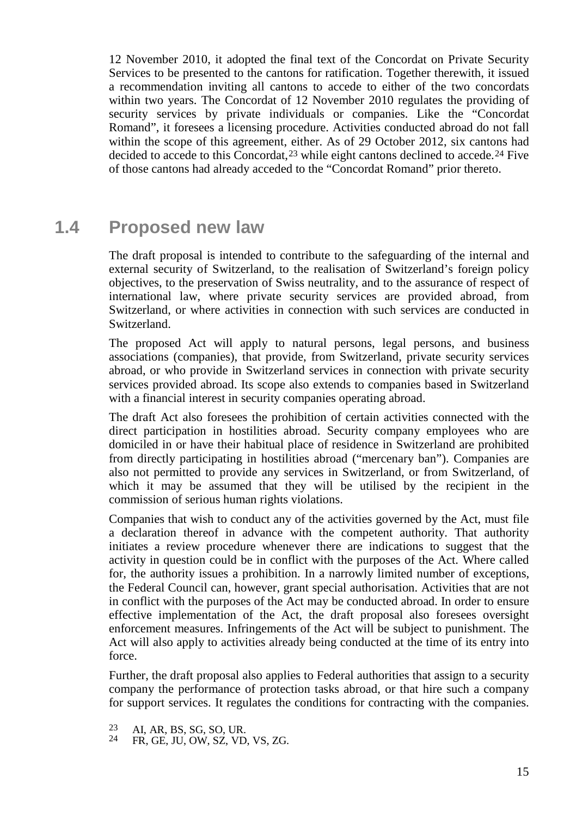12 November 2010, it adopted the final text of the Concordat on Private Security Services to be presented to the cantons for ratification. Together therewith, it issued a recommendation inviting all cantons to accede to either of the two concordats within two years. The Concordat of 12 November 2010 regulates the providing of security services by private individuals or companies. Like the "Concordat Romand", it foresees a licensing procedure. Activities conducted abroad do not fall within the scope of this agreement, either. As of 29 October 2012, six cantons had decided to accede to this Concordat,  $^{23}$  $^{23}$  $^{23}$  while eight cantons declined to accede.  $^{24}$  $^{24}$  $^{24}$  Five of those cantons had already acceded to the "Concordat Romand" prior thereto.

#### **1.4 Proposed new law**

<span id="page-14-0"></span>The draft proposal is intended to contribute to the safeguarding of the internal and external security of Switzerland, to the realisation of Switzerland's foreign policy objectives, to the preservation of Swiss neutrality, and to the assurance of respect of international law, where private security services are provided abroad, from Switzerland, or where activities in connection with such services are conducted in Switzerland.

The proposed Act will apply to natural persons, legal persons, and business associations (companies), that provide, from Switzerland, private security services abroad, or who provide in Switzerland services in connection with private security services provided abroad. Its scope also extends to companies based in Switzerland with a financial interest in security companies operating abroad.

The draft Act also foresees the prohibition of certain activities connected with the direct participation in hostilities abroad. Security company employees who are domiciled in or have their habitual place of residence in Switzerland are prohibited from directly participating in hostilities abroad ("mercenary ban"). Companies are also not permitted to provide any services in Switzerland, or from Switzerland, of which it may be assumed that they will be utilised by the recipient in the commission of serious human rights violations.

Companies that wish to conduct any of the activities governed by the Act, must file a declaration thereof in advance with the competent authority. That authority initiates a review procedure whenever there are indications to suggest that the activity in question could be in conflict with the purposes of the Act. Where called for, the authority issues a prohibition. In a narrowly limited number of exceptions, the Federal Council can, however, grant special authorisation. Activities that are not in conflict with the purposes of the Act may be conducted abroad. In order to ensure effective implementation of the Act, the draft proposal also foresees oversight enforcement measures. Infringements of the Act will be subject to punishment. The Act will also apply to activities already being conducted at the time of its entry into force.

Further, the draft proposal also applies to Federal authorities that assign to a security company the performance of protection tasks abroad, or that hire such a company for support services. It regulates the conditions for contracting with the companies.

<span id="page-14-2"></span><span id="page-14-1"></span><sup>23</sup> AI, AR, BS, SG, SO, UR. <sup>24</sup> FR, GE, JU, OW, SZ, VD, VS, ZG.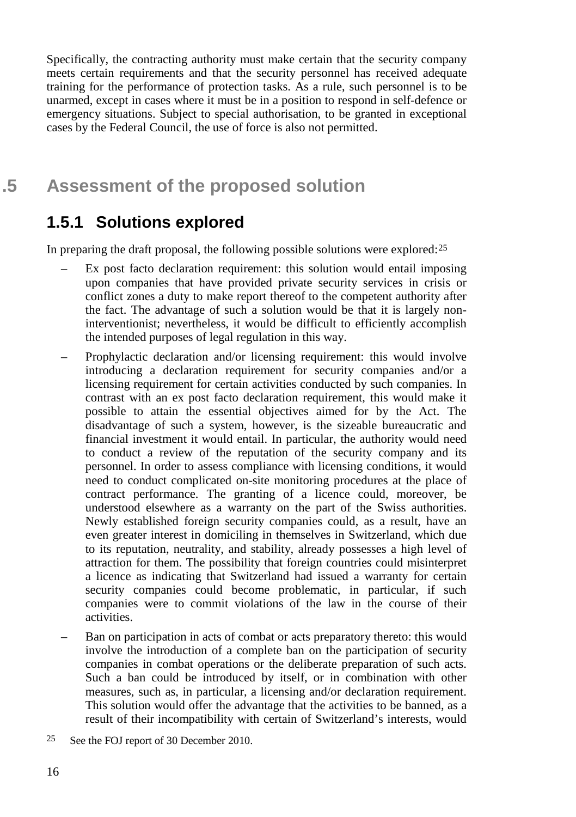Specifically, the contracting authority must make certain that the security company meets certain requirements and that the security personnel has received adequate training for the performance of protection tasks. As a rule, such personnel is to be unarmed, except in cases where it must be in a position to respond in self-defence or emergency situations. Subject to special authorisation, to be granted in exceptional cases by the Federal Council, the use of force is also not permitted.

### <span id="page-15-0"></span>**.5 Assessment of the proposed solution**

#### <span id="page-15-1"></span>**1.5.1 Solutions explored**

In preparing the draft proposal, the following possible solutions were explored:[25](#page-15-2)

- Ex post facto declaration requirement: this solution would entail imposing upon companies that have provided private security services in crisis or conflict zones a duty to make report thereof to the competent authority after the fact. The advantage of such a solution would be that it is largely noninterventionist; nevertheless, it would be difficult to efficiently accomplish the intended purposes of legal regulation in this way.
- Prophylactic declaration and/or licensing requirement: this would involve introducing a declaration requirement for security companies and/or a licensing requirement for certain activities conducted by such companies. In contrast with an ex post facto declaration requirement, this would make it possible to attain the essential objectives aimed for by the Act. The disadvantage of such a system, however, is the sizeable bureaucratic and financial investment it would entail. In particular, the authority would need to conduct a review of the reputation of the security company and its personnel. In order to assess compliance with licensing conditions, it would need to conduct complicated on-site monitoring procedures at the place of contract performance. The granting of a licence could, moreover, be understood elsewhere as a warranty on the part of the Swiss authorities. Newly established foreign security companies could, as a result, have an even greater interest in domiciling in themselves in Switzerland, which due to its reputation, neutrality, and stability, already possesses a high level of attraction for them. The possibility that foreign countries could misinterpret a licence as indicating that Switzerland had issued a warranty for certain security companies could become problematic, in particular, if such companies were to commit violations of the law in the course of their activities.
- Ban on participation in acts of combat or acts preparatory thereto: this would involve the introduction of a complete ban on the participation of security companies in combat operations or the deliberate preparation of such acts. Such a ban could be introduced by itself, or in combination with other measures, such as, in particular, a licensing and/or declaration requirement. This solution would offer the advantage that the activities to be banned, as a result of their incompatibility with certain of Switzerland's interests, would
- <span id="page-15-2"></span>25 See the FOJ report of 30 December 2010.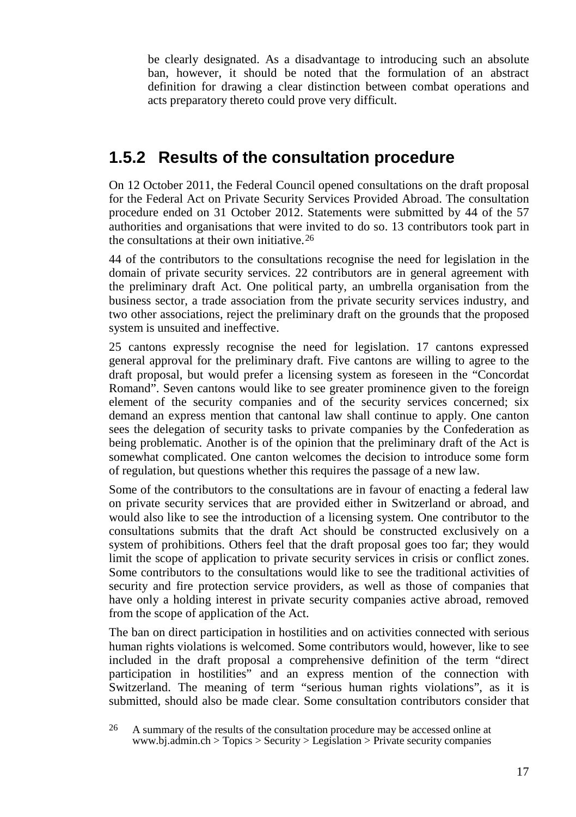be clearly designated. As a disadvantage to introducing such an absolute ban, however, it should be noted that the formulation of an abstract definition for drawing a clear distinction between combat operations and acts preparatory thereto could prove very difficult.

#### <span id="page-16-0"></span>**1.5.2 Results of the consultation procedure**

On 12 October 2011, the Federal Council opened consultations on the draft proposal for the Federal Act on Private Security Services Provided Abroad. The consultation procedure ended on 31 October 2012. Statements were submitted by 44 of the 57 authorities and organisations that were invited to do so. 13 contributors took part in the consultations at their own initiative.[26](#page-16-1)

44 of the contributors to the consultations recognise the need for legislation in the domain of private security services. 22 contributors are in general agreement with the preliminary draft Act. One political party, an umbrella organisation from the business sector, a trade association from the private security services industry, and two other associations, reject the preliminary draft on the grounds that the proposed system is unsuited and ineffective.

25 cantons expressly recognise the need for legislation. 17 cantons expressed general approval for the preliminary draft. Five cantons are willing to agree to the draft proposal, but would prefer a licensing system as foreseen in the "Concordat Romand". Seven cantons would like to see greater prominence given to the foreign element of the security companies and of the security services concerned; six demand an express mention that cantonal law shall continue to apply. One canton sees the delegation of security tasks to private companies by the Confederation as being problematic. Another is of the opinion that the preliminary draft of the Act is somewhat complicated. One canton welcomes the decision to introduce some form of regulation, but questions whether this requires the passage of a new law.

Some of the contributors to the consultations are in favour of enacting a federal law on private security services that are provided either in Switzerland or abroad, and would also like to see the introduction of a licensing system. One contributor to the consultations submits that the draft Act should be constructed exclusively on a system of prohibitions. Others feel that the draft proposal goes too far; they would limit the scope of application to private security services in crisis or conflict zones. Some contributors to the consultations would like to see the traditional activities of security and fire protection service providers, as well as those of companies that have only a holding interest in private security companies active abroad, removed from the scope of application of the Act.

The ban on direct participation in hostilities and on activities connected with serious human rights violations is welcomed. Some contributors would, however, like to see included in the draft proposal a comprehensive definition of the term "direct participation in hostilities" and an express mention of the connection with Switzerland. The meaning of term "serious human rights violations", as it is submitted, should also be made clear. Some consultation contributors consider that

<span id="page-16-1"></span><sup>26</sup> A summary of the results of the consultation procedure may be accessed online at www.bj.admin.ch > Topics > Security > Legislation > Private security companies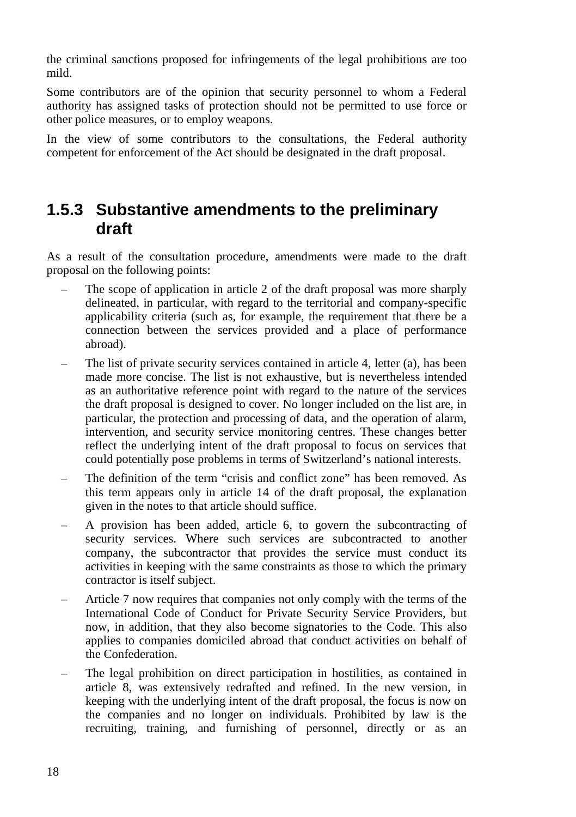the criminal sanctions proposed for infringements of the legal prohibitions are too mild.

Some contributors are of the opinion that security personnel to whom a Federal authority has assigned tasks of protection should not be permitted to use force or other police measures, or to employ weapons.

In the view of some contributors to the consultations, the Federal authority competent for enforcement of the Act should be designated in the draft proposal.

#### <span id="page-17-0"></span>**1.5.3 Substantive amendments to the preliminary draft**

As a result of the consultation procedure, amendments were made to the draft proposal on the following points:

- The scope of application in article 2 of the draft proposal was more sharply delineated, in particular, with regard to the territorial and company-specific applicability criteria (such as, for example, the requirement that there be a connection between the services provided and a place of performance abroad).
- The list of private security services contained in article 4, letter (a), has been made more concise. The list is not exhaustive, but is nevertheless intended as an authoritative reference point with regard to the nature of the services the draft proposal is designed to cover. No longer included on the list are, in particular, the protection and processing of data, and the operation of alarm, intervention, and security service monitoring centres. These changes better reflect the underlying intent of the draft proposal to focus on services that could potentially pose problems in terms of Switzerland's national interests.
- The definition of the term "crisis and conflict zone" has been removed. As this term appears only in article 14 of the draft proposal, the explanation given in the notes to that article should suffice.
- A provision has been added, article 6, to govern the subcontracting of security services. Where such services are subcontracted to another company, the subcontractor that provides the service must conduct its activities in keeping with the same constraints as those to which the primary contractor is itself subject.
- Article 7 now requires that companies not only comply with the terms of the International Code of Conduct for Private Security Service Providers, but now, in addition, that they also become signatories to the Code. This also applies to companies domiciled abroad that conduct activities on behalf of the Confederation.
- The legal prohibition on direct participation in hostilities, as contained in article 8, was extensively redrafted and refined. In the new version, in keeping with the underlying intent of the draft proposal, the focus is now on the companies and no longer on individuals. Prohibited by law is the recruiting, training, and furnishing of personnel, directly or as an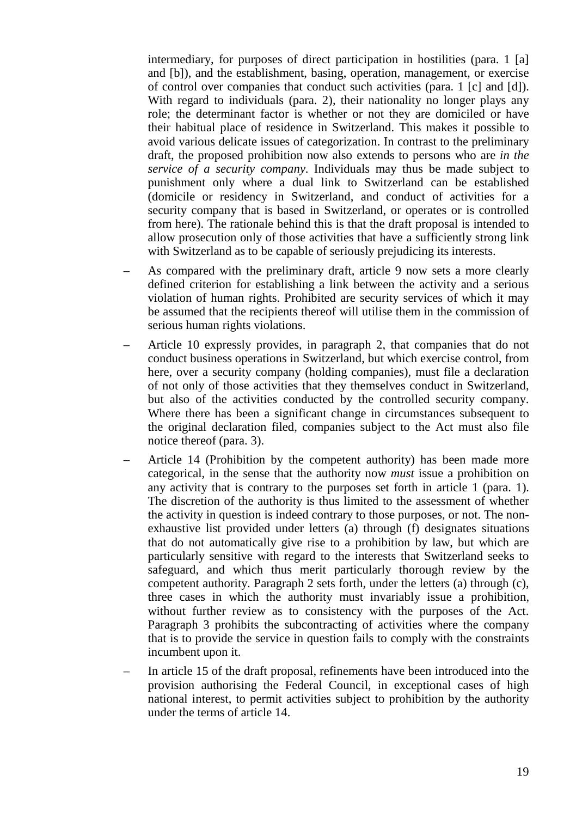intermediary, for purposes of direct participation in hostilities (para. 1 [a] and [b]), and the establishment, basing, operation, management, or exercise of control over companies that conduct such activities (para. 1 [c] and [d]). With regard to individuals (para. 2), their nationality no longer plays any role; the determinant factor is whether or not they are domiciled or have their habitual place of residence in Switzerland. This makes it possible to avoid various delicate issues of categorization. In contrast to the preliminary draft, the proposed prohibition now also extends to persons who are *in the service of a security company*. Individuals may thus be made subject to punishment only where a dual link to Switzerland can be established (domicile or residency in Switzerland, and conduct of activities for a security company that is based in Switzerland, or operates or is controlled from here). The rationale behind this is that the draft proposal is intended to allow prosecution only of those activities that have a sufficiently strong link with Switzerland as to be capable of seriously prejudicing its interests.

- As compared with the preliminary draft, article 9 now sets a more clearly defined criterion for establishing a link between the activity and a serious violation of human rights. Prohibited are security services of which it may be assumed that the recipients thereof will utilise them in the commission of serious human rights violations.
- Article 10 expressly provides, in paragraph 2, that companies that do not conduct business operations in Switzerland, but which exercise control, from here, over a security company (holding companies), must file a declaration of not only of those activities that they themselves conduct in Switzerland, but also of the activities conducted by the controlled security company. Where there has been a significant change in circumstances subsequent to the original declaration filed, companies subject to the Act must also file notice thereof (para. 3).
- Article 14 (Prohibition by the competent authority) has been made more categorical, in the sense that the authority now *must* issue a prohibition on any activity that is contrary to the purposes set forth in article 1 (para. 1). The discretion of the authority is thus limited to the assessment of whether the activity in question is indeed contrary to those purposes, or not. The nonexhaustive list provided under letters (a) through (f) designates situations that do not automatically give rise to a prohibition by law, but which are particularly sensitive with regard to the interests that Switzerland seeks to safeguard, and which thus merit particularly thorough review by the competent authority. Paragraph 2 sets forth, under the letters (a) through (c), three cases in which the authority must invariably issue a prohibition, without further review as to consistency with the purposes of the Act. Paragraph 3 prohibits the subcontracting of activities where the company that is to provide the service in question fails to comply with the constraints incumbent upon it.
- In article 15 of the draft proposal, refinements have been introduced into the provision authorising the Federal Council, in exceptional cases of high national interest, to permit activities subject to prohibition by the authority under the terms of article 14.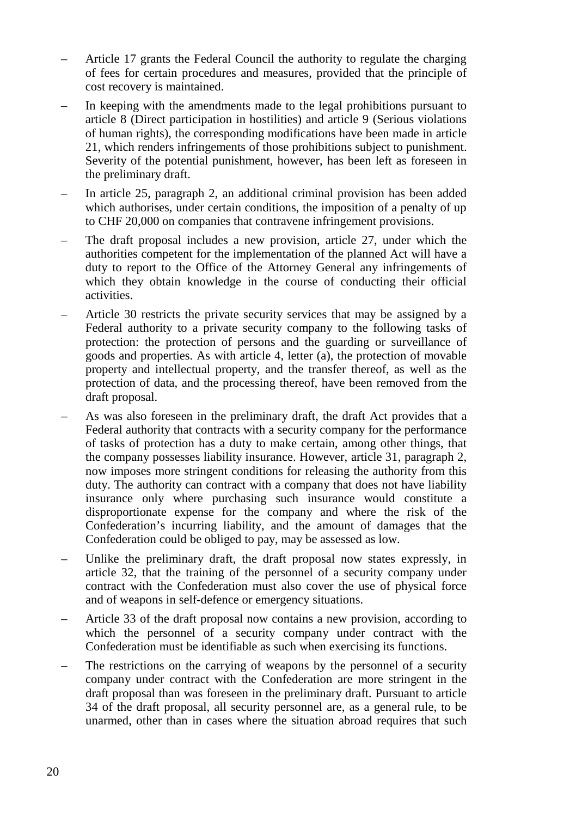- Article 17 grants the Federal Council the authority to regulate the charging of fees for certain procedures and measures, provided that the principle of cost recovery is maintained.
- In keeping with the amendments made to the legal prohibitions pursuant to article 8 (Direct participation in hostilities) and article 9 (Serious violations of human rights), the corresponding modifications have been made in article 21, which renders infringements of those prohibitions subject to punishment. Severity of the potential punishment, however, has been left as foreseen in the preliminary draft.
- In article 25, paragraph 2, an additional criminal provision has been added which authorises, under certain conditions, the imposition of a penalty of up to CHF 20,000 on companies that contravene infringement provisions.
- The draft proposal includes a new provision, article 27, under which the authorities competent for the implementation of the planned Act will have a duty to report to the Office of the Attorney General any infringements of which they obtain knowledge in the course of conducting their official activities.
- Article 30 restricts the private security services that may be assigned by a Federal authority to a private security company to the following tasks of protection: the protection of persons and the guarding or surveillance of goods and properties. As with article 4, letter (a), the protection of movable property and intellectual property, and the transfer thereof, as well as the protection of data, and the processing thereof, have been removed from the draft proposal.
- As was also foreseen in the preliminary draft, the draft Act provides that a Federal authority that contracts with a security company for the performance of tasks of protection has a duty to make certain, among other things, that the company possesses liability insurance. However, article 31, paragraph 2, now imposes more stringent conditions for releasing the authority from this duty. The authority can contract with a company that does not have liability insurance only where purchasing such insurance would constitute a disproportionate expense for the company and where the risk of the Confederation's incurring liability, and the amount of damages that the Confederation could be obliged to pay, may be assessed as low.
- Unlike the preliminary draft, the draft proposal now states expressly, in article 32, that the training of the personnel of a security company under contract with the Confederation must also cover the use of physical force and of weapons in self-defence or emergency situations.
- Article 33 of the draft proposal now contains a new provision, according to which the personnel of a security company under contract with the Confederation must be identifiable as such when exercising its functions.
- The restrictions on the carrying of weapons by the personnel of a security company under contract with the Confederation are more stringent in the draft proposal than was foreseen in the preliminary draft. Pursuant to article 34 of the draft proposal, all security personnel are, as a general rule, to be unarmed, other than in cases where the situation abroad requires that such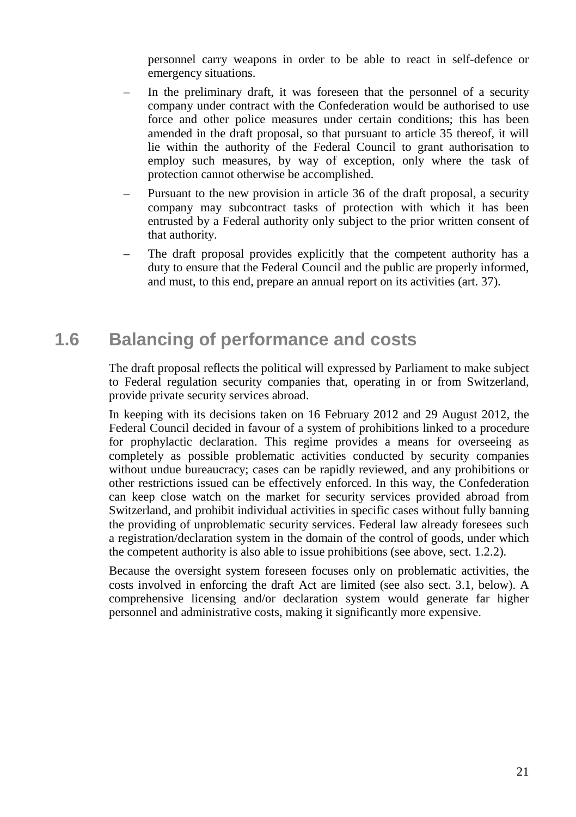personnel carry weapons in order to be able to react in self-defence or emergency situations.

- In the preliminary draft, it was foreseen that the personnel of a security company under contract with the Confederation would be authorised to use force and other police measures under certain conditions; this has been amended in the draft proposal, so that pursuant to article 35 thereof, it will lie within the authority of the Federal Council to grant authorisation to employ such measures, by way of exception, only where the task of protection cannot otherwise be accomplished.
- Pursuant to the new provision in article 36 of the draft proposal, a security company may subcontract tasks of protection with which it has been entrusted by a Federal authority only subject to the prior written consent of that authority.
- The draft proposal provides explicitly that the competent authority has a duty to ensure that the Federal Council and the public are properly informed, and must, to this end, prepare an annual report on its activities (art. 37).

#### **1.6 Balancing of performance and costs**

<span id="page-20-0"></span>The draft proposal reflects the political will expressed by Parliament to make subject to Federal regulation security companies that, operating in or from Switzerland, provide private security services abroad.

In keeping with its decisions taken on 16 February 2012 and 29 August 2012, the Federal Council decided in favour of a system of prohibitions linked to a procedure for prophylactic declaration. This regime provides a means for overseeing as completely as possible problematic activities conducted by security companies without undue bureaucracy; cases can be rapidly reviewed, and any prohibitions or other restrictions issued can be effectively enforced. In this way, the Confederation can keep close watch on the market for security services provided abroad from Switzerland, and prohibit individual activities in specific cases without fully banning the providing of unproblematic security services. Federal law already foresees such a registration/declaration system in the domain of the control of goods, under which the competent authority is also able to issue prohibitions (see above, sect. 1.2.2).

Because the oversight system foreseen focuses only on problematic activities, the costs involved in enforcing the draft Act are limited (see also sect. 3.1, below). A comprehensive licensing and/or declaration system would generate far higher personnel and administrative costs, making it significantly more expensive.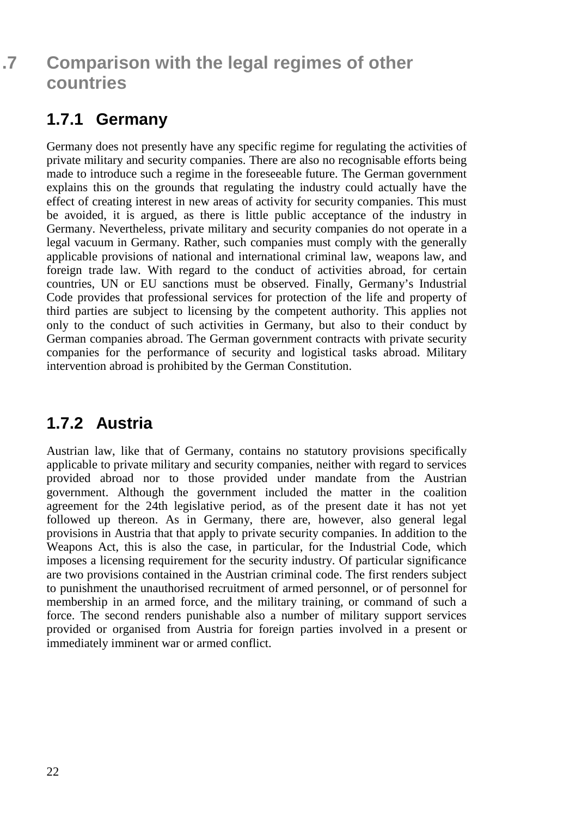## <span id="page-21-0"></span>**.7 Comparison with the legal regimes of other countries**

## <span id="page-21-1"></span>**1.7.1 Germany**

Germany does not presently have any specific regime for regulating the activities of private military and security companies. There are also no recognisable efforts being made to introduce such a regime in the foreseeable future. The German government explains this on the grounds that regulating the industry could actually have the effect of creating interest in new areas of activity for security companies. This must be avoided, it is argued, as there is little public acceptance of the industry in Germany. Nevertheless, private military and security companies do not operate in a legal vacuum in Germany. Rather, such companies must comply with the generally applicable provisions of national and international criminal law, weapons law, and foreign trade law. With regard to the conduct of activities abroad, for certain countries, UN or EU sanctions must be observed. Finally, Germany's Industrial Code provides that professional services for protection of the life and property of third parties are subject to licensing by the competent authority. This applies not only to the conduct of such activities in Germany, but also to their conduct by German companies abroad. The German government contracts with private security companies for the performance of security and logistical tasks abroad. Military intervention abroad is prohibited by the German Constitution.

### <span id="page-21-2"></span>**1.7.2 Austria**

Austrian law, like that of Germany, contains no statutory provisions specifically applicable to private military and security companies, neither with regard to services provided abroad nor to those provided under mandate from the Austrian government. Although the government included the matter in the coalition agreement for the 24th legislative period, as of the present date it has not yet followed up thereon. As in Germany, there are, however, also general legal provisions in Austria that that apply to private security companies. In addition to the Weapons Act, this is also the case, in particular, for the Industrial Code, which imposes a licensing requirement for the security industry. Of particular significance are two provisions contained in the Austrian criminal code. The first renders subject to punishment the unauthorised recruitment of armed personnel, or of personnel for membership in an armed force, and the military training, or command of such a force. The second renders punishable also a number of military support services provided or organised from Austria for foreign parties involved in a present or immediately imminent war or armed conflict.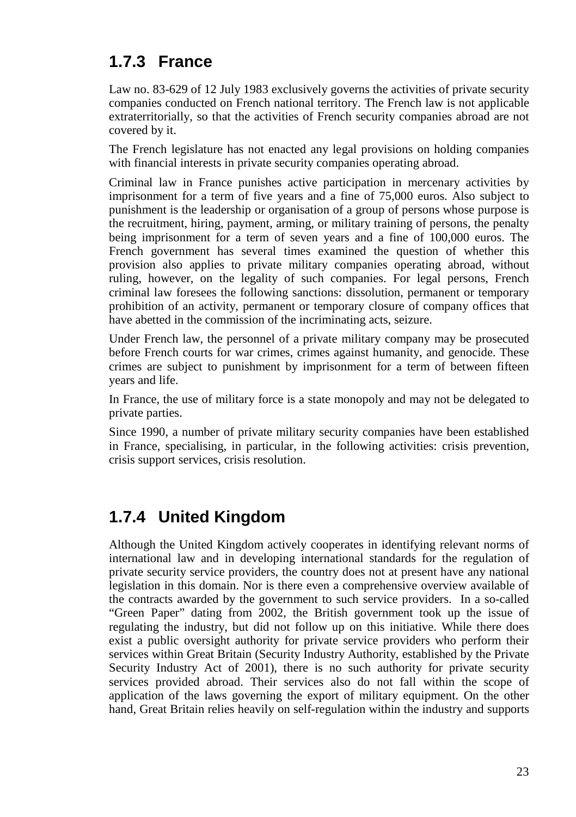## <span id="page-22-0"></span>**1.7.3 France**

Law no. 83-629 of 12 July 1983 exclusively governs the activities of private security companies conducted on French national territory. The French law is not applicable extraterritorially, so that the activities of French security companies abroad are not covered by it.

The French legislature has not enacted any legal provisions on holding companies with financial interests in private security companies operating abroad.

Criminal law in France punishes active participation in mercenary activities by imprisonment for a term of five years and a fine of 75,000 euros. Also subject to punishment is the leadership or organisation of a group of persons whose purpose is the recruitment, hiring, payment, arming, or military training of persons, the penalty being imprisonment for a term of seven years and a fine of 100,000 euros. The French government has several times examined the question of whether this provision also applies to private military companies operating abroad, without ruling, however, on the legality of such companies. For legal persons, French criminal law foresees the following sanctions: dissolution, permanent or temporary prohibition of an activity, permanent or temporary closure of company offices that have abetted in the commission of the incriminating acts, seizure.

Under French law, the personnel of a private military company may be prosecuted before French courts for war crimes, crimes against humanity, and genocide. These crimes are subject to punishment by imprisonment for a term of between fifteen years and life.

In France, the use of military force is a state monopoly and may not be delegated to private parties.

Since 1990, a number of private military security companies have been established in France, specialising, in particular, in the following activities: crisis prevention, crisis support services, crisis resolution.

### <span id="page-22-1"></span>**1.7.4 United Kingdom**

Although the United Kingdom actively cooperates in identifying relevant norms of international law and in developing international standards for the regulation of private security service providers, the country does not at present have any national legislation in this domain. Nor is there even a comprehensive overview available of the contracts awarded by the government to such service providers. In a so-called "Green Paper" dating from 2002, the British government took up the issue of regulating the industry, but did not follow up on this initiative. While there does exist a public oversight authority for private service providers who perform their services within Great Britain (Security Industry Authority, established by the Private Security Industry Act of 2001), there is no such authority for private security services provided abroad. Their services also do not fall within the scope of application of the laws governing the export of military equipment. On the other hand, Great Britain relies heavily on self-regulation within the industry and supports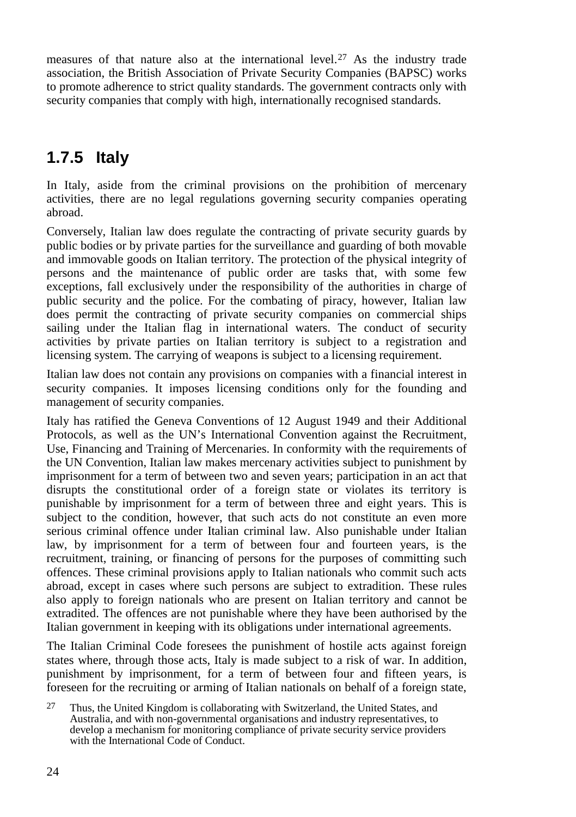measures of that nature also at the international level.[27](#page-23-1) As the industry trade association, the British Association of Private Security Companies (BAPSC) works to promote adherence to strict quality standards. The government contracts only with security companies that comply with high, internationally recognised standards.

## <span id="page-23-0"></span>**1.7.5 Italy**

In Italy, aside from the criminal provisions on the prohibition of mercenary activities, there are no legal regulations governing security companies operating abroad.

Conversely, Italian law does regulate the contracting of private security guards by public bodies or by private parties for the surveillance and guarding of both movable and immovable goods on Italian territory. The protection of the physical integrity of persons and the maintenance of public order are tasks that, with some few exceptions, fall exclusively under the responsibility of the authorities in charge of public security and the police. For the combating of piracy, however, Italian law does permit the contracting of private security companies on commercial ships sailing under the Italian flag in international waters. The conduct of security activities by private parties on Italian territory is subject to a registration and licensing system. The carrying of weapons is subject to a licensing requirement.

Italian law does not contain any provisions on companies with a financial interest in security companies. It imposes licensing conditions only for the founding and management of security companies.

Italy has ratified the Geneva Conventions of 12 August 1949 and their Additional Protocols, as well as the UN's International Convention against the Recruitment, Use, Financing and Training of Mercenaries. In conformity with the requirements of the UN Convention, Italian law makes mercenary activities subject to punishment by imprisonment for a term of between two and seven years; participation in an act that disrupts the constitutional order of a foreign state or violates its territory is punishable by imprisonment for a term of between three and eight years. This is subject to the condition, however, that such acts do not constitute an even more serious criminal offence under Italian criminal law. Also punishable under Italian law, by imprisonment for a term of between four and fourteen years, is the recruitment, training, or financing of persons for the purposes of committing such offences. These criminal provisions apply to Italian nationals who commit such acts abroad, except in cases where such persons are subject to extradition. These rules also apply to foreign nationals who are present on Italian territory and cannot be extradited. The offences are not punishable where they have been authorised by the Italian government in keeping with its obligations under international agreements.

The Italian Criminal Code foresees the punishment of hostile acts against foreign states where, through those acts, Italy is made subject to a risk of war. In addition, punishment by imprisonment, for a term of between four and fifteen years, is foreseen for the recruiting or arming of Italian nationals on behalf of a foreign state,

<span id="page-23-1"></span> $27$  Thus, the United Kingdom is collaborating with Switzerland, the United States, and Australia, and with non-governmental organisations and industry representatives, to develop a mechanism for monitoring compliance of private security service providers with the International Code of Conduct.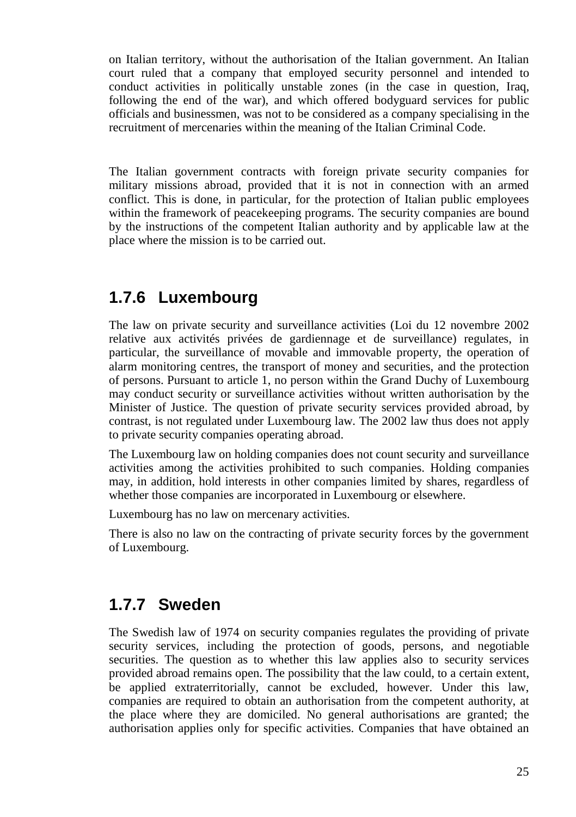on Italian territory, without the authorisation of the Italian government. An Italian court ruled that a company that employed security personnel and intended to conduct activities in politically unstable zones (in the case in question, Iraq, following the end of the war), and which offered bodyguard services for public officials and businessmen, was not to be considered as a company specialising in the recruitment of mercenaries within the meaning of the Italian Criminal Code.

The Italian government contracts with foreign private security companies for military missions abroad, provided that it is not in connection with an armed conflict. This is done, in particular, for the protection of Italian public employees within the framework of peacekeeping programs. The security companies are bound by the instructions of the competent Italian authority and by applicable law at the place where the mission is to be carried out.

#### <span id="page-24-0"></span>**1.7.6 Luxembourg**

The law on private security and surveillance activities (Loi du 12 novembre 2002 relative aux activités privées de gardiennage et de surveillance) regulates, in particular, the surveillance of movable and immovable property, the operation of alarm monitoring centres, the transport of money and securities, and the protection of persons. Pursuant to article 1, no person within the Grand Duchy of Luxembourg may conduct security or surveillance activities without written authorisation by the Minister of Justice. The question of private security services provided abroad, by contrast, is not regulated under Luxembourg law. The 2002 law thus does not apply to private security companies operating abroad.

The Luxembourg law on holding companies does not count security and surveillance activities among the activities prohibited to such companies. Holding companies may, in addition, hold interests in other companies limited by shares, regardless of whether those companies are incorporated in Luxembourg or elsewhere.

Luxembourg has no law on mercenary activities.

There is also no law on the contracting of private security forces by the government of Luxembourg.

#### <span id="page-24-1"></span>**1.7.7 Sweden**

The Swedish law of 1974 on security companies regulates the providing of private security services, including the protection of goods, persons, and negotiable securities. The question as to whether this law applies also to security services provided abroad remains open. The possibility that the law could, to a certain extent, be applied extraterritorially, cannot be excluded, however. Under this law, companies are required to obtain an authorisation from the competent authority, at the place where they are domiciled. No general authorisations are granted; the authorisation applies only for specific activities. Companies that have obtained an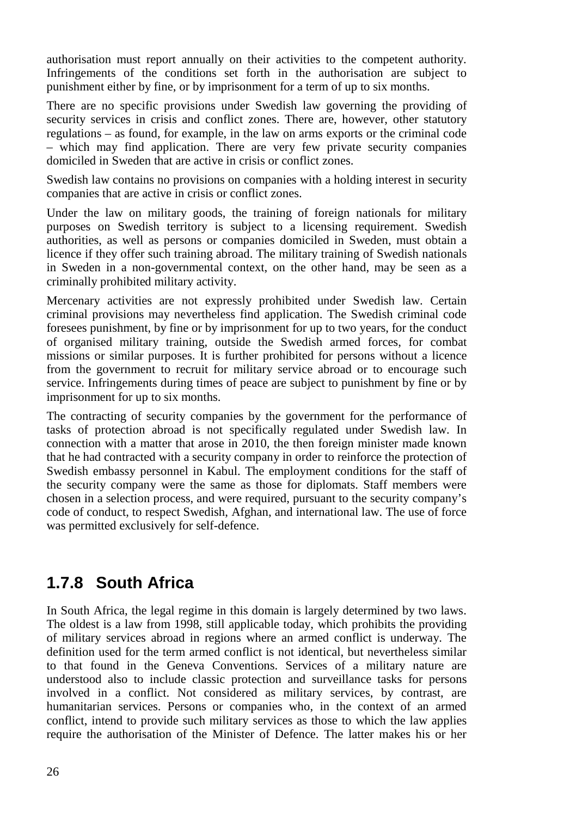authorisation must report annually on their activities to the competent authority. Infringements of the conditions set forth in the authorisation are subject to punishment either by fine, or by imprisonment for a term of up to six months.

There are no specific provisions under Swedish law governing the providing of security services in crisis and conflict zones. There are, however, other statutory regulations – as found, for example, in the law on arms exports or the criminal code – which may find application. There are very few private security companies domiciled in Sweden that are active in crisis or conflict zones.

Swedish law contains no provisions on companies with a holding interest in security companies that are active in crisis or conflict zones.

Under the law on military goods, the training of foreign nationals for military purposes on Swedish territory is subject to a licensing requirement. Swedish authorities, as well as persons or companies domiciled in Sweden, must obtain a licence if they offer such training abroad. The military training of Swedish nationals in Sweden in a non-governmental context, on the other hand, may be seen as a criminally prohibited military activity.

Mercenary activities are not expressly prohibited under Swedish law. Certain criminal provisions may nevertheless find application. The Swedish criminal code foresees punishment, by fine or by imprisonment for up to two years, for the conduct of organised military training, outside the Swedish armed forces, for combat missions or similar purposes. It is further prohibited for persons without a licence from the government to recruit for military service abroad or to encourage such service. Infringements during times of peace are subject to punishment by fine or by imprisonment for up to six months.

The contracting of security companies by the government for the performance of tasks of protection abroad is not specifically regulated under Swedish law. In connection with a matter that arose in 2010, the then foreign minister made known that he had contracted with a security company in order to reinforce the protection of Swedish embassy personnel in Kabul. The employment conditions for the staff of the security company were the same as those for diplomats. Staff members were chosen in a selection process, and were required, pursuant to the security company's code of conduct, to respect Swedish, Afghan, and international law. The use of force was permitted exclusively for self-defence.

#### <span id="page-25-0"></span>**1.7.8 South Africa**

In South Africa, the legal regime in this domain is largely determined by two laws. The oldest is a law from 1998, still applicable today, which prohibits the providing of military services abroad in regions where an armed conflict is underway. The definition used for the term armed conflict is not identical, but nevertheless similar to that found in the Geneva Conventions. Services of a military nature are understood also to include classic protection and surveillance tasks for persons involved in a conflict. Not considered as military services, by contrast, are humanitarian services. Persons or companies who, in the context of an armed conflict, intend to provide such military services as those to which the law applies require the authorisation of the Minister of Defence. The latter makes his or her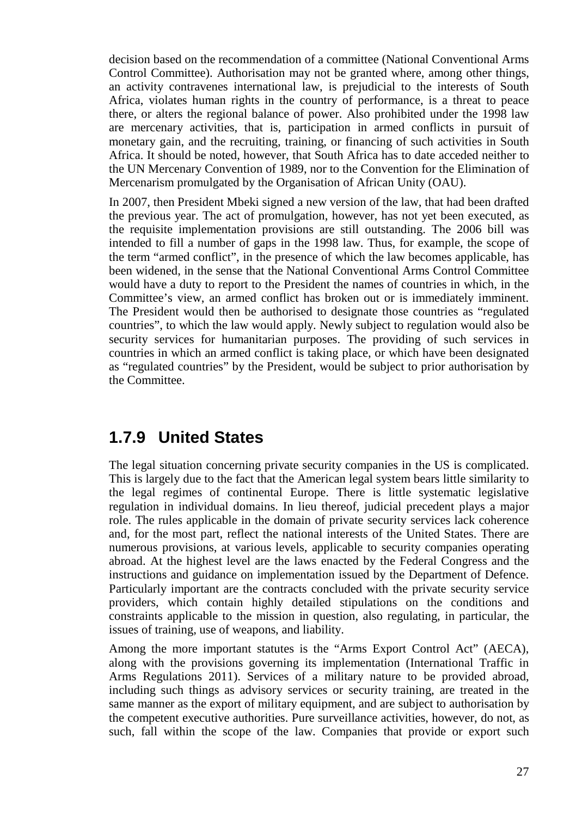decision based on the recommendation of a committee (National Conventional Arms Control Committee). Authorisation may not be granted where, among other things, an activity contravenes international law, is prejudicial to the interests of South Africa, violates human rights in the country of performance, is a threat to peace there, or alters the regional balance of power. Also prohibited under the 1998 law are mercenary activities, that is, participation in armed conflicts in pursuit of monetary gain, and the recruiting, training, or financing of such activities in South Africa. It should be noted, however, that South Africa has to date acceded neither to the UN Mercenary Convention of 1989, nor to the Convention for the Elimination of Mercenarism promulgated by the Organisation of African Unity (OAU).

In 2007, then President Mbeki signed a new version of the law, that had been drafted the previous year. The act of promulgation, however, has not yet been executed, as the requisite implementation provisions are still outstanding. The 2006 bill was intended to fill a number of gaps in the 1998 law. Thus, for example, the scope of the term "armed conflict", in the presence of which the law becomes applicable, has been widened, in the sense that the National Conventional Arms Control Committee would have a duty to report to the President the names of countries in which, in the Committee's view, an armed conflict has broken out or is immediately imminent. The President would then be authorised to designate those countries as "regulated countries", to which the law would apply. Newly subject to regulation would also be security services for humanitarian purposes. The providing of such services in countries in which an armed conflict is taking place, or which have been designated as "regulated countries" by the President, would be subject to prior authorisation by the Committee.

#### <span id="page-26-0"></span>**1.7.9 United States**

The legal situation concerning private security companies in the US is complicated. This is largely due to the fact that the American legal system bears little similarity to the legal regimes of continental Europe. There is little systematic legislative regulation in individual domains. In lieu thereof, judicial precedent plays a major role. The rules applicable in the domain of private security services lack coherence and, for the most part, reflect the national interests of the United States. There are numerous provisions, at various levels, applicable to security companies operating abroad. At the highest level are the laws enacted by the Federal Congress and the instructions and guidance on implementation issued by the Department of Defence. Particularly important are the contracts concluded with the private security service providers, which contain highly detailed stipulations on the conditions and constraints applicable to the mission in question, also regulating, in particular, the issues of training, use of weapons, and liability.

Among the more important statutes is the "Arms Export Control Act" (AECA), along with the provisions governing its implementation (International Traffic in Arms Regulations 2011). Services of a military nature to be provided abroad, including such things as advisory services or security training, are treated in the same manner as the export of military equipment, and are subject to authorisation by the competent executive authorities. Pure surveillance activities, however, do not, as such, fall within the scope of the law. Companies that provide or export such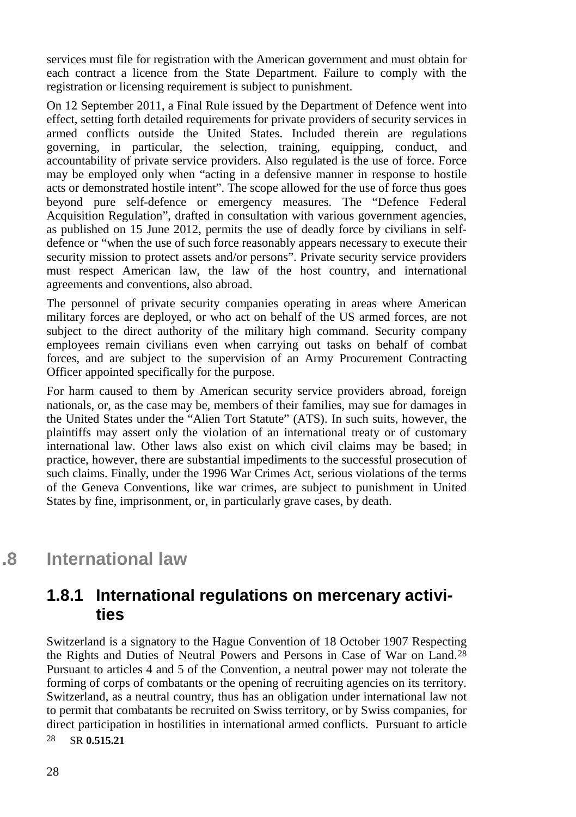services must file for registration with the American government and must obtain for each contract a licence from the State Department. Failure to comply with the registration or licensing requirement is subject to punishment.

On 12 September 2011, a Final Rule issued by the Department of Defence went into effect, setting forth detailed requirements for private providers of security services in armed conflicts outside the United States. Included therein are regulations governing, in particular, the selection, training, equipping, conduct, and accountability of private service providers. Also regulated is the use of force. Force may be employed only when "acting in a defensive manner in response to hostile acts or demonstrated hostile intent". The scope allowed for the use of force thus goes beyond pure self-defence or emergency measures. The "Defence Federal Acquisition Regulation", drafted in consultation with various government agencies, as published on 15 June 2012, permits the use of deadly force by civilians in selfdefence or "when the use of such force reasonably appears necessary to execute their security mission to protect assets and/or persons". Private security service providers must respect American law, the law of the host country, and international agreements and conventions, also abroad.

The personnel of private security companies operating in areas where American military forces are deployed, or who act on behalf of the US armed forces, are not subject to the direct authority of the military high command. Security company employees remain civilians even when carrying out tasks on behalf of combat forces, and are subject to the supervision of an Army Procurement Contracting Officer appointed specifically for the purpose.

For harm caused to them by American security service providers abroad, foreign nationals, or, as the case may be, members of their families, may sue for damages in the United States under the "Alien Tort Statute" (ATS). In such suits, however, the plaintiffs may assert only the violation of an international treaty or of customary international law. Other laws also exist on which civil claims may be based; in practice, however, there are substantial impediments to the successful prosecution of such claims. Finally, under the 1996 War Crimes Act, serious violations of the terms of the Geneva Conventions, like war crimes, are subject to punishment in United States by fine, imprisonment, or, in particularly grave cases, by death.

<span id="page-27-0"></span>**.8 International law**

### <span id="page-27-1"></span>**1.8.1 International regulations on mercenary activities**

<span id="page-27-2"></span>Switzerland is a signatory to the Hague Convention of 18 October 1907 Respecting the Rights and Duties of Neutral Powers and Persons in Case of War on Land.[28](#page-27-2) 28 SR **0.515.21** Pursuant to articles 4 and 5 of the Convention, a neutral power may not tolerate the forming of corps of combatants or the opening of recruiting agencies on its territory. Switzerland, as a neutral country, thus has an obligation under international law not to permit that combatants be recruited on Swiss territory, or by Swiss companies, for direct participation in hostilities in international armed conflicts. Pursuant to article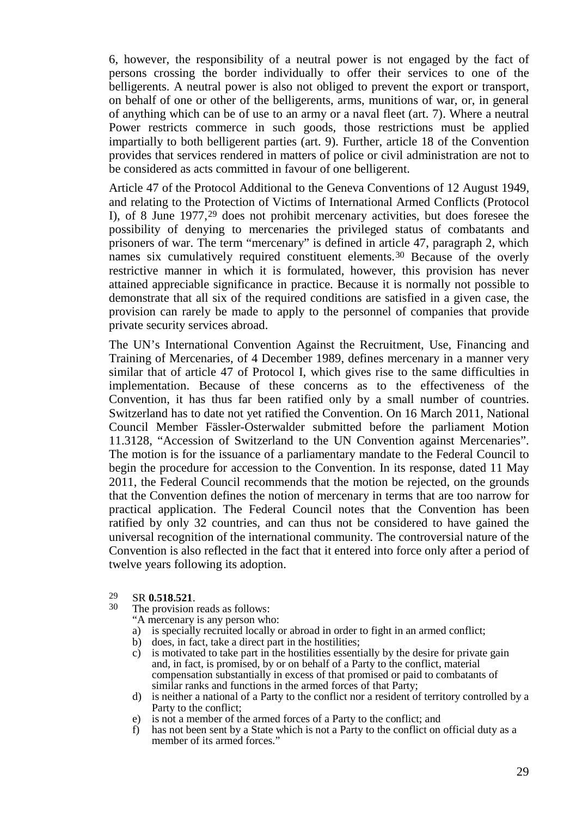6, however, the responsibility of a neutral power is not engaged by the fact of persons crossing the border individually to offer their services to one of the belligerents. A neutral power is also not obliged to prevent the export or transport, on behalf of one or other of the belligerents, arms, munitions of war, or, in general of anything which can be of use to an army or a naval fleet (art. 7). Where a neutral Power restricts commerce in such goods, those restrictions must be applied impartially to both belligerent parties (art. 9). Further, article 18 of the Convention provides that services rendered in matters of police or civil administration are not to be considered as acts committed in favour of one belligerent.

Article 47 of the Protocol Additional to the Geneva Conventions of 12 August 1949, and relating to the Protection of Victims of International Armed Conflicts (Protocol I), of 8 June 1977,[29](#page-28-0) does not prohibit mercenary activities, but does foresee the possibility of denying to mercenaries the privileged status of combatants and prisoners of war. The term "mercenary" is defined in article 47, paragraph 2, which names six cumulatively required constituent elements.[30](#page-28-1) Because of the overly restrictive manner in which it is formulated, however, this provision has never attained appreciable significance in practice. Because it is normally not possible to demonstrate that all six of the required conditions are satisfied in a given case, the provision can rarely be made to apply to the personnel of companies that provide private security services abroad.

The UN's International Convention Against the Recruitment, Use, Financing and Training of Mercenaries, of 4 December 1989, defines mercenary in a manner very similar that of article 47 of Protocol I, which gives rise to the same difficulties in implementation. Because of these concerns as to the effectiveness of the Convention, it has thus far been ratified only by a small number of countries. Switzerland has to date not yet ratified the Convention. On 16 March 2011, National Council Member Fässler-Osterwalder submitted before the parliament Motion 11.3128, "Accession of Switzerland to the UN Convention against Mercenaries". The motion is for the issuance of a parliamentary mandate to the Federal Council to begin the procedure for accession to the Convention. In its response, dated 11 May 2011, the Federal Council recommends that the motion be rejected, on the grounds that the Convention defines the notion of mercenary in terms that are too narrow for practical application. The Federal Council notes that the Convention has been ratified by only 32 countries, and can thus not be considered to have gained the universal recognition of the international community. The controversial nature of the Convention is also reflected in the fact that it entered into force only after a period of twelve years following its adoption.

- 
- <span id="page-28-1"></span><span id="page-28-0"></span><sup>29</sup> SR **0.518.521**.<br><sup>30</sup> The provision reads as follows:<br>"A mercenary is any person who:

- a) is specially recruited locally or abroad in order to fight in an armed conflict;
- b) does, in fact, take a direct part in the hostilities;
- c) is motivated to take part in the hostilities essentially by the desire for private gain and, in fact, is promised, by or on behalf of a Party to the conflict, material compensation substantially in excess of that promised or paid to combatants of similar ranks and functions in the armed forces of that Party;
- d) is neither a national of a Party to the conflict nor a resident of territory controlled by a Party to the conflict;
- e) is not a member of the armed forces of a Party to the conflict; and f) has not been sent by a State which is not a Party to the conflict on  $\alpha$
- has not been sent by a State which is not a Party to the conflict on official duty as a member of its armed forces."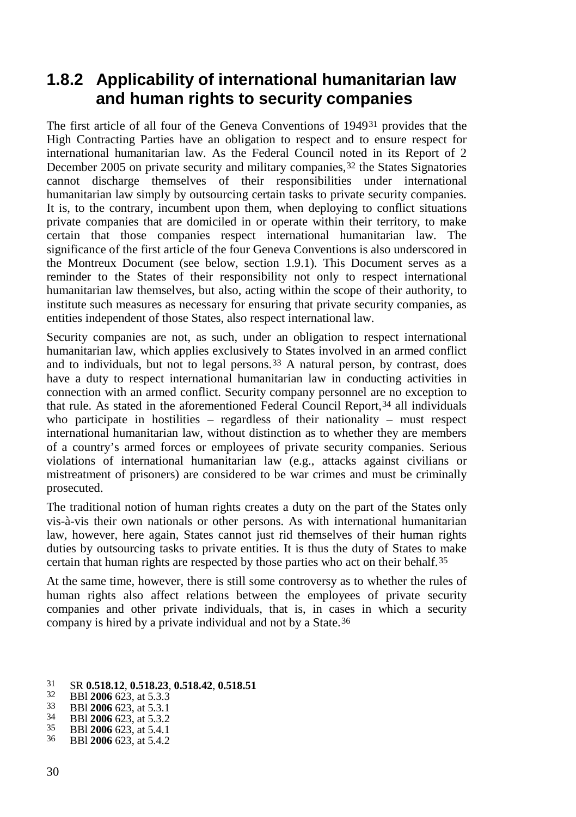#### <span id="page-29-0"></span>**1.8.2 Applicability of international humanitarian law and human rights to security companies**

The first article of all four of the Geneva Conventions of 1949[31](#page-29-1) provides that the High Contracting Parties have an obligation to respect and to ensure respect for international humanitarian law. As the Federal Council noted in its Report of 2 December 2005 on private security and military companies,<sup>[32](#page-29-2)</sup> the States Signatories cannot discharge themselves of their responsibilities under international humanitarian law simply by outsourcing certain tasks to private security companies. It is, to the contrary, incumbent upon them, when deploying to conflict situations private companies that are domiciled in or operate within their territory, to make certain that those companies respect international humanitarian law. The significance of the first article of the four Geneva Conventions is also underscored in the Montreux Document (see below, section 1.9.1). This Document serves as a reminder to the States of their responsibility not only to respect international humanitarian law themselves, but also, acting within the scope of their authority, to institute such measures as necessary for ensuring that private security companies, as entities independent of those States, also respect international law.

Security companies are not, as such, under an obligation to respect international humanitarian law, which applies exclusively to States involved in an armed conflict and to individuals, but not to legal persons. [33](#page-29-3) A natural person, by contrast, does have a duty to respect international humanitarian law in conducting activities in connection with an armed conflict. Security company personnel are no exception to that rule. As stated in the aforementioned Federal Council Report,<sup>[34](#page-29-4)</sup> all individuals who participate in hostilities – regardless of their nationality – must respect international humanitarian law, without distinction as to whether they are members of a country's armed forces or employees of private security companies. Serious violations of international humanitarian law (e.g., attacks against civilians or mistreatment of prisoners) are considered to be war crimes and must be criminally prosecuted.

The traditional notion of human rights creates a duty on the part of the States only vis-à-vis their own nationals or other persons. As with international humanitarian law, however, here again, States cannot just rid themselves of their human rights duties by outsourcing tasks to private entities. It is thus the duty of States to make certain that human rights are respected by those parties who act on their behalf. [35](#page-29-5)

At the same time, however, there is still some controversy as to whether the rules of human rights also affect relations between the employees of private security companies and other private individuals, that is, in cases in which a security company is hired by a private individual and not by a State.[36](#page-29-6)

<span id="page-29-2"></span><span id="page-29-1"></span>31 SR 0.518.12, 0.518.23, 0.518.42, 0.518.51<br>
32 BBI 2006 623, at 5.3.3<br>
33 BBI 2006 623, at 5.3.1<br>
34 BBI 2006 623, at 5.3.1<br>
35 BBI 2006 623, at 5.3.2<br>
35 BBI 2006 623 at 5.4.1<br>
36 BBI 2006 623, at 5.4.2

- <span id="page-29-3"></span>
- <span id="page-29-4"></span>
- <span id="page-29-5"></span>
- <span id="page-29-6"></span>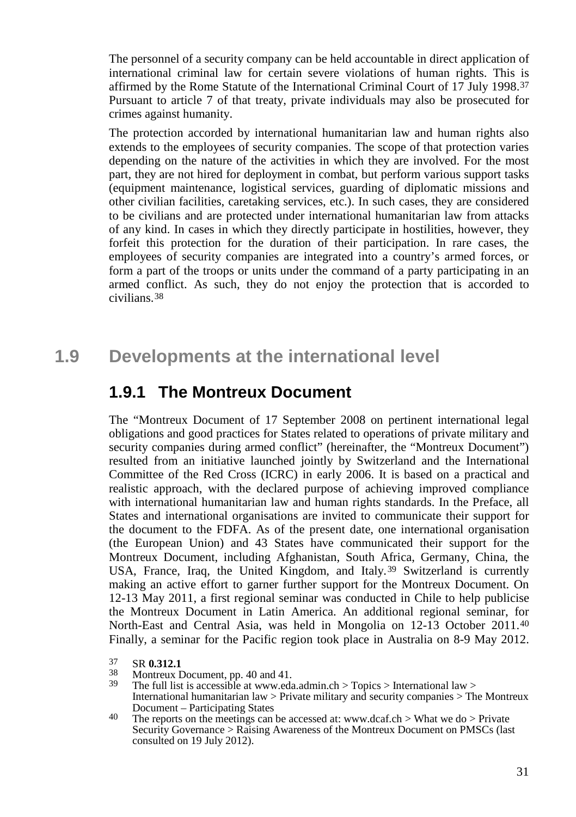The personnel of a security company can be held accountable in direct application of international criminal law for certain severe violations of human rights. This is affirmed by the Rome Statute of the International Criminal Court of 17 July 1998.[37](#page-30-2) Pursuant to article 7 of that treaty, private individuals may also be prosecuted for crimes against humanity.

The protection accorded by international humanitarian law and human rights also extends to the employees of security companies. The scope of that protection varies depending on the nature of the activities in which they are involved. For the most part, they are not hired for deployment in combat, but perform various support tasks (equipment maintenance, logistical services, guarding of diplomatic missions and other civilian facilities, caretaking services, etc.). In such cases, they are considered to be civilians and are protected under international humanitarian law from attacks of any kind. In cases in which they directly participate in hostilities, however, they forfeit this protection for the duration of their participation. In rare cases, the employees of security companies are integrated into a country's armed forces, or form a part of the troops or units under the command of a party participating in an armed conflict. As such, they do not enjoy the protection that is accorded to civilians. [38](#page-30-3)

### <span id="page-30-0"></span>**1.9 Developments at the international level**

#### <span id="page-30-1"></span>**1.9.1 The Montreux Document**

The "Montreux Document of 17 September 2008 on pertinent international legal obligations and good practices for States related to operations of private military and security companies during armed conflict" (hereinafter, the "Montreux Document") resulted from an initiative launched jointly by Switzerland and the International Committee of the Red Cross (ICRC) in early 2006. It is based on a practical and realistic approach, with the declared purpose of achieving improved compliance with international humanitarian law and human rights standards. In the Preface, all States and international organisations are invited to communicate their support for the document to the FDFA. As of the present date, one international organisation (the European Union) and 43 States have communicated their support for the Montreux Document, including Afghanistan, South Africa, Germany, China, the USA, France, Iraq, the United Kingdom, and Italy.[39](#page-30-4) Switzerland is currently making an active effort to garner further support for the Montreux Document. On 12-13 May 2011, a first regional seminar was conducted in Chile to help publicise the Montreux Document in Latin America. An additional regional seminar, for North-East and Central Asia, was held in Mongolia on 12-13 October 2011.[40](#page-30-5) Finally, a seminar for the Pacific region took place in Australia on 8-9 May 2012.

<span id="page-30-2"></span><sup>37</sup> SR **0.312.1**<br>38 Montreux Document. pp. 40 and 41.

<span id="page-30-4"></span><span id="page-30-3"></span> $39$  The full list is accessible at www.eda.admin.ch > Topics > International law > International humanitarian law > Private military and security companies > The Montreux

<span id="page-30-5"></span><sup>&</sup>lt;sup>40</sup> The reports on the meetings can be accessed at: www.dcaf.ch > What we do > Private Security Governance > Raising Awareness of the Montreux Document on PMSCs (last consulted on 19 July 2012).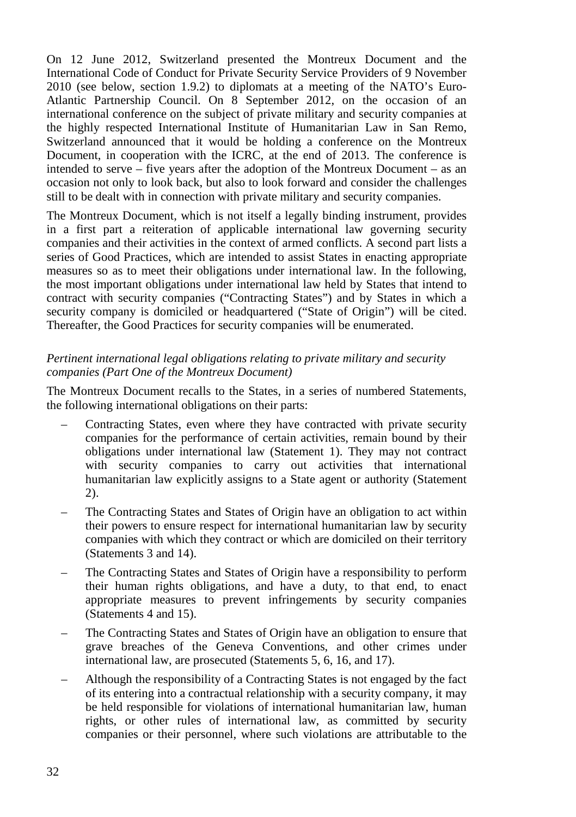On 12 June 2012, Switzerland presented the Montreux Document and the International Code of Conduct for Private Security Service Providers of 9 November 2010 (see below, section 1.9.2) to diplomats at a meeting of the NATO's Euro-Atlantic Partnership Council. On  $8$  September 2012, on the occasion of an international conference on the subject of private military and security companies at the highly respected International Institute of Humanitarian Law in San Remo, Switzerland announced that it would be holding a conference on the Montreux Document, in cooperation with the ICRC, at the end of 2013. The conference is intended to serve – five years after the adoption of the Montreux Document – as an occasion not only to look back, but also to look forward and consider the challenges still to be dealt with in connection with private military and security companies.

The Montreux Document, which is not itself a legally binding instrument, provides in a first part a reiteration of applicable international law governing security companies and their activities in the context of armed conflicts. A second part lists a series of Good Practices, which are intended to assist States in enacting appropriate measures so as to meet their obligations under international law. In the following, the most important obligations under international law held by States that intend to contract with security companies ("Contracting States") and by States in which a security company is domiciled or headquartered ("State of Origin") will be cited. Thereafter, the Good Practices for security companies will be enumerated.

#### *Pertinent international legal obligations relating to private military and security companies (Part One of the Montreux Document)*

The Montreux Document recalls to the States, in a series of numbered Statements, the following international obligations on their parts:

- Contracting States, even where they have contracted with private security companies for the performance of certain activities, remain bound by their obligations under international law (Statement 1). They may not contract with security companies to carry out activities that international humanitarian law explicitly assigns to a State agent or authority (Statement 2).
- The Contracting States and States of Origin have an obligation to act within their powers to ensure respect for international humanitarian law by security companies with which they contract or which are domiciled on their territory (Statements 3 and 14).
- The Contracting States and States of Origin have a responsibility to perform their human rights obligations, and have a duty, to that end, to enact appropriate measures to prevent infringements by security companies (Statements 4 and 15).
- The Contracting States and States of Origin have an obligation to ensure that grave breaches of the Geneva Conventions, and other crimes under international law, are prosecuted (Statements 5, 6, 16, and 17).
- Although the responsibility of a Contracting States is not engaged by the fact of its entering into a contractual relationship with a security company, it may be held responsible for violations of international humanitarian law, human rights, or other rules of international law, as committed by security companies or their personnel, where such violations are attributable to the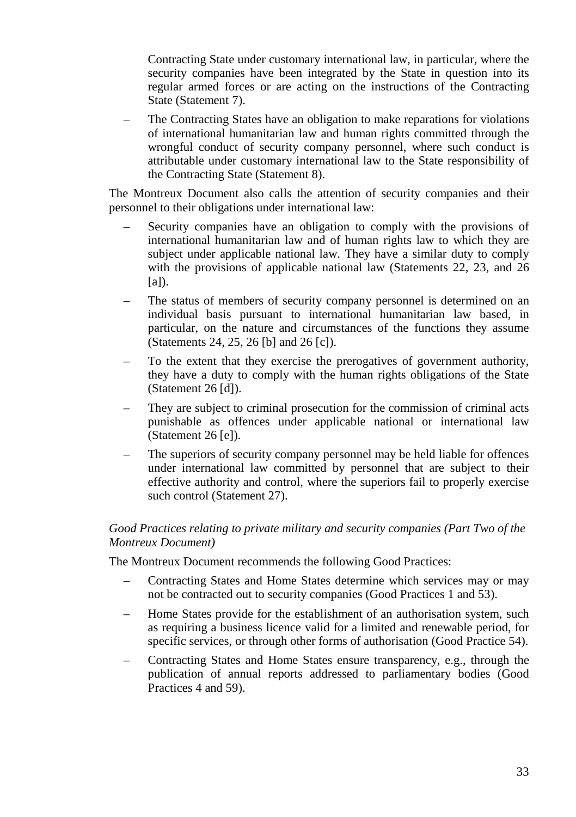Contracting State under customary international law, in particular, where the security companies have been integrated by the State in question into its regular armed forces or are acting on the instructions of the Contracting State (Statement 7).

– The Contracting States have an obligation to make reparations for violations of international humanitarian law and human rights committed through the wrongful conduct of security company personnel, where such conduct is attributable under customary international law to the State responsibility of the Contracting State (Statement 8).

The Montreux Document also calls the attention of security companies and their personnel to their obligations under international law:

- Security companies have an obligation to comply with the provisions of international humanitarian law and of human rights law to which they are subject under applicable national law. They have a similar duty to comply with the provisions of applicable national law (Statements 22, 23, and 26 [a]).
- The status of members of security company personnel is determined on an individual basis pursuant to international humanitarian law based, in particular, on the nature and circumstances of the functions they assume (Statements 24, 25, 26 [b] and 26 [c]).
- To the extent that they exercise the prerogatives of government authority, they have a duty to comply with the human rights obligations of the State (Statement 26 [d]).
- They are subject to criminal prosecution for the commission of criminal acts punishable as offences under applicable national or international law (Statement 26 [e]).
- The superiors of security company personnel may be held liable for offences under international law committed by personnel that are subject to their effective authority and control, where the superiors fail to properly exercise such control (Statement 27).

#### *Good Practices relating to private military and security companies (Part Two of the Montreux Document)*

The Montreux Document recommends the following Good Practices:

- Contracting States and Home States determine which services may or may not be contracted out to security companies (Good Practices 1 and 53).
- Home States provide for the establishment of an authorisation system, such as requiring a business licence valid for a limited and renewable period, for specific services, or through other forms of authorisation (Good Practice 54).
- Contracting States and Home States ensure transparency, e.g., through the publication of annual reports addressed to parliamentary bodies (Good Practices 4 and 59).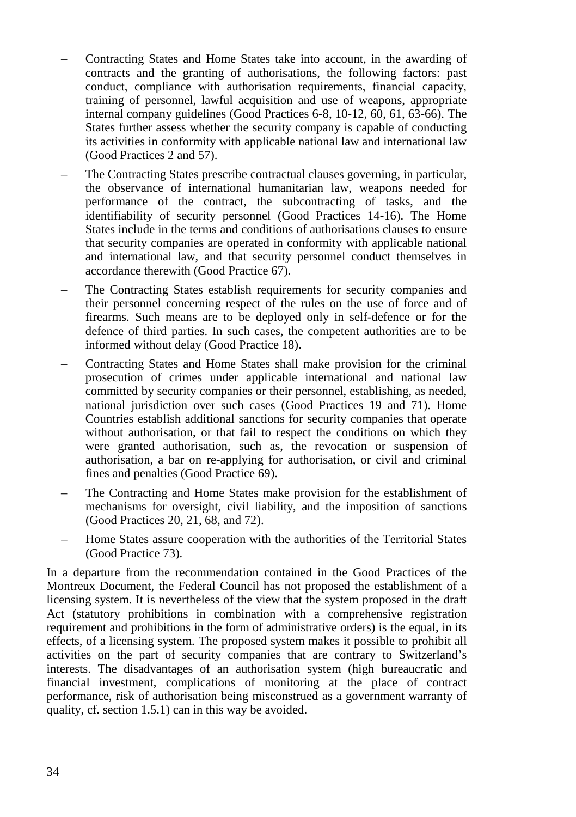- Contracting States and Home States take into account, in the awarding of contracts and the granting of authorisations, the following factors: past conduct, compliance with authorisation requirements, financial capacity, training of personnel, lawful acquisition and use of weapons, appropriate internal company guidelines (Good Practices 6-8, 10-12, 60, 61, 63-66). The States further assess whether the security company is capable of conducting its activities in conformity with applicable national law and international law (Good Practices 2 and 57).
- The Contracting States prescribe contractual clauses governing, in particular, the observance of international humanitarian law, weapons needed for performance of the contract, the subcontracting of tasks, and the identifiability of security personnel (Good Practices 14-16). The Home States include in the terms and conditions of authorisations clauses to ensure that security companies are operated in conformity with applicable national and international law, and that security personnel conduct themselves in accordance therewith (Good Practice 67).
- The Contracting States establish requirements for security companies and their personnel concerning respect of the rules on the use of force and of firearms. Such means are to be deployed only in self-defence or for the defence of third parties. In such cases, the competent authorities are to be informed without delay (Good Practice 18).
- Contracting States and Home States shall make provision for the criminal prosecution of crimes under applicable international and national law committed by security companies or their personnel, establishing, as needed, national jurisdiction over such cases (Good Practices 19 and 71). Home Countries establish additional sanctions for security companies that operate without authorisation, or that fail to respect the conditions on which they were granted authorisation, such as, the revocation or suspension of authorisation, a bar on re-applying for authorisation, or civil and criminal fines and penalties (Good Practice 69).
- The Contracting and Home States make provision for the establishment of mechanisms for oversight, civil liability, and the imposition of sanctions (Good Practices 20, 21, 68, and 72).
- Home States assure cooperation with the authorities of the Territorial States (Good Practice 73).

In a departure from the recommendation contained in the Good Practices of the Montreux Document, the Federal Council has not proposed the establishment of a licensing system. It is nevertheless of the view that the system proposed in the draft Act (statutory prohibitions in combination with a comprehensive registration requirement and prohibitions in the form of administrative orders) is the equal, in its effects, of a licensing system. The proposed system makes it possible to prohibit all activities on the part of security companies that are contrary to Switzerland's interests. The disadvantages of an authorisation system (high bureaucratic and financial investment, complications of monitoring at the place of contract performance, risk of authorisation being misconstrued as a government warranty of quality, cf. section 1.5.1) can in this way be avoided.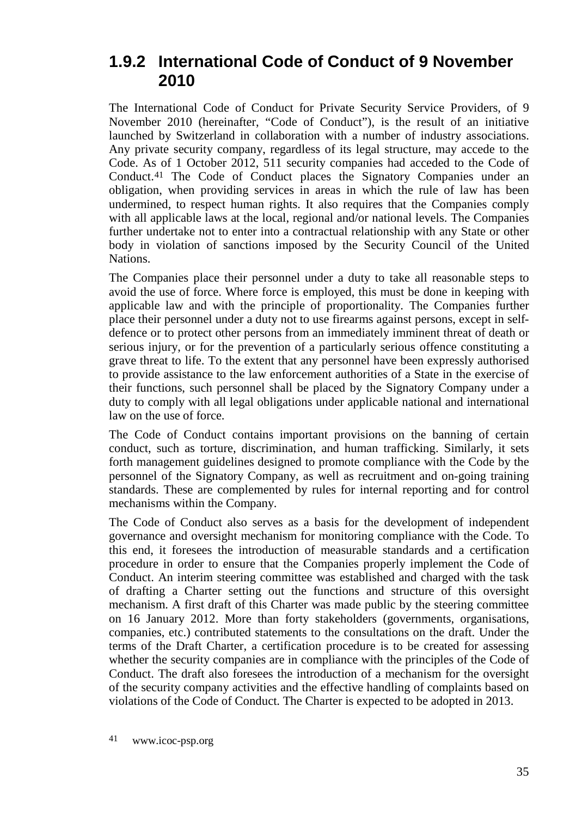#### <span id="page-34-0"></span>**1.9.2 International Code of Conduct of 9 November 2010**

The International Code of Conduct for Private Security Service Providers, of 9 November 2010 (hereinafter, "Code of Conduct"), is the result of an initiative launched by Switzerland in collaboration with a number of industry associations. Any private security company, regardless of its legal structure, may accede to the Code. As of 1 October 2012, 511 security companies had acceded to the Code of Conduct.[41](#page-34-1) The Code of Conduct places the Signatory Companies under an obligation, when providing services in areas in which the rule of law has been undermined, to respect human rights. It also requires that the Companies comply with all applicable laws at the local, regional and/or national levels. The Companies further undertake not to enter into a contractual relationship with any State or other body in violation of sanctions imposed by the Security Council of the United Nations.

The Companies place their personnel under a duty to take all reasonable steps to avoid the use of force. Where force is employed, this must be done in keeping with applicable law and with the principle of proportionality. The Companies further place their personnel under a duty not to use firearms against persons, except in selfdefence or to protect other persons from an immediately imminent threat of death or serious injury, or for the prevention of a particularly serious offence constituting a grave threat to life. To the extent that any personnel have been expressly authorised to provide assistance to the law enforcement authorities of a State in the exercise of their functions, such personnel shall be placed by the Signatory Company under a duty to comply with all legal obligations under applicable national and international law on the use of force.

The Code of Conduct contains important provisions on the banning of certain conduct, such as torture, discrimination, and human trafficking. Similarly, it sets forth management guidelines designed to promote compliance with the Code by the personnel of the Signatory Company, as well as recruitment and on-going training standards. These are complemented by rules for internal reporting and for control mechanisms within the Company.

<span id="page-34-1"></span>The Code of Conduct also serves as a basis for the development of independent governance and oversight mechanism for monitoring compliance with the Code. To this end, it foresees the introduction of measurable standards and a certification procedure in order to ensure that the Companies properly implement the Code of Conduct. An interim steering committee was established and charged with the task of drafting a Charter setting out the functions and structure of this oversight mechanism. A first draft of this Charter was made public by the steering committee on 16 January 2012. More than forty stakeholders (governments, organisations, companies, etc.) contributed statements to the consultations on the draft. Under the terms of the Draft Charter, a certification procedure is to be created for assessing whether the security companies are in compliance with the principles of the Code of Conduct. The draft also foresees the introduction of a mechanism for the oversight of the security company activities and the effective handling of complaints based on violations of the Code of Conduct. The Charter is expected to be adopted in 2013.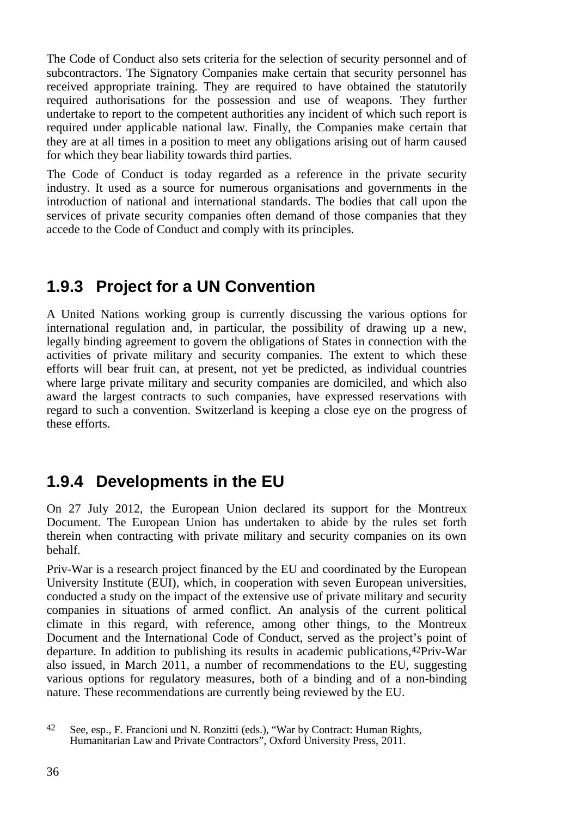The Code of Conduct also sets criteria for the selection of security personnel and of subcontractors. The Signatory Companies make certain that security personnel has received appropriate training. They are required to have obtained the statutorily required authorisations for the possession and use of weapons. They further undertake to report to the competent authorities any incident of which such report is required under applicable national law. Finally, the Companies make certain that they are at all times in a position to meet any obligations arising out of harm caused for which they bear liability towards third parties.

The Code of Conduct is today regarded as a reference in the private security industry. It used as a source for numerous organisations and governments in the introduction of national and international standards. The bodies that call upon the services of private security companies often demand of those companies that they accede to the Code of Conduct and comply with its principles.

### <span id="page-35-0"></span>**1.9.3 Project for a UN Convention**

A United Nations working group is currently discussing the various options for international regulation and, in particular, the possibility of drawing up a new, legally binding agreement to govern the obligations of States in connection with the activities of private military and security companies. The extent to which these efforts will bear fruit can, at present, not yet be predicted, as individual countries where large private military and security companies are domiciled, and which also award the largest contracts to such companies, have expressed reservations with regard to such a convention. Switzerland is keeping a close eye on the progress of these efforts.

## <span id="page-35-1"></span>**1.9.4 Developments in the EU**

On 27 July 2012, the European Union declared its support for the Montreux Document. The European Union has undertaken to abide by the rules set forth therein when contracting with private military and security companies on its own behalf.

Priv-War is a research project financed by the EU and coordinated by the European University Institute (EUI), which, in cooperation with seven European universities, conducted a study on the impact of the extensive use of private military and security companies in situations of armed conflict. An analysis of the current political climate in this regard, with reference, among other things, to the Montreux Document and the International Code of Conduct, served as the project's point of departure. In addition to publishing its results in academic publications,[42](#page-35-2) Priv-War also issued, in March 2011, a number of recommendations to the EU, suggesting various options for regulatory measures, both of a binding and of a non-binding nature. These recommendations are currently being reviewed by the EU.

<span id="page-35-2"></span><sup>42</sup> See, esp., F. Francioni und N. Ronzitti (eds.), "War by Contract: Human Rights, Humanitarian Law and Private Contractors", Oxford University Press, 2011.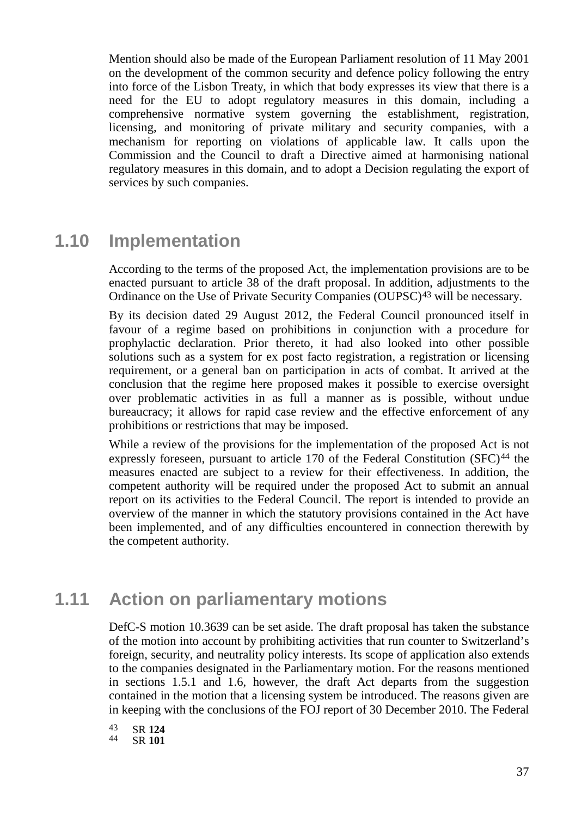Mention should also be made of the European Parliament resolution of 11 May 2001 on the development of the common security and defence policy following the entry into force of the Lisbon Treaty, in which that body expresses its view that there is a need for the EU to adopt regulatory measures in this domain, including a comprehensive normative system governing the establishment, registration, licensing, and monitoring of private military and security companies, with a mechanism for reporting on violations of applicable law. It calls upon the Commission and the Council to draft a Directive aimed at harmonising national regulatory measures in this domain, and to adopt a Decision regulating the export of services by such companies.

# **1.10 Implementation**

According to the terms of the proposed Act, the implementation provisions are to be enacted pursuant to article 38 of the draft proposal. In addition, adjustments to the Ordinance on the Use of Private Security Companies (OUPSC)[43](#page-36-0) will be necessary.

By its decision dated 29 August 2012, the Federal Council pronounced itself in favour of a regime based on prohibitions in conjunction with a procedure for prophylactic declaration. Prior thereto, it had also looked into other possible solutions such as a system for ex post facto registration, a registration or licensing requirement, or a general ban on participation in acts of combat. It arrived at the conclusion that the regime here proposed makes it possible to exercise oversight over problematic activities in as full a manner as is possible, without undue bureaucracy; it allows for rapid case review and the effective enforcement of any prohibitions or restrictions that may be imposed.

While a review of the provisions for the implementation of the proposed Act is not expressly foreseen, pursuant to article 170 of the Federal Constitution (SFC)<sup>[44](#page-36-1)</sup> the measures enacted are subject to a review for their effectiveness. In addition, the competent authority will be required under the proposed Act to submit an annual report on its activities to the Federal Council. The report is intended to provide an overview of the manner in which the statutory provisions contained in the Act have been implemented, and of any difficulties encountered in connection therewith by the competent authority.

# **1.11 Action on parliamentary motions**

DefC-S motion 10.3639 can be set aside. The draft proposal has taken the substance of the motion into account by prohibiting activities that run counter to Switzerland's foreign, security, and neutrality policy interests. Its scope of application also extends to the companies designated in the Parliamentary motion. For the reasons mentioned in sections 1.5.1 and 1.6, however, the draft Act departs from the suggestion contained in the motion that a licensing system be introduced. The reasons given are in keeping with the conclusions of the FOJ report of 30 December 2010. The Federal

<span id="page-36-1"></span><span id="page-36-0"></span><sup>43</sup> SR **<sup>124</sup>** <sup>44</sup> SR **<sup>101</sup>**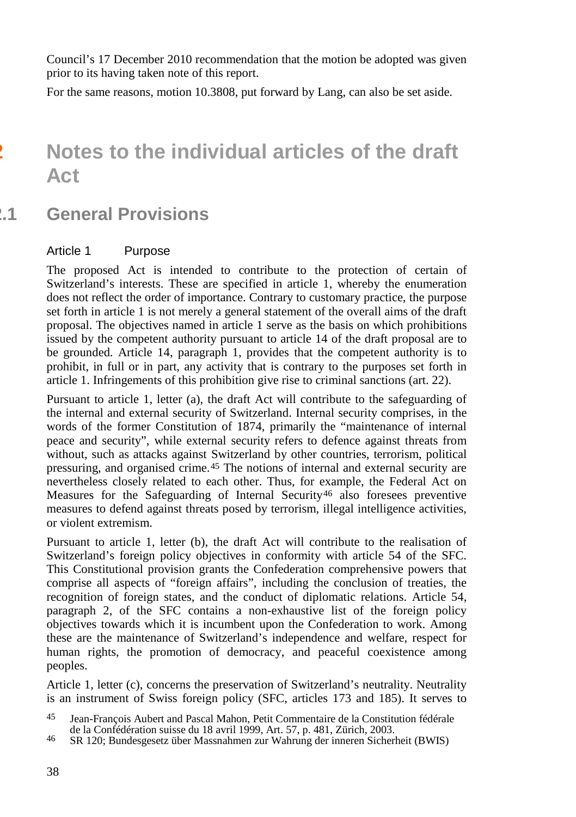Council's 17 December 2010 recommendation that the motion be adopted was given prior to its having taken note of this report.

For the same reasons, motion 10.3808, put forward by Lang, can also be set aside.

# **2 Notes to the individual articles of the draft Act**

# **2.1 General Provisions**

#### Article 1 Purpose

The proposed Act is intended to contribute to the protection of certain of Switzerland's interests. These are specified in article 1, whereby the enumeration does not reflect the order of importance. Contrary to customary practice, the purpose set forth in article 1 is not merely a general statement of the overall aims of the draft proposal. The objectives named in article 1 serve as the basis on which prohibitions issued by the competent authority pursuant to article 14 of the draft proposal are to be grounded. Article 14, paragraph 1, provides that the competent authority is to prohibit, in full or in part, any activity that is contrary to the purposes set forth in article 1. Infringements of this prohibition give rise to criminal sanctions (art. 22).

Pursuant to article 1, letter (a), the draft Act will contribute to the safeguarding of the internal and external security of Switzerland. Internal security comprises, in the words of the former Constitution of 1874, primarily the "maintenance of internal peace and security", while external security refers to defence against threats from without, such as attacks against Switzerland by other countries, terrorism, political pressuring, and organised crime.[45](#page-37-0) The notions of internal and external security are nevertheless closely related to each other. Thus, for example, the Federal Act on Measures for the Safeguarding of Internal Security<sup>[46](#page-37-1)</sup> also foresees preventive measures to defend against threats posed by terrorism, illegal intelligence activities, or violent extremism.

Pursuant to article 1, letter (b), the draft Act will contribute to the realisation of Switzerland's foreign policy objectives in conformity with article 54 of the SFC. This Constitutional provision grants the Confederation comprehensive powers that comprise all aspects of "foreign affairs", including the conclusion of treaties, the recognition of foreign states, and the conduct of diplomatic relations. Article 54, paragraph 2, of the SFC contains a non-exhaustive list of the foreign policy objectives towards which it is incumbent upon the Confederation to work. Among these are the maintenance of Switzerland's independence and welfare, respect for human rights, the promotion of democracy, and peaceful coexistence among peoples.

Article 1, letter (c), concerns the preservation of Switzerland's neutrality. Neutrality is an instrument of Swiss foreign policy (SFC, articles 173 and 185). It serves to

<span id="page-37-0"></span><sup>45</sup> Jean-François Aubert and Pascal Mahon, Petit Commentaire de la Constitution fédérale

<span id="page-37-1"></span>de la Confédération suisse du 18 avril 1999, Art. 57, p. 481, Zürich, 2003.<br>46 SR 120; Bundesgesetz über Massnahmen zur Wahrung der inneren Sicherheit (BWIS)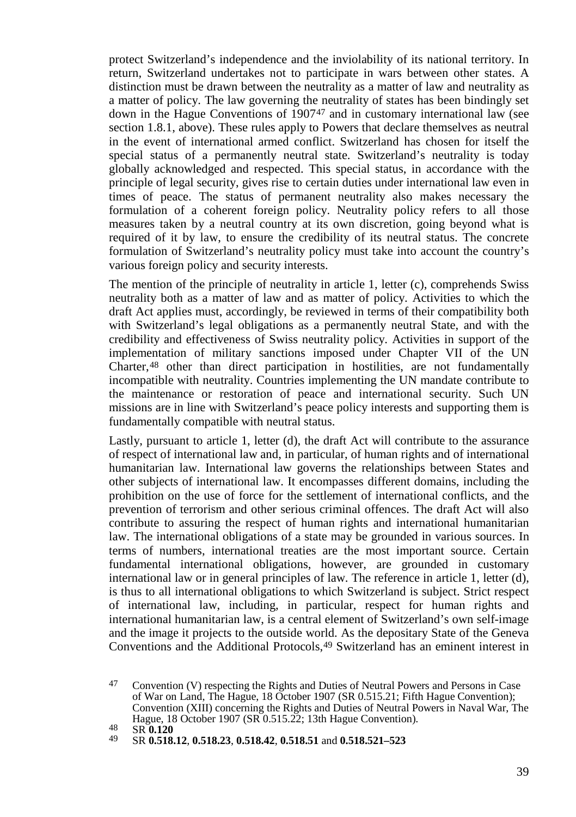protect Switzerland's independence and the inviolability of its national territory. In return, Switzerland undertakes not to participate in wars between other states. A distinction must be drawn between the neutrality as a matter of law and neutrality as a matter of policy. The law governing the neutrality of states has been bindingly set down in the Hague Conventions of 1907[47](#page-38-0) and in customary international law (see section 1.8.1, above). These rules apply to Powers that declare themselves as neutral in the event of international armed conflict. Switzerland has chosen for itself the special status of a permanently neutral state. Switzerland's neutrality is today globally acknowledged and respected. This special status, in accordance with the principle of legal security, gives rise to certain duties under international law even in times of peace. The status of permanent neutrality also makes necessary the formulation of a coherent foreign policy. Neutrality policy refers to all those measures taken by a neutral country at its own discretion, going beyond what is required of it by law, to ensure the credibility of its neutral status. The concrete formulation of Switzerland's neutrality policy must take into account the country's various foreign policy and security interests.

The mention of the principle of neutrality in article 1, letter (c), comprehends Swiss neutrality both as a matter of law and as matter of policy. Activities to which the draft Act applies must, accordingly, be reviewed in terms of their compatibility both with Switzerland's legal obligations as a permanently neutral State, and with the credibility and effectiveness of Swiss neutrality policy. Activities in support of the implementation of military sanctions imposed under Chapter VII of the UN Charter, [48](#page-38-1) other than direct participation in hostilities, are not fundamentally incompatible with neutrality. Countries implementing the UN mandate contribute to the maintenance or restoration of peace and international security. Such UN missions are in line with Switzerland's peace policy interests and supporting them is fundamentally compatible with neutral status.

Lastly, pursuant to article 1, letter (d), the draft Act will contribute to the assurance of respect of international law and, in particular, of human rights and of international humanitarian law. International law governs the relationships between States and other subjects of international law. It encompasses different domains, including the prohibition on the use of force for the settlement of international conflicts, and the prevention of terrorism and other serious criminal offences. The draft Act will also contribute to assuring the respect of human rights and international humanitarian law. The international obligations of a state may be grounded in various sources. In terms of numbers, international treaties are the most important source. Certain fundamental international obligations, however, are grounded in customary international law or in general principles of law. The reference in article 1, letter (d), is thus to all international obligations to which Switzerland is subject. Strict respect of international law, including, in particular, respect for human rights and international humanitarian law, is a central element of Switzerland's own self-image and the image it projects to the outside world. As the depositary State of the Geneva Conventions and the Additional Protocols, [49](#page-38-2) Switzerland has an eminent interest in

<span id="page-38-0"></span><sup>47</sup> Convention (V) respecting the Rights and Duties of Neutral Powers and Persons in Case of War on Land, The Hague, 18 October 1907 (SR 0.515.21; Fifth Hague Convention); Convention (XIII) concerning the Rights and Duties of Neutral Powers in Naval War, The Hague, 18 October 1907 (SR 0.515.22; 13th Hague Convention).

<span id="page-38-1"></span><sup>48</sup> SR **0.120**

<span id="page-38-2"></span><sup>49</sup> SR **0.518.12**, **0.518.23**, **0.518.42**, **0.518.51** and **0.518.521–523**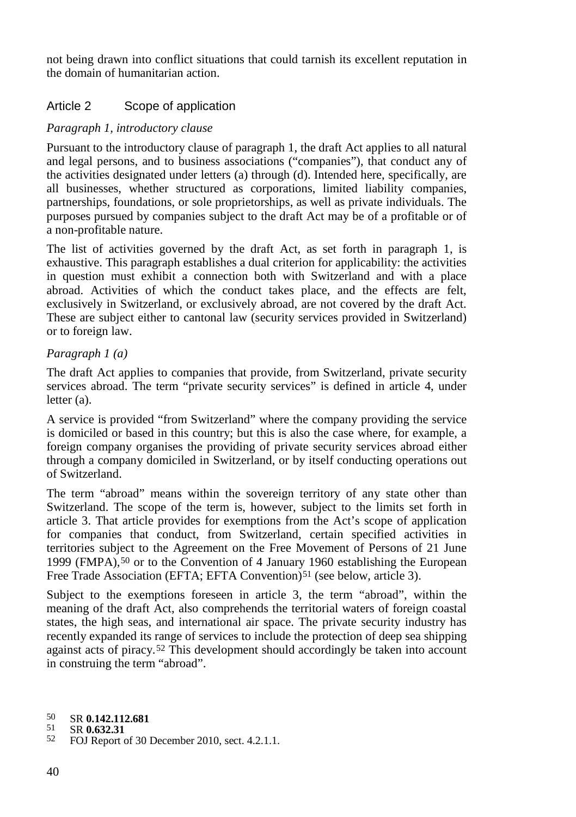not being drawn into conflict situations that could tarnish its excellent reputation in the domain of humanitarian action.

## Article 2 Scope of application

### *Paragraph 1, introductory clause*

Pursuant to the introductory clause of paragraph 1, the draft Act applies to all natural and legal persons, and to business associations ("companies"), that conduct any of the activities designated under letters (a) through (d). Intended here, specifically, are all businesses, whether structured as corporations, limited liability companies, partnerships, foundations, or sole proprietorships, as well as private individuals. The purposes pursued by companies subject to the draft Act may be of a profitable or of a non-profitable nature.

The list of activities governed by the draft Act, as set forth in paragraph 1, is exhaustive. This paragraph establishes a dual criterion for applicability: the activities in question must exhibit a connection both with Switzerland and with a place abroad. Activities of which the conduct takes place, and the effects are felt, exclusively in Switzerland, or exclusively abroad, are not covered by the draft Act. These are subject either to cantonal law (security services provided in Switzerland) or to foreign law.

### *Paragraph 1 (a)*

The draft Act applies to companies that provide, from Switzerland, private security services abroad. The term "private security services" is defined in article 4, under letter (a).

A service is provided "from Switzerland" where the company providing the service is domiciled or based in this country; but this is also the case where, for example, a foreign company organises the providing of private security services abroad either through a company domiciled in Switzerland, or by itself conducting operations out of Switzerland.

The term "abroad" means within the sovereign territory of any state other than Switzerland. The scope of the term is, however, subject to the limits set forth in article 3. That article provides for exemptions from the Act's scope of application for companies that conduct, from Switzerland, certain specified activities in territories subject to the Agreement on the Free Movement of Persons of 21 June 1999 (FMPA),[50](#page-39-0) or to the Convention of 4 January 1960 establishing the European Free Trade Association (EFTA; EFTA Convention)<sup>[51](#page-39-1)</sup> (see below, article 3).

Subject to the exemptions foreseen in article 3, the term "abroad", within the meaning of the draft Act, also comprehends the territorial waters of foreign coastal states, the high seas, and international air space. The private security industry has recently expanded its range of services to include the protection of deep sea shipping against acts of piracy. [52](#page-39-2) This development should accordingly be taken into account in construing the term "abroad".

<span id="page-39-1"></span>

<span id="page-39-0"></span><sup>50</sup> SR **0.142.112.681**

<span id="page-39-2"></span><sup>52</sup> FOJ Report of 30 December 2010, sect. 4.2.1.1.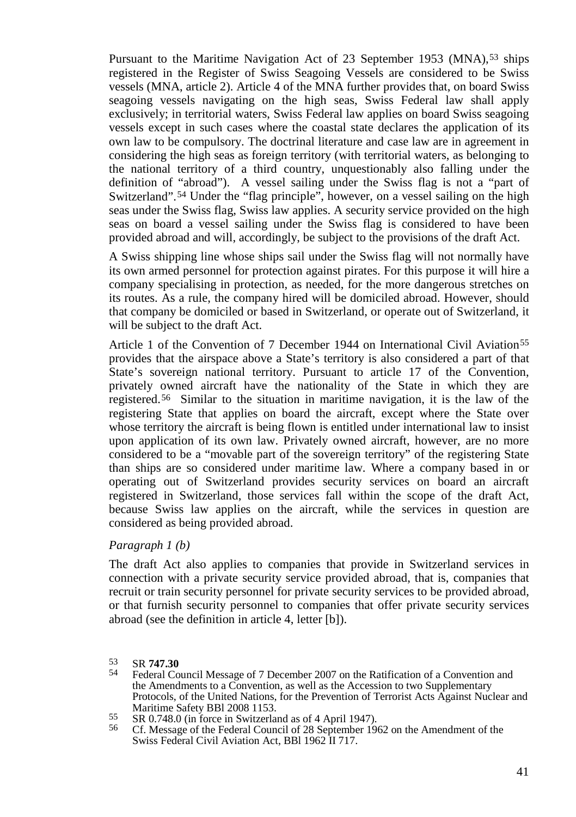Pursuant to the Maritime Navigation Act of 23 September 19[53](#page-40-0) (MNA),<sup>53</sup> ships registered in the Register of Swiss Seagoing Vessels are considered to be Swiss vessels (MNA, article 2). Article 4 of the MNA further provides that, on board Swiss seagoing vessels navigating on the high seas, Swiss Federal law shall apply exclusively; in territorial waters, Swiss Federal law applies on board Swiss seagoing vessels except in such cases where the coastal state declares the application of its own law to be compulsory. The doctrinal literature and case law are in agreement in considering the high seas as foreign territory (with territorial waters, as belonging to the national territory of a third country, unquestionably also falling under the definition of "abroad"). A vessel sailing under the Swiss flag is not a "part of Switzerland".<sup>[54](#page-40-1)</sup> Under the "flag principle", however, on a vessel sailing on the high seas under the Swiss flag, Swiss law applies. A security service provided on the high seas on board a vessel sailing under the Swiss flag is considered to have been provided abroad and will, accordingly, be subject to the provisions of the draft Act.

A Swiss shipping line whose ships sail under the Swiss flag will not normally have its own armed personnel for protection against pirates. For this purpose it will hire a company specialising in protection, as needed, for the more dangerous stretches on its routes. As a rule, the company hired will be domiciled abroad. However, should that company be domiciled or based in Switzerland, or operate out of Switzerland, it will be subject to the draft Act.

Article 1 of the Convention of 7 December 1944 on International Civil Aviation<sup>55</sup> provides that the airspace above a State's territory is also considered a part of that State's sovereign national territory. Pursuant to article 17 of the Convention, privately owned aircraft have the nationality of the State in which they are registered.[56](#page-40-3) Similar to the situation in maritime navigation, it is the law of the registering State that applies on board the aircraft, except where the State over whose territory the aircraft is being flown is entitled under international law to insist upon application of its own law. Privately owned aircraft, however, are no more considered to be a "movable part of the sovereign territory" of the registering State than ships are so considered under maritime law. Where a company based in or operating out of Switzerland provides security services on board an aircraft registered in Switzerland, those services fall within the scope of the draft Act, because Swiss law applies on the aircraft, while the services in question are considered as being provided abroad.

#### *Paragraph 1 (b)*

The draft Act also applies to companies that provide in Switzerland services in connection with a private security service provided abroad, that is, companies that recruit or train security personnel for private security services to be provided abroad, or that furnish security personnel to companies that offer private security services abroad (see the definition in article 4, letter [b]).

- 
- <span id="page-40-3"></span><span id="page-40-2"></span>Maritime Safety Bal 2008 1153. 55 SR 0.748.0 (in force in Switzerland as of 4 April 1947).<br><sup>56</sup> Cf. Message of the Federal Council of 28 September 1962 on the Amendment of the Swiss Federal Civil Aviation Act, BBl 1962 II 717.

<span id="page-40-1"></span><span id="page-40-0"></span><sup>53</sup> SR **747.30**<br><sup>54</sup> Federal Council Message of 7 December 2007 on the Ratification of a Convention and the Amendments to a Convention, as well as the Accession to two Supplementary Protocols, of the United Nations, for the Prevention of Terrorist Acts Against Nuclear and Maritime Safety BBI 2008 1153.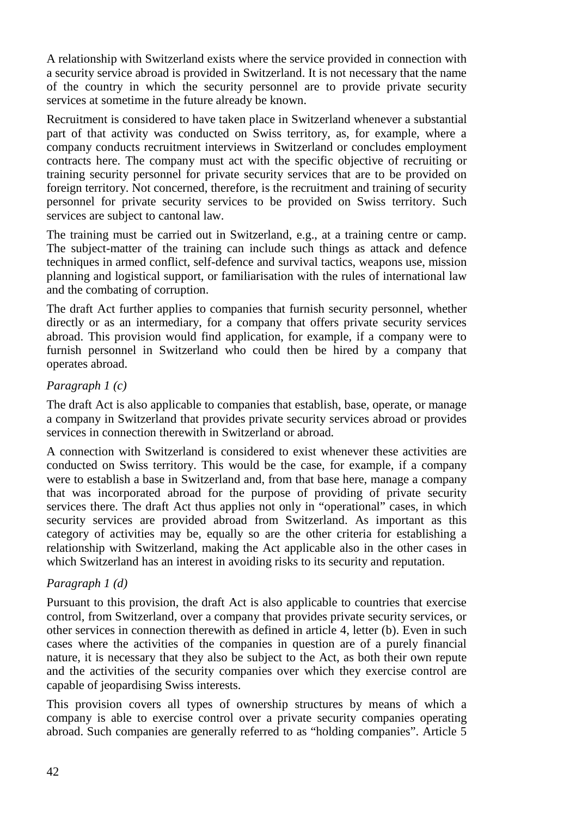A relationship with Switzerland exists where the service provided in connection with a security service abroad is provided in Switzerland. It is not necessary that the name of the country in which the security personnel are to provide private security services at sometime in the future already be known.

Recruitment is considered to have taken place in Switzerland whenever a substantial part of that activity was conducted on Swiss territory, as, for example, where a company conducts recruitment interviews in Switzerland or concludes employment contracts here. The company must act with the specific objective of recruiting or training security personnel for private security services that are to be provided on foreign territory. Not concerned, therefore, is the recruitment and training of security personnel for private security services to be provided on Swiss territory. Such services are subject to cantonal law.

The training must be carried out in Switzerland, e.g., at a training centre or camp. The subject-matter of the training can include such things as attack and defence techniques in armed conflict, self-defence and survival tactics, weapons use, mission planning and logistical support, or familiarisation with the rules of international law and the combating of corruption.

The draft Act further applies to companies that furnish security personnel, whether directly or as an intermediary, for a company that offers private security services abroad. This provision would find application, for example, if a company were to furnish personnel in Switzerland who could then be hired by a company that operates abroad.

#### *Paragraph 1 (c)*

The draft Act is also applicable to companies that establish, base, operate, or manage a company in Switzerland that provides private security services abroad or provides services in connection therewith in Switzerland or abroad.

A connection with Switzerland is considered to exist whenever these activities are conducted on Swiss territory. This would be the case, for example, if a company were to establish a base in Switzerland and, from that base here, manage a company that was incorporated abroad for the purpose of providing of private security services there. The draft Act thus applies not only in "operational" cases, in which security services are provided abroad from Switzerland. As important as this category of activities may be, equally so are the other criteria for establishing a relationship with Switzerland, making the Act applicable also in the other cases in which Switzerland has an interest in avoiding risks to its security and reputation.

#### *Paragraph 1 (d)*

Pursuant to this provision, the draft Act is also applicable to countries that exercise control, from Switzerland, over a company that provides private security services, or other services in connection therewith as defined in article 4, letter (b). Even in such cases where the activities of the companies in question are of a purely financial nature, it is necessary that they also be subject to the Act, as both their own repute and the activities of the security companies over which they exercise control are capable of jeopardising Swiss interests.

This provision covers all types of ownership structures by means of which a company is able to exercise control over a private security companies operating abroad. Such companies are generally referred to as "holding companies". Article 5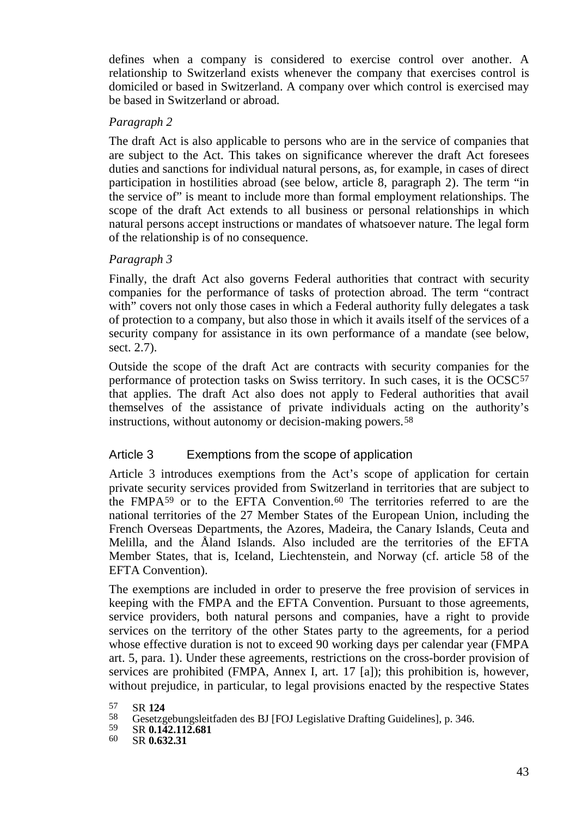defines when a company is considered to exercise control over another. A relationship to Switzerland exists whenever the company that exercises control is domiciled or based in Switzerland. A company over which control is exercised may be based in Switzerland or abroad.

#### *Paragraph 2*

The draft Act is also applicable to persons who are in the service of companies that are subject to the Act. This takes on significance wherever the draft Act foresees duties and sanctions for individual natural persons, as, for example, in cases of direct participation in hostilities abroad (see below, article 8, paragraph 2). The term "in the service of" is meant to include more than formal employment relationships. The scope of the draft Act extends to all business or personal relationships in which natural persons accept instructions or mandates of whatsoever nature. The legal form of the relationship is of no consequence.

#### *Paragraph 3*

Finally, the draft Act also governs Federal authorities that contract with security companies for the performance of tasks of protection abroad. The term "contract with" covers not only those cases in which a Federal authority fully delegates a task of protection to a company, but also those in which it avails itself of the services of a security company for assistance in its own performance of a mandate (see below, sect. 2.7).

Outside the scope of the draft Act are contracts with security companies for the performance of protection tasks on Swiss territory. In such cases, it is the OCSC[57](#page-42-0) that applies. The draft Act also does not apply to Federal authorities that avail themselves of the assistance of private individuals acting on the authority's instructions, without autonomy or decision-making powers.[58](#page-42-1)

#### Article 3 Exemptions from the scope of application

Article 3 introduces exemptions from the Act's scope of application for certain private security services provided from Switzerland in territories that are subject to the FMPA $59$  or to the EFTA Convention.  $60$  The territories referred to are the national territories of the 27 Member States of the European Union, including the French Overseas Departments, the Azores, Madeira, the Canary Islands, Ceuta and Melilla, and the Åland Islands. Also included are the territories of the EFTA Member States, that is, Iceland, Liechtenstein, and Norway (cf. article 58 of the EFTA Convention).

The exemptions are included in order to preserve the free provision of services in keeping with the FMPA and the EFTA Convention. Pursuant to those agreements, service providers, both natural persons and companies, have a right to provide services on the territory of the other States party to the agreements, for a period whose effective duration is not to exceed 90 working days per calendar year (FMPA art. 5, para. 1). Under these agreements, restrictions on the cross-border provision of services are prohibited (FMPA, Annex I, art. 17 [a]); this prohibition is, however, without prejudice, in particular, to legal provisions enacted by the respective States

<span id="page-42-1"></span><span id="page-42-0"></span><sup>57</sup> SR 124<br>58 Gesetzgebungsleitfaden des BJ [FOJ Legislative Drafting Guidelines], p. 346.<br>59 SR **0.142.112.681**<br>60 SR **0.632.31** 

<span id="page-42-3"></span><span id="page-42-2"></span>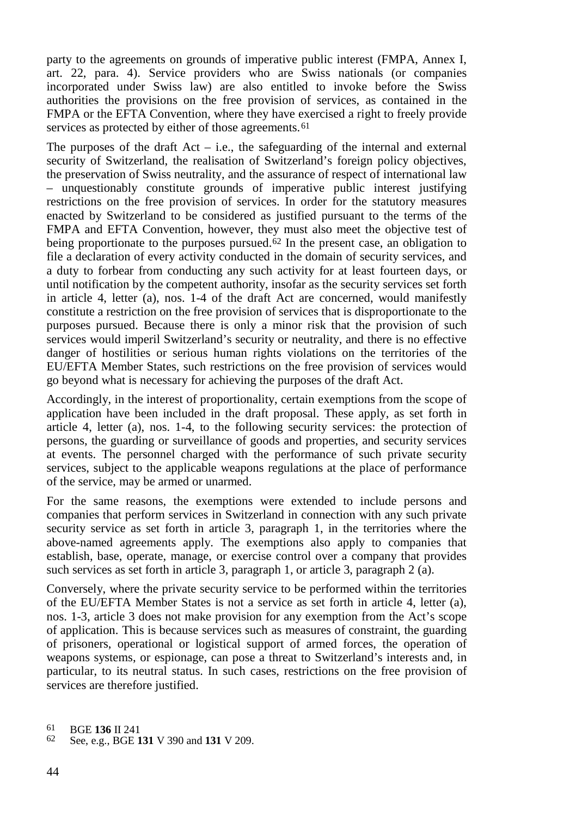party to the agreements on grounds of imperative public interest (FMPA, Annex I, art. 22, para. 4). Service providers who are Swiss nationals (or companies incorporated under Swiss law) are also entitled to invoke before the Swiss authorities the provisions on the free provision of services, as contained in the FMPA or the EFTA Convention, where they have exercised a right to freely provide services as protected by either of those agreements.<sup>[61](#page-43-0)</sup>

The purposes of the draft  $Act - i.e.,$  the safeguarding of the internal and external security of Switzerland, the realisation of Switzerland's foreign policy objectives. the preservation of Swiss neutrality, and the assurance of respect of international law – unquestionably constitute grounds of imperative public interest justifying restrictions on the free provision of services. In order for the statutory measures enacted by Switzerland to be considered as justified pursuant to the terms of the FMPA and EFTA Convention, however, they must also meet the objective test of being proportionate to the purposes pursued.<sup>[62](#page-43-1)</sup> In the present case, an obligation to file a declaration of every activity conducted in the domain of security services, and a duty to forbear from conducting any such activity for at least fourteen days, or until notification by the competent authority, insofar as the security services set forth in article 4, letter (a), nos. 1-4 of the draft Act are concerned, would manifestly constitute a restriction on the free provision of services that is disproportionate to the purposes pursued. Because there is only a minor risk that the provision of such services would imperil Switzerland's security or neutrality, and there is no effective danger of hostilities or serious human rights violations on the territories of the EU/EFTA Member States, such restrictions on the free provision of services would go beyond what is necessary for achieving the purposes of the draft Act.

Accordingly, in the interest of proportionality, certain exemptions from the scope of application have been included in the draft proposal. These apply, as set forth in article 4, letter (a), nos. 1-4, to the following security services: the protection of persons, the guarding or surveillance of goods and properties, and security services at events. The personnel charged with the performance of such private security services, subject to the applicable weapons regulations at the place of performance of the service, may be armed or unarmed.

For the same reasons, the exemptions were extended to include persons and companies that perform services in Switzerland in connection with any such private security service as set forth in article 3, paragraph 1, in the territories where the above-named agreements apply. The exemptions also apply to companies that establish, base, operate, manage, or exercise control over a company that provides such services as set forth in article 3, paragraph 1, or article 3, paragraph 2 (a).

Conversely, where the private security service to be performed within the territories of the EU/EFTA Member States is not a service as set forth in article 4, letter (a), nos. 1-3, article 3 does not make provision for any exemption from the Act's scope of application. This is because services such as measures of constraint, the guarding of prisoners, operational or logistical support of armed forces, the operation of weapons systems, or espionage, can pose a threat to Switzerland's interests and, in particular, to its neutral status. In such cases, restrictions on the free provision of services are therefore justified.

<span id="page-43-1"></span><span id="page-43-0"></span><sup>61</sup> BGE **<sup>136</sup>** II 241 <sup>62</sup> See, e.g., BGE **<sup>131</sup>** V 390 and **<sup>131</sup>** V 209.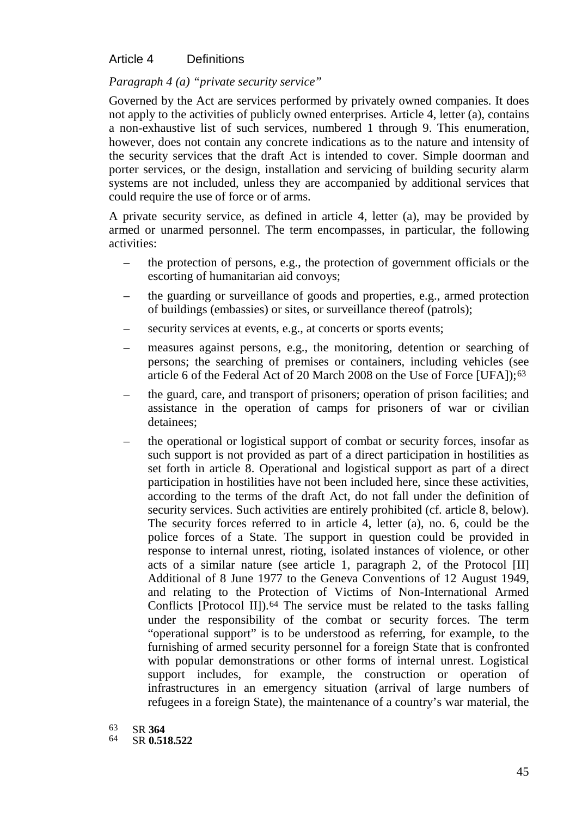#### Article 4 Definitions

#### *Paragraph 4 (a) "private security service"*

Governed by the Act are services performed by privately owned companies. It does not apply to the activities of publicly owned enterprises. Article 4, letter (a), contains a non-exhaustive list of such services, numbered 1 through 9. This enumeration, however, does not contain any concrete indications as to the nature and intensity of the security services that the draft Act is intended to cover. Simple doorman and porter services, or the design, installation and servicing of building security alarm systems are not included, unless they are accompanied by additional services that could require the use of force or of arms.

A private security service, as defined in article 4, letter (a), may be provided by armed or unarmed personnel. The term encompasses, in particular, the following activities:

- the protection of persons, e.g., the protection of government officials or the escorting of humanitarian aid convoys;
- the guarding or surveillance of goods and properties, e.g., armed protection of buildings (embassies) or sites, or surveillance thereof (patrols);
- security services at events, e.g., at concerts or sports events;
- measures against persons, e.g., the monitoring, detention or searching of persons; the searching of premises or containers, including vehicles (see article 6 of the Federal Act of 20 March 2008 on the Use of Force [UFA]);<sup>[63](#page-44-0)</sup>
- the guard, care, and transport of prisoners; operation of prison facilities; and assistance in the operation of camps for prisoners of war or civilian detainees;
- the operational or logistical support of combat or security forces, insofar as such support is not provided as part of a direct participation in hostilities as set forth in article 8. Operational and logistical support as part of a direct participation in hostilities have not been included here, since these activities, according to the terms of the draft Act, do not fall under the definition of security services. Such activities are entirely prohibited (cf. article 8, below). The security forces referred to in article 4, letter (a), no. 6, could be the police forces of a State. The support in question could be provided in response to internal unrest, rioting, isolated instances of violence, or other acts of a similar nature (see article 1, paragraph 2, of the Protocol [II] Additional of 8 June 1977 to the Geneva Conventions of 12 August 1949, and relating to the Protection of Victims of Non-International Armed Conflicts [Protocol II]).<sup>[64](#page-44-1)</sup> The service must be related to the tasks falling under the responsibility of the combat or security forces. The term "operational support" is to be understood as referring, for example, to the furnishing of armed security personnel for a foreign State that is confronted with popular demonstrations or other forms of internal unrest. Logistical support includes, for example, the construction or operation of infrastructures in an emergency situation (arrival of large numbers of refugees in a foreign State), the maintenance of a country's war material, the
- 63 SR **364**

<span id="page-44-1"></span><span id="page-44-0"></span><sup>64</sup> SR **0.518.522**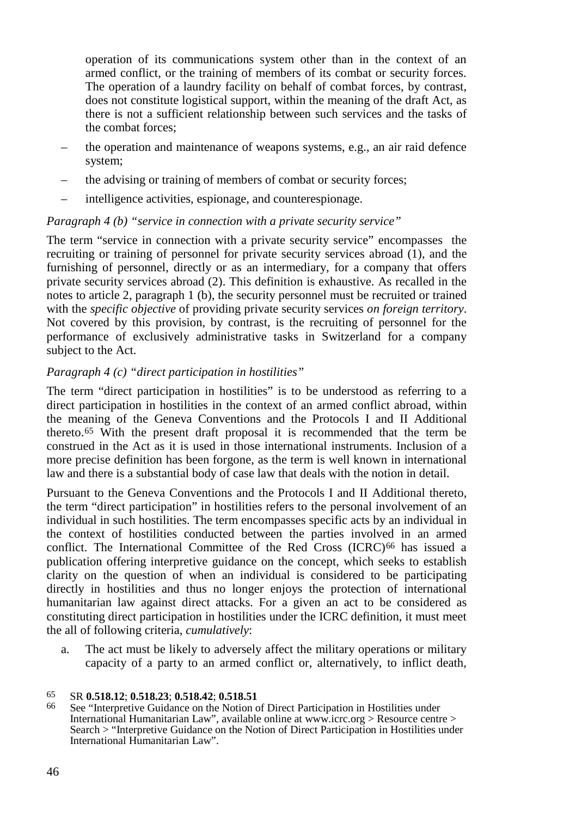operation of its communications system other than in the context of an armed conflict, or the training of members of its combat or security forces. The operation of a laundry facility on behalf of combat forces, by contrast, does not constitute logistical support, within the meaning of the draft Act, as there is not a sufficient relationship between such services and the tasks of the combat forces;

- the operation and maintenance of weapons systems, e.g., an air raid defence system;
- the advising or training of members of combat or security forces;
- intelligence activities, espionage, and counterespionage.

#### *Paragraph 4 (b) "service in connection with a private security service"*

The term "service in connection with a private security service" encompasses the recruiting or training of personnel for private security services abroad (1), and the furnishing of personnel, directly or as an intermediary, for a company that offers private security services abroad (2). This definition is exhaustive. As recalled in the notes to article 2, paragraph 1 (b), the security personnel must be recruited or trained with the *specific objective* of providing private security services *on foreign territory*. Not covered by this provision, by contrast, is the recruiting of personnel for the performance of exclusively administrative tasks in Switzerland for a company subject to the Act.

#### *Paragraph 4 (c) "direct participation in hostilities"*

The term "direct participation in hostilities" is to be understood as referring to a direct participation in hostilities in the context of an armed conflict abroad, within the meaning of the Geneva Conventions and the Protocols I and II Additional thereto.[65](#page-45-0) With the present draft proposal it is recommended that the term be construed in the Act as it is used in those international instruments. Inclusion of a more precise definition has been forgone, as the term is well known in international law and there is a substantial body of case law that deals with the notion in detail.

Pursuant to the Geneva Conventions and the Protocols I and II Additional thereto, the term "direct participation" in hostilities refers to the personal involvement of an individual in such hostilities. The term encompasses specific acts by an individual in the context of hostilities conducted between the parties involved in an armed conflict. The International Committee of the Red Cross (ICRC) [66](#page-45-1) has issued a publication offering interpretive guidance on the concept, which seeks to establish clarity on the question of when an individual is considered to be participating directly in hostilities and thus no longer enjoys the protection of international humanitarian law against direct attacks. For a given an act to be considered as constituting direct participation in hostilities under the ICRC definition, it must meet the all of following criteria, *cumulatively*:

a. The act must be likely to adversely affect the military operations or military capacity of a party to an armed conflict or, alternatively, to inflict death,

<span id="page-45-1"></span><span id="page-45-0"></span><sup>65</sup> SR **0.518.12**; **0.518.23**; **0.518.42**; **0.518.51** <sup>66</sup> See "Interpretive Guidance on the Notion of Direct Participation in Hostilities under International Humanitarian Law", available online at www.icrc.org > Resource centre > Search > "Interpretive Guidance on the Notion of Direct Participation in Hostilities under International Humanitarian Law".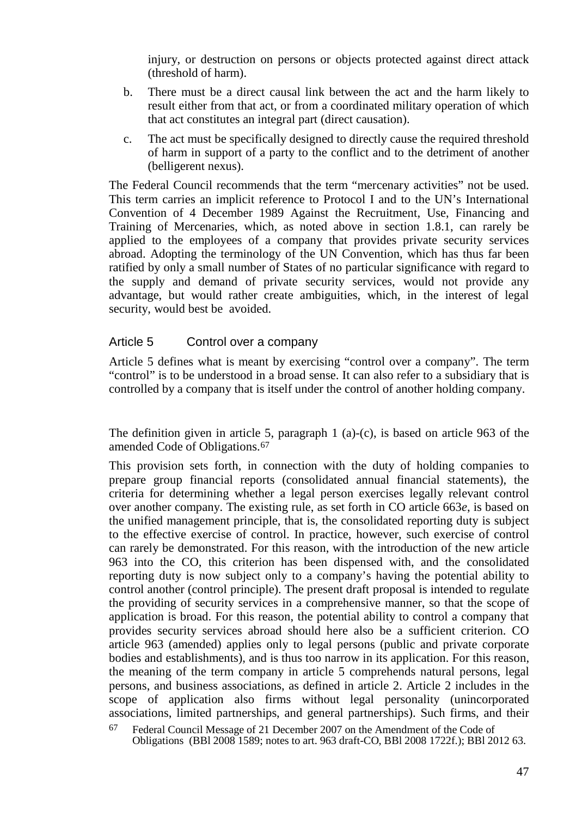injury, or destruction on persons or objects protected against direct attack (threshold of harm).

- b. There must be a direct causal link between the act and the harm likely to result either from that act, or from a coordinated military operation of which that act constitutes an integral part (direct causation).
- c. The act must be specifically designed to directly cause the required threshold of harm in support of a party to the conflict and to the detriment of another (belligerent nexus).

The Federal Council recommends that the term "mercenary activities" not be used. This term carries an implicit reference to Protocol I and to the UN's International Convention of 4 December 1989 Against the Recruitment, Use, Financing and Training of Mercenaries, which, as noted above in section 1.8.1, can rarely be applied to the employees of a company that provides private security services abroad. Adopting the terminology of the UN Convention, which has thus far been ratified by only a small number of States of no particular significance with regard to the supply and demand of private security services, would not provide any advantage, but would rather create ambiguities, which, in the interest of legal security, would best be avoided.

#### Article 5 Control over a company

Article 5 defines what is meant by exercising "control over a company". The term "control" is to be understood in a broad sense. It can also refer to a subsidiary that is controlled by a company that is itself under the control of another holding company.

The definition given in article 5, paragraph 1 (a)-(c), is based on article 963 of the amended Code of Obligations.[67](#page-46-0)

This provision sets forth, in connection with the duty of holding companies to prepare group financial reports (consolidated annual financial statements), the criteria for determining whether a legal person exercises legally relevant control over another company. The existing rule, as set forth in CO article 663*e*, is based on the unified management principle, that is, the consolidated reporting duty is subject to the effective exercise of control. In practice, however, such exercise of control can rarely be demonstrated. For this reason, with the introduction of the new article 963 into the CO, this criterion has been dispensed with, and the consolidated reporting duty is now subject only to a company's having the potential ability to control another (control principle). The present draft proposal is intended to regulate the providing of security services in a comprehensive manner, so that the scope of application is broad. For this reason, the potential ability to control a company that provides security services abroad should here also be a sufficient criterion. CO article 963 (amended) applies only to legal persons (public and private corporate bodies and establishments), and is thus too narrow in its application. For this reason, the meaning of the term company in article 5 comprehends natural persons, legal persons, and business associations, as defined in article 2. Article 2 includes in the scope of application also firms without legal personality (unincorporated associations, limited partnerships, and general partnerships). Such firms, and their

<span id="page-46-0"></span><sup>67</sup> Federal Council Message of 21 December 2007 on the Amendment of the Code of Obligations (BBl 2008 1589; notes to art. 963 draft-CO, BBl 2008 1722f.); BBl 2012 63.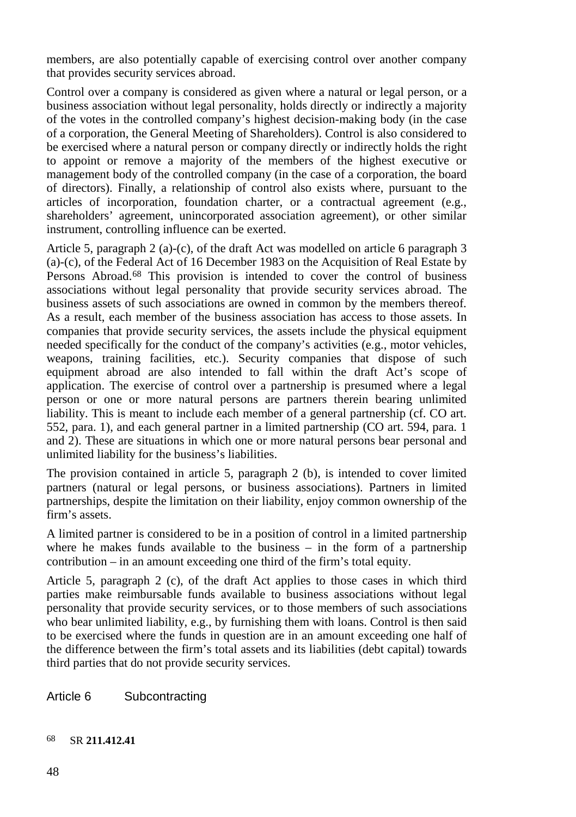members, are also potentially capable of exercising control over another company that provides security services abroad.

Control over a company is considered as given where a natural or legal person, or a business association without legal personality, holds directly or indirectly a majority of the votes in the controlled company's highest decision-making body (in the case of a corporation, the General Meeting of Shareholders). Control is also considered to be exercised where a natural person or company directly or indirectly holds the right to appoint or remove a majority of the members of the highest executive or management body of the controlled company (in the case of a corporation, the board of directors). Finally, a relationship of control also exists where, pursuant to the articles of incorporation, foundation charter, or a contractual agreement (e.g., shareholders' agreement, unincorporated association agreement), or other similar instrument, controlling influence can be exerted.

Article 5, paragraph 2 (a)-(c), of the draft Act was modelled on article 6 paragraph 3 (a)-(c), of the Federal Act of 16 December 1983 on the Acquisition of Real Estate by Persons Abroad.[68](#page-47-0) This provision is intended to cover the control of business associations without legal personality that provide security services abroad. The business assets of such associations are owned in common by the members thereof. As a result, each member of the business association has access to those assets. In companies that provide security services, the assets include the physical equipment needed specifically for the conduct of the company's activities (e.g., motor vehicles, weapons, training facilities, etc.). Security companies that dispose of such equipment abroad are also intended to fall within the draft Act's scope of application. The exercise of control over a partnership is presumed where a legal person or one or more natural persons are partners therein bearing unlimited liability. This is meant to include each member of a general partnership (cf. CO art. 552, para. 1), and each general partner in a limited partnership (CO art. 594, para. 1 and 2). These are situations in which one or more natural persons bear personal and unlimited liability for the business's liabilities.

The provision contained in article 5, paragraph 2 (b), is intended to cover limited partners (natural or legal persons, or business associations). Partners in limited partnerships, despite the limitation on their liability, enjoy common ownership of the firm's assets.

A limited partner is considered to be in a position of control in a limited partnership where he makes funds available to the business  $-$  in the form of a partnership contribution – in an amount exceeding one third of the firm's total equity.

Article 5, paragraph 2 (c), of the draft Act applies to those cases in which third parties make reimbursable funds available to business associations without legal personality that provide security services, or to those members of such associations who bear unlimited liability, e.g., by furnishing them with loans. Control is then said to be exercised where the funds in question are in an amount exceeding one half of the difference between the firm's total assets and its liabilities (debt capital) towards third parties that do not provide security services.

Article 6 Subcontracting

#### <span id="page-47-0"></span>68 SR **211.412.41**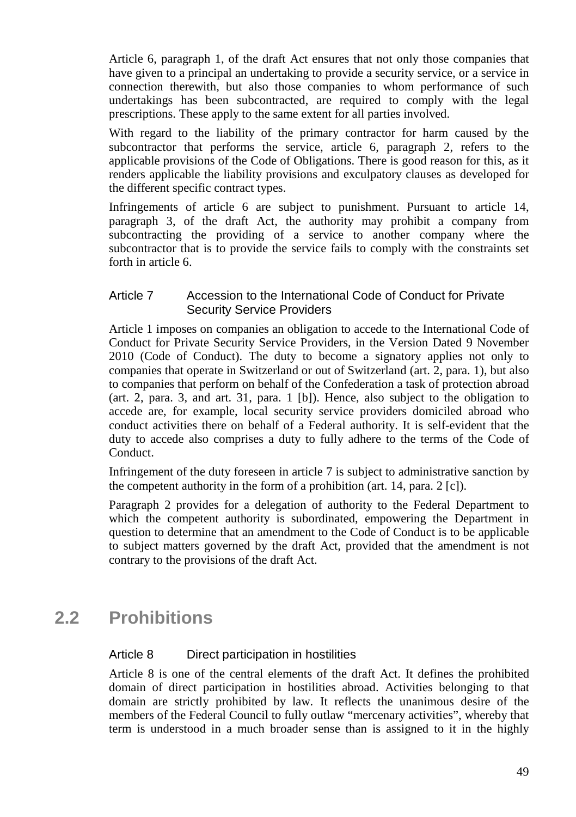Article 6, paragraph 1, of the draft Act ensures that not only those companies that have given to a principal an undertaking to provide a security service, or a service in connection therewith, but also those companies to whom performance of such undertakings has been subcontracted, are required to comply with the legal prescriptions. These apply to the same extent for all parties involved.

With regard to the liability of the primary contractor for harm caused by the subcontractor that performs the service, article 6, paragraph 2, refers to the applicable provisions of the Code of Obligations. There is good reason for this, as it renders applicable the liability provisions and exculpatory clauses as developed for the different specific contract types.

Infringements of article 6 are subject to punishment. Pursuant to article 14, paragraph 3, of the draft Act, the authority may prohibit a company from subcontracting the providing of a service to another company where the subcontractor that is to provide the service fails to comply with the constraints set forth in article 6.

#### Article 7 Accession to the International Code of Conduct for Private Security Service Providers

Article 1 imposes on companies an obligation to accede to the International Code of Conduct for Private Security Service Providers, in the Version Dated 9 November 2010 (Code of Conduct). The duty to become a signatory applies not only to companies that operate in Switzerland or out of Switzerland (art. 2, para. 1), but also to companies that perform on behalf of the Confederation a task of protection abroad (art. 2, para. 3, and art. 31, para. 1 [b]). Hence, also subject to the obligation to accede are, for example, local security service providers domiciled abroad who conduct activities there on behalf of a Federal authority. It is self-evident that the duty to accede also comprises a duty to fully adhere to the terms of the Code of Conduct.

Infringement of the duty foreseen in article 7 is subject to administrative sanction by the competent authority in the form of a prohibition (art. 14, para. 2 [c]).

Paragraph 2 provides for a delegation of authority to the Federal Department to which the competent authority is subordinated, empowering the Department in question to determine that an amendment to the Code of Conduct is to be applicable to subject matters governed by the draft Act, provided that the amendment is not contrary to the provisions of the draft Act.

# **2.2 Prohibitions**

### Article 8 Direct participation in hostilities

Article 8 is one of the central elements of the draft Act. It defines the prohibited domain of direct participation in hostilities abroad. Activities belonging to that domain are strictly prohibited by law. It reflects the unanimous desire of the members of the Federal Council to fully outlaw "mercenary activities", whereby that term is understood in a much broader sense than is assigned to it in the highly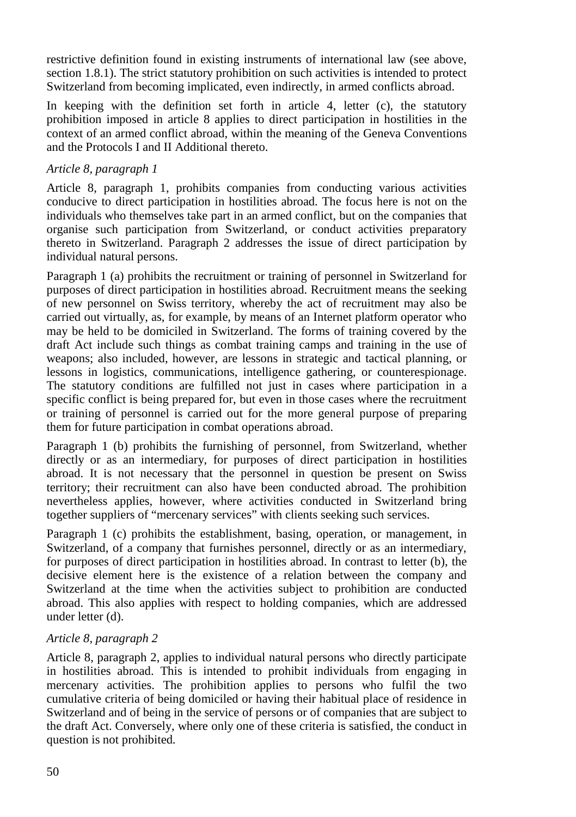restrictive definition found in existing instruments of international law (see above, section 1.8.1). The strict statutory prohibition on such activities is intended to protect Switzerland from becoming implicated, even indirectly, in armed conflicts abroad.

In keeping with the definition set forth in article 4, letter (c), the statutory prohibition imposed in article 8 applies to direct participation in hostilities in the context of an armed conflict abroad, within the meaning of the Geneva Conventions and the Protocols I and II Additional thereto.

### *Article 8, paragraph 1*

Article 8, paragraph 1, prohibits companies from conducting various activities conducive to direct participation in hostilities abroad. The focus here is not on the individuals who themselves take part in an armed conflict, but on the companies that organise such participation from Switzerland, or conduct activities preparatory thereto in Switzerland. Paragraph 2 addresses the issue of direct participation by individual natural persons.

Paragraph 1 (a) prohibits the recruitment or training of personnel in Switzerland for purposes of direct participation in hostilities abroad. Recruitment means the seeking of new personnel on Swiss territory, whereby the act of recruitment may also be carried out virtually, as, for example, by means of an Internet platform operator who may be held to be domiciled in Switzerland. The forms of training covered by the draft Act include such things as combat training camps and training in the use of weapons; also included, however, are lessons in strategic and tactical planning, or lessons in logistics, communications, intelligence gathering, or counterespionage. The statutory conditions are fulfilled not just in cases where participation in a specific conflict is being prepared for, but even in those cases where the recruitment or training of personnel is carried out for the more general purpose of preparing them for future participation in combat operations abroad.

Paragraph 1 (b) prohibits the furnishing of personnel, from Switzerland, whether directly or as an intermediary, for purposes of direct participation in hostilities abroad. It is not necessary that the personnel in question be present on Swiss territory; their recruitment can also have been conducted abroad. The prohibition nevertheless applies, however, where activities conducted in Switzerland bring together suppliers of "mercenary services" with clients seeking such services.

Paragraph 1 (c) prohibits the establishment, basing, operation, or management, in Switzerland, of a company that furnishes personnel, directly or as an intermediary, for purposes of direct participation in hostilities abroad. In contrast to letter (b), the decisive element here is the existence of a relation between the company and Switzerland at the time when the activities subject to prohibition are conducted abroad. This also applies with respect to holding companies, which are addressed under letter (d).

#### *Article 8, paragraph 2*

Article 8, paragraph 2, applies to individual natural persons who directly participate in hostilities abroad. This is intended to prohibit individuals from engaging in mercenary activities. The prohibition applies to persons who fulfil the two cumulative criteria of being domiciled or having their habitual place of residence in Switzerland and of being in the service of persons or of companies that are subject to the draft Act. Conversely, where only one of these criteria is satisfied, the conduct in question is not prohibited.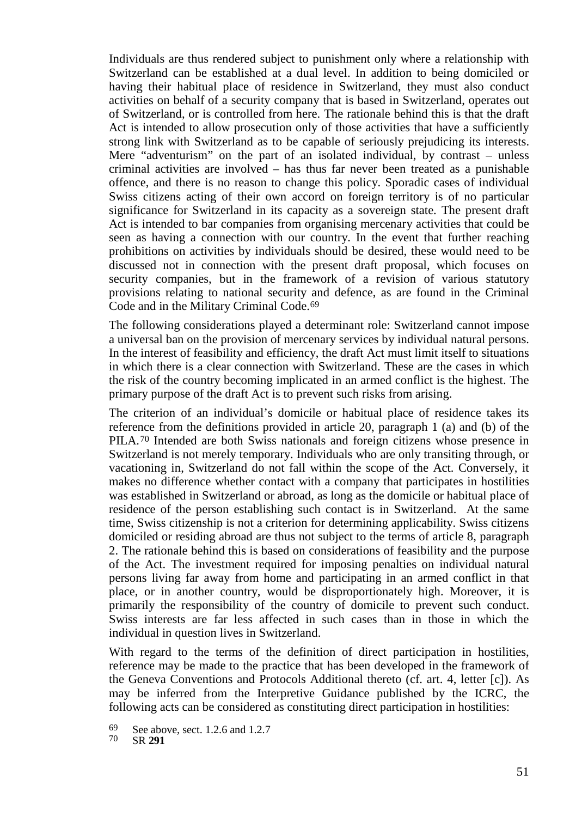Individuals are thus rendered subject to punishment only where a relationship with Switzerland can be established at a dual level. In addition to being domiciled or having their habitual place of residence in Switzerland, they must also conduct activities on behalf of a security company that is based in Switzerland, operates out of Switzerland, or is controlled from here. The rationale behind this is that the draft Act is intended to allow prosecution only of those activities that have a sufficiently strong link with Switzerland as to be capable of seriously prejudicing its interests. Mere "adventurism" on the part of an isolated individual, by contrast – unless criminal activities are involved – has thus far never been treated as a punishable offence, and there is no reason to change this policy. Sporadic cases of individual Swiss citizens acting of their own accord on foreign territory is of no particular significance for Switzerland in its capacity as a sovereign state. The present draft Act is intended to bar companies from organising mercenary activities that could be seen as having a connection with our country. In the event that further reaching prohibitions on activities by individuals should be desired, these would need to be discussed not in connection with the present draft proposal, which focuses on security companies, but in the framework of a revision of various statutory provisions relating to national security and defence, as are found in the Criminal Code and in the Military Criminal Code.[69](#page-50-0)

The following considerations played a determinant role: Switzerland cannot impose a universal ban on the provision of mercenary services by individual natural persons. In the interest of feasibility and efficiency, the draft Act must limit itself to situations in which there is a clear connection with Switzerland. These are the cases in which the risk of the country becoming implicated in an armed conflict is the highest. The primary purpose of the draft Act is to prevent such risks from arising.

The criterion of an individual's domicile or habitual place of residence takes its reference from the definitions provided in article 20, paragraph 1 (a) and (b) of the PILA.[70](#page-50-1) Intended are both Swiss nationals and foreign citizens whose presence in Switzerland is not merely temporary. Individuals who are only transiting through, or vacationing in, Switzerland do not fall within the scope of the Act. Conversely, it makes no difference whether contact with a company that participates in hostilities was established in Switzerland or abroad, as long as the domicile or habitual place of residence of the person establishing such contact is in Switzerland. At the same time, Swiss citizenship is not a criterion for determining applicability. Swiss citizens domiciled or residing abroad are thus not subject to the terms of article 8, paragraph 2. The rationale behind this is based on considerations of feasibility and the purpose of the Act. The investment required for imposing penalties on individual natural persons living far away from home and participating in an armed conflict in that place, or in another country, would be disproportionately high. Moreover, it is primarily the responsibility of the country of domicile to prevent such conduct. Swiss interests are far less affected in such cases than in those in which the individual in question lives in Switzerland.

With regard to the terms of the definition of direct participation in hostilities, reference may be made to the practice that has been developed in the framework of the Geneva Conventions and Protocols Additional thereto (cf. art. 4, letter [c]). As may be inferred from the Interpretive Guidance published by the ICRC, the following acts can be considered as constituting direct participation in hostilities:

<span id="page-50-1"></span><span id="page-50-0"></span><sup>69</sup> See above, sect. 1.2.6 and 1.2.7 <sup>70</sup> SR **<sup>291</sup>**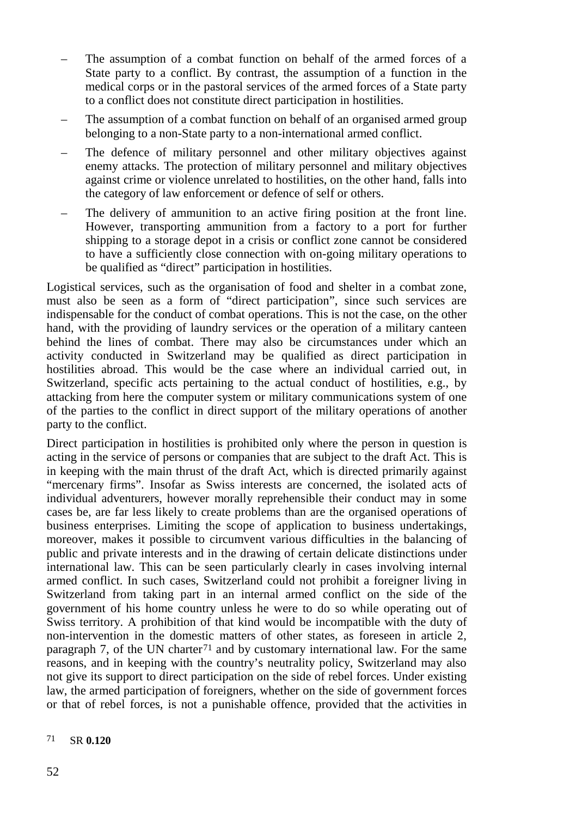- The assumption of a combat function on behalf of the armed forces of a State party to a conflict. By contrast, the assumption of a function in the medical corps or in the pastoral services of the armed forces of a State party to a conflict does not constitute direct participation in hostilities.
- The assumption of a combat function on behalf of an organised armed group belonging to a non-State party to a non-international armed conflict.
- The defence of military personnel and other military objectives against enemy attacks. The protection of military personnel and military objectives against crime or violence unrelated to hostilities, on the other hand, falls into the category of law enforcement or defence of self or others.
- The delivery of ammunition to an active firing position at the front line. However, transporting ammunition from a factory to a port for further shipping to a storage depot in a crisis or conflict zone cannot be considered to have a sufficiently close connection with on-going military operations to be qualified as "direct" participation in hostilities.

Logistical services, such as the organisation of food and shelter in a combat zone, must also be seen as a form of "direct participation", since such services are indispensable for the conduct of combat operations. This is not the case, on the other hand, with the providing of laundry services or the operation of a military canteen behind the lines of combat. There may also be circumstances under which an activity conducted in Switzerland may be qualified as direct participation in hostilities abroad. This would be the case where an individual carried out, in Switzerland, specific acts pertaining to the actual conduct of hostilities, e.g., by attacking from here the computer system or military communications system of one of the parties to the conflict in direct support of the military operations of another party to the conflict.

Direct participation in hostilities is prohibited only where the person in question is acting in the service of persons or companies that are subject to the draft Act. This is in keeping with the main thrust of the draft Act, which is directed primarily against "mercenary firms". Insofar as Swiss interests are concerned, the isolated acts of individual adventurers, however morally reprehensible their conduct may in some cases be, are far less likely to create problems than are the organised operations of business enterprises. Limiting the scope of application to business undertakings, moreover, makes it possible to circumvent various difficulties in the balancing of public and private interests and in the drawing of certain delicate distinctions under international law. This can be seen particularly clearly in cases involving internal armed conflict. In such cases, Switzerland could not prohibit a foreigner living in Switzerland from taking part in an internal armed conflict on the side of the government of his home country unless he were to do so while operating out of Swiss territory. A prohibition of that kind would be incompatible with the duty of non-intervention in the domestic matters of other states, as foreseen in article 2, paragraph 7, of the UN charter<sup>[71](#page-51-0)</sup> and by customary international law. For the same reasons, and in keeping with the country's neutrality policy, Switzerland may also not give its support to direct participation on the side of rebel forces. Under existing law, the armed participation of foreigners, whether on the side of government forces or that of rebel forces, is not a punishable offence, provided that the activities in

#### <span id="page-51-0"></span>71 SR **0.120**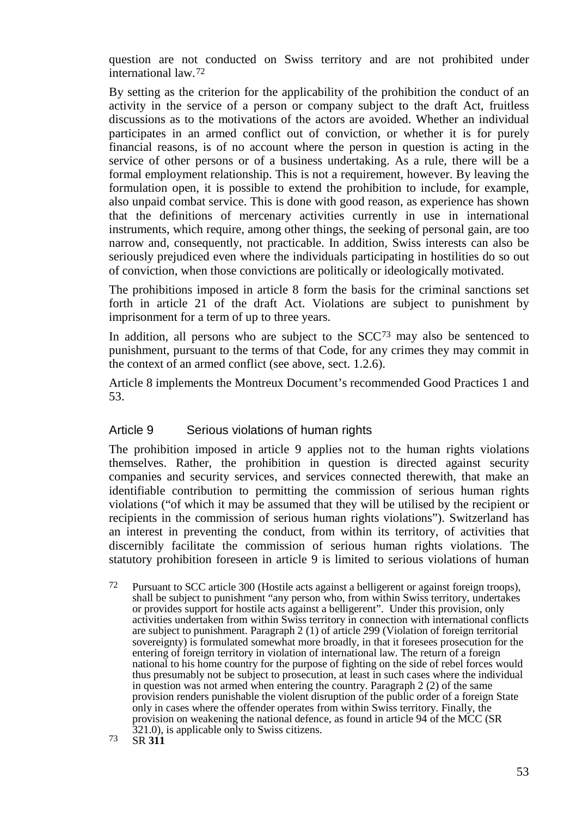question are not conducted on Swiss territory and are not prohibited under international law.[72](#page-52-0)

By setting as the criterion for the applicability of the prohibition the conduct of an activity in the service of a person or company subject to the draft Act, fruitless discussions as to the motivations of the actors are avoided. Whether an individual participates in an armed conflict out of conviction, or whether it is for purely financial reasons, is of no account where the person in question is acting in the service of other persons or of a business undertaking. As a rule, there will be a formal employment relationship. This is not a requirement, however. By leaving the formulation open, it is possible to extend the prohibition to include, for example, also unpaid combat service. This is done with good reason, as experience has shown that the definitions of mercenary activities currently in use in international instruments, which require, among other things, the seeking of personal gain, are too narrow and, consequently, not practicable. In addition, Swiss interests can also be seriously prejudiced even where the individuals participating in hostilities do so out of conviction, when those convictions are politically or ideologically motivated.

The prohibitions imposed in article 8 form the basis for the criminal sanctions set forth in article 21 of the draft Act. Violations are subject to punishment by imprisonment for a term of up to three years.

In addition, all persons who are subject to the  $SCC<sup>73</sup>$  $SCC<sup>73</sup>$  $SCC<sup>73</sup>$  may also be sentenced to punishment, pursuant to the terms of that Code, for any crimes they may commit in the context of an armed conflict (see above, sect. 1.2.6).

Article 8 implements the Montreux Document's recommended Good Practices 1 and 53.

#### Article 9 Serious violations of human rights

The prohibition imposed in article 9 applies not to the human rights violations themselves. Rather, the prohibition in question is directed against security companies and security services, and services connected therewith, that make an identifiable contribution to permitting the commission of serious human rights violations ("of which it may be assumed that they will be utilised by the recipient or recipients in the commission of serious human rights violations"). Switzerland has an interest in preventing the conduct, from within its territory, of activities that discernibly facilitate the commission of serious human rights violations. The statutory prohibition foreseen in article 9 is limited to serious violations of human

<span id="page-52-1"></span><span id="page-52-0"></span>72 Pursuant to SCC article 300 (Hostile acts against a belligerent or against foreign troops), shall be subject to punishment "any person who, from within Swiss territory, undertakes or provides support for hostile acts against a belligerent". Under this provision, only activities undertaken from within Swiss territory in connection with international conflicts are subject to punishment. Paragraph 2 (1) of article 299 (Violation of foreign territorial sovereignty) is formulated somewhat more broadly, in that it foresees prosecution for the entering of foreign territory in violation of international law. The return of a foreign national to his home country for the purpose of fighting on the side of rebel forces would thus presumably not be subject to prosecution, at least in such cases where the individual in question was not armed when entering the country. Paragraph 2 (2) of the same provision renders punishable the violent disruption of the public order of a foreign State only in cases where the offender operates from within Swiss territory. Finally, the provision on weakening the national defence, as found in article 94 of the MCC (SR 321.0), is applicable only to Swiss citizens.<br> **321.0**), is applicable only to Swiss citizens.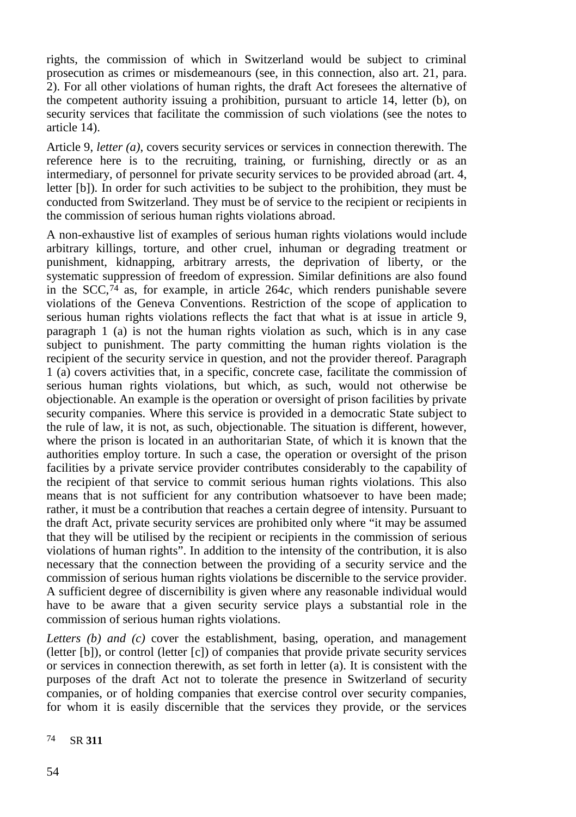rights, the commission of which in Switzerland would be subject to criminal prosecution as crimes or misdemeanours (see, in this connection, also art. 21, para. 2). For all other violations of human rights, the draft Act foresees the alternative of the competent authority issuing a prohibition, pursuant to article 14, letter (b), on security services that facilitate the commission of such violations (see the notes to article 14).

Article 9, *letter (a)*, covers security services or services in connection therewith. The reference here is to the recruiting, training, or furnishing, directly or as an intermediary, of personnel for private security services to be provided abroad (art. 4, letter [b]). In order for such activities to be subject to the prohibition, they must be conducted from Switzerland. They must be of service to the recipient or recipients in the commission of serious human rights violations abroad.

A non-exhaustive list of examples of serious human rights violations would include arbitrary killings, torture, and other cruel, inhuman or degrading treatment or punishment, kidnapping, arbitrary arrests, the deprivation of liberty, or the systematic suppression of freedom of expression. Similar definitions are also found in the SCC,[74](#page-53-0) as, for example, in article 264*c*, which renders punishable severe violations of the Geneva Conventions. Restriction of the scope of application to serious human rights violations reflects the fact that what is at issue in article 9, paragraph 1 (a) is not the human rights violation as such, which is in any case subject to punishment. The party committing the human rights violation is the recipient of the security service in question, and not the provider thereof. Paragraph 1 (a) covers activities that, in a specific, concrete case, facilitate the commission of serious human rights violations, but which, as such, would not otherwise be objectionable. An example is the operation or oversight of prison facilities by private security companies. Where this service is provided in a democratic State subject to the rule of law, it is not, as such, objectionable. The situation is different, however, where the prison is located in an authoritarian State, of which it is known that the authorities employ torture. In such a case, the operation or oversight of the prison facilities by a private service provider contributes considerably to the capability of the recipient of that service to commit serious human rights violations. This also means that is not sufficient for any contribution whatsoever to have been made; rather, it must be a contribution that reaches a certain degree of intensity. Pursuant to the draft Act, private security services are prohibited only where "it may be assumed that they will be utilised by the recipient or recipients in the commission of serious violations of human rights". In addition to the intensity of the contribution, it is also necessary that the connection between the providing of a security service and the commission of serious human rights violations be discernible to the service provider. A sufficient degree of discernibility is given where any reasonable individual would have to be aware that a given security service plays a substantial role in the commission of serious human rights violations.

*Letters (b) and (c)* cover the establishment, basing, operation, and management (letter [b]), or control (letter [c]) of companies that provide private security services or services in connection therewith, as set forth in letter (a). It is consistent with the purposes of the draft Act not to tolerate the presence in Switzerland of security companies, or of holding companies that exercise control over security companies, for whom it is easily discernible that the services they provide, or the services

<span id="page-53-0"></span>74 SR **311**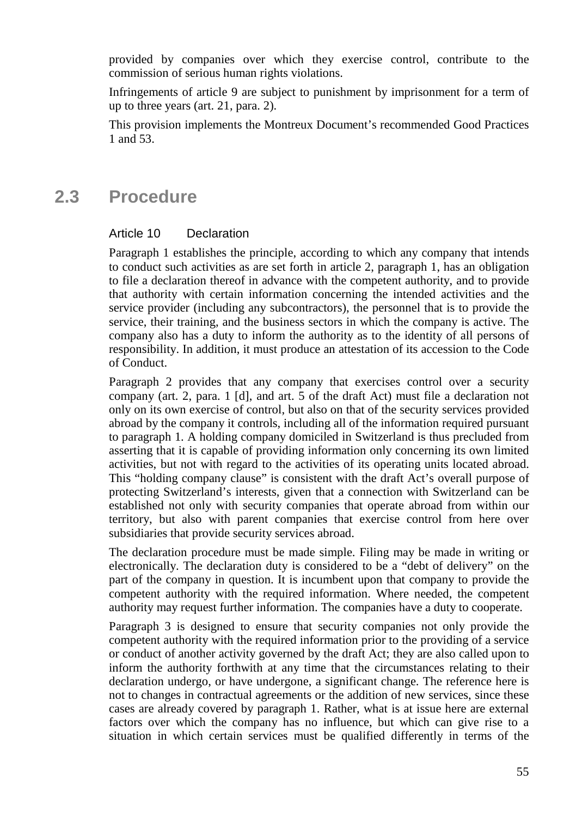provided by companies over which they exercise control, contribute to the commission of serious human rights violations.

Infringements of article 9 are subject to punishment by imprisonment for a term of up to three years (art. 21, para. 2).

This provision implements the Montreux Document's recommended Good Practices 1 and 53.

# **2.3 Procedure**

#### Article 10 Declaration

Paragraph 1 establishes the principle, according to which any company that intends to conduct such activities as are set forth in article 2, paragraph 1, has an obligation to file a declaration thereof in advance with the competent authority, and to provide that authority with certain information concerning the intended activities and the service provider (including any subcontractors), the personnel that is to provide the service, their training, and the business sectors in which the company is active. The company also has a duty to inform the authority as to the identity of all persons of responsibility. In addition, it must produce an attestation of its accession to the Code of Conduct.

Paragraph 2 provides that any company that exercises control over a security company (art. 2, para. 1 [d], and art. 5 of the draft Act) must file a declaration not only on its own exercise of control, but also on that of the security services provided abroad by the company it controls, including all of the information required pursuant to paragraph 1. A holding company domiciled in Switzerland is thus precluded from asserting that it is capable of providing information only concerning its own limited activities, but not with regard to the activities of its operating units located abroad. This "holding company clause" is consistent with the draft Act's overall purpose of protecting Switzerland's interests, given that a connection with Switzerland can be established not only with security companies that operate abroad from within our territory, but also with parent companies that exercise control from here over subsidiaries that provide security services abroad.

The declaration procedure must be made simple. Filing may be made in writing or electronically. The declaration duty is considered to be a "debt of delivery" on the part of the company in question. It is incumbent upon that company to provide the competent authority with the required information. Where needed, the competent authority may request further information. The companies have a duty to cooperate.

Paragraph 3 is designed to ensure that security companies not only provide the competent authority with the required information prior to the providing of a service or conduct of another activity governed by the draft Act; they are also called upon to inform the authority forthwith at any time that the circumstances relating to their declaration undergo, or have undergone, a significant change. The reference here is not to changes in contractual agreements or the addition of new services, since these cases are already covered by paragraph 1. Rather, what is at issue here are external factors over which the company has no influence, but which can give rise to a situation in which certain services must be qualified differently in terms of the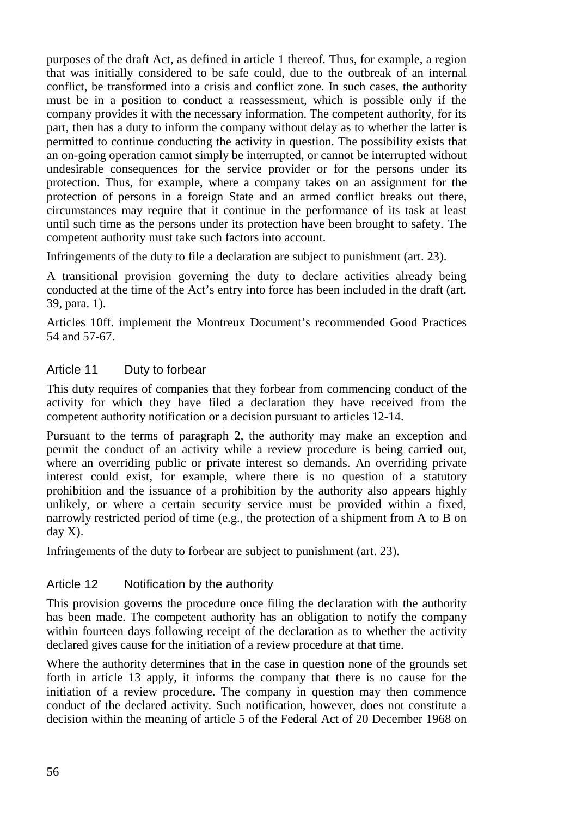purposes of the draft Act, as defined in article 1 thereof. Thus, for example, a region that was initially considered to be safe could, due to the outbreak of an internal conflict, be transformed into a crisis and conflict zone. In such cases, the authority must be in a position to conduct a reassessment, which is possible only if the company provides it with the necessary information. The competent authority, for its part, then has a duty to inform the company without delay as to whether the latter is permitted to continue conducting the activity in question. The possibility exists that an on-going operation cannot simply be interrupted, or cannot be interrupted without undesirable consequences for the service provider or for the persons under its protection. Thus, for example, where a company takes on an assignment for the protection of persons in a foreign State and an armed conflict breaks out there, circumstances may require that it continue in the performance of its task at least until such time as the persons under its protection have been brought to safety. The competent authority must take such factors into account.

Infringements of the duty to file a declaration are subject to punishment (art. 23).

A transitional provision governing the duty to declare activities already being conducted at the time of the Act's entry into force has been included in the draft (art. 39, para. 1).

Articles 10ff. implement the Montreux Document's recommended Good Practices 54 and 57-67.

### Article 11 Duty to forbear

This duty requires of companies that they forbear from commencing conduct of the activity for which they have filed a declaration they have received from the competent authority notification or a decision pursuant to articles 12-14.

Pursuant to the terms of paragraph 2, the authority may make an exception and permit the conduct of an activity while a review procedure is being carried out, where an overriding public or private interest so demands. An overriding private interest could exist, for example, where there is no question of a statutory prohibition and the issuance of a prohibition by the authority also appears highly unlikely, or where a certain security service must be provided within a fixed, narrowly restricted period of time (e.g., the protection of a shipment from A to B on day X).

Infringements of the duty to forbear are subject to punishment (art. 23).

### Article 12 Notification by the authority

This provision governs the procedure once filing the declaration with the authority has been made. The competent authority has an obligation to notify the company within fourteen days following receipt of the declaration as to whether the activity declared gives cause for the initiation of a review procedure at that time.

Where the authority determines that in the case in question none of the grounds set forth in article 13 apply, it informs the company that there is no cause for the initiation of a review procedure. The company in question may then commence conduct of the declared activity. Such notification, however, does not constitute a decision within the meaning of article 5 of the Federal Act of 20 December 1968 on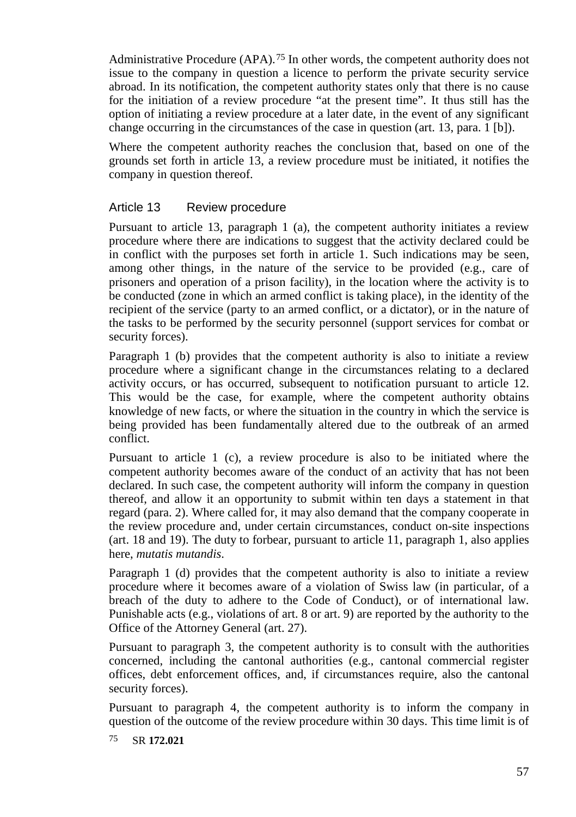Administrative Procedure (APA).<sup>[75](#page-56-0)</sup> In other words, the competent authority does not issue to the company in question a licence to perform the private security service abroad. In its notification, the competent authority states only that there is no cause for the initiation of a review procedure "at the present time". It thus still has the option of initiating a review procedure at a later date, in the event of any significant change occurring in the circumstances of the case in question (art. 13, para. 1 [b]).

Where the competent authority reaches the conclusion that, based on one of the grounds set forth in article 13, a review procedure must be initiated, it notifies the company in question thereof.

#### Article 13 Review procedure

Pursuant to article 13, paragraph 1 (a), the competent authority initiates a review procedure where there are indications to suggest that the activity declared could be in conflict with the purposes set forth in article 1. Such indications may be seen, among other things, in the nature of the service to be provided (e.g., care of prisoners and operation of a prison facility), in the location where the activity is to be conducted (zone in which an armed conflict is taking place), in the identity of the recipient of the service (party to an armed conflict, or a dictator), or in the nature of the tasks to be performed by the security personnel (support services for combat or security forces).

Paragraph 1 (b) provides that the competent authority is also to initiate a review procedure where a significant change in the circumstances relating to a declared activity occurs, or has occurred, subsequent to notification pursuant to article 12. This would be the case, for example, where the competent authority obtains knowledge of new facts, or where the situation in the country in which the service is being provided has been fundamentally altered due to the outbreak of an armed conflict.

Pursuant to article 1 (c), a review procedure is also to be initiated where the competent authority becomes aware of the conduct of an activity that has not been declared. In such case, the competent authority will inform the company in question thereof, and allow it an opportunity to submit within ten days a statement in that regard (para. 2). Where called for, it may also demand that the company cooperate in the review procedure and, under certain circumstances, conduct on-site inspections (art. 18 and 19). The duty to forbear, pursuant to article 11, paragraph 1, also applies here, *mutatis mutandis*.

Paragraph 1 (d) provides that the competent authority is also to initiate a review procedure where it becomes aware of a violation of Swiss law (in particular, of a breach of the duty to adhere to the Code of Conduct), or of international law. Punishable acts (e.g., violations of art. 8 or art. 9) are reported by the authority to the Office of the Attorney General (art. 27).

Pursuant to paragraph 3, the competent authority is to consult with the authorities concerned, including the cantonal authorities (e.g., cantonal commercial register offices, debt enforcement offices, and, if circumstances require, also the cantonal security forces).

Pursuant to paragraph 4, the competent authority is to inform the company in question of the outcome of the review procedure within 30 days. This time limit is of

<span id="page-56-0"></span>75 SR **172.021**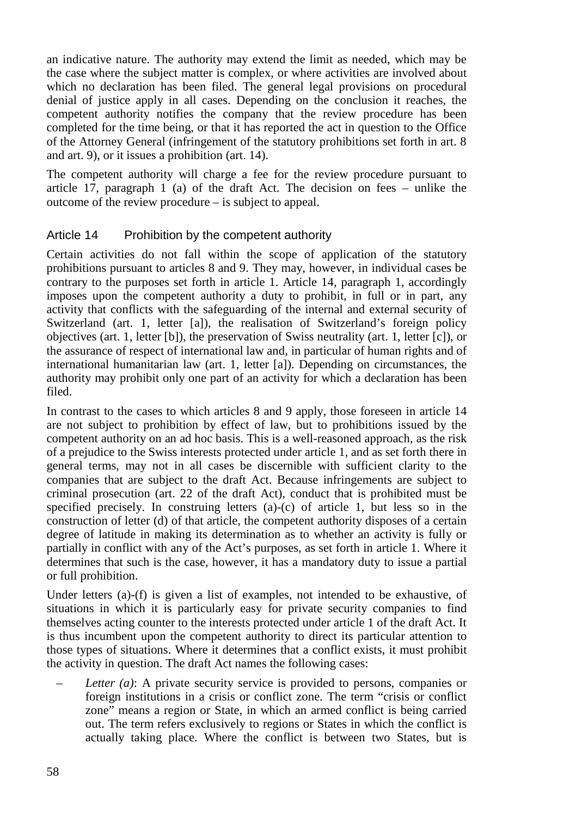an indicative nature. The authority may extend the limit as needed, which may be the case where the subject matter is complex, or where activities are involved about which no declaration has been filed. The general legal provisions on procedural denial of justice apply in all cases. Depending on the conclusion it reaches, the competent authority notifies the company that the review procedure has been completed for the time being, or that it has reported the act in question to the Office of the Attorney General (infringement of the statutory prohibitions set forth in art. 8 and art. 9), or it issues a prohibition (art. 14).

The competent authority will charge a fee for the review procedure pursuant to article 17, paragraph 1 (a) of the draft Act. The decision on fees – unlike the outcome of the review procedure – is subject to appeal.

#### Article 14 Prohibition by the competent authority

Certain activities do not fall within the scope of application of the statutory prohibitions pursuant to articles 8 and 9. They may, however, in individual cases be contrary to the purposes set forth in article 1. Article 14, paragraph 1, accordingly imposes upon the competent authority a duty to prohibit, in full or in part, any activity that conflicts with the safeguarding of the internal and external security of Switzerland (art. 1, letter [a]), the realisation of Switzerland's foreign policy objectives (art. 1, letter [b]), the preservation of Swiss neutrality (art. 1, letter [c]), or the assurance of respect of international law and, in particular of human rights and of international humanitarian law (art. 1, letter [a]). Depending on circumstances, the authority may prohibit only one part of an activity for which a declaration has been filed.

In contrast to the cases to which articles 8 and 9 apply, those foreseen in article 14 are not subject to prohibition by effect of law, but to prohibitions issued by the competent authority on an ad hoc basis. This is a well-reasoned approach, as the risk of a prejudice to the Swiss interests protected under article 1, and as set forth there in general terms, may not in all cases be discernible with sufficient clarity to the companies that are subject to the draft Act. Because infringements are subject to criminal prosecution (art. 22 of the draft Act), conduct that is prohibited must be specified precisely. In construing letters (a)-(c) of article 1, but less so in the construction of letter (d) of that article, the competent authority disposes of a certain degree of latitude in making its determination as to whether an activity is fully or partially in conflict with any of the Act's purposes, as set forth in article 1. Where it determines that such is the case, however, it has a mandatory duty to issue a partial or full prohibition.

Under letters (a)-(f) is given a list of examples, not intended to be exhaustive, of situations in which it is particularly easy for private security companies to find themselves acting counter to the interests protected under article 1 of the draft Act. It is thus incumbent upon the competent authority to direct its particular attention to those types of situations. Where it determines that a conflict exists, it must prohibit the activity in question. The draft Act names the following cases:

– *Letter (a)*: A private security service is provided to persons, companies or foreign institutions in a crisis or conflict zone. The term "crisis or conflict zone" means a region or State, in which an armed conflict is being carried out. The term refers exclusively to regions or States in which the conflict is actually taking place. Where the conflict is between two States, but is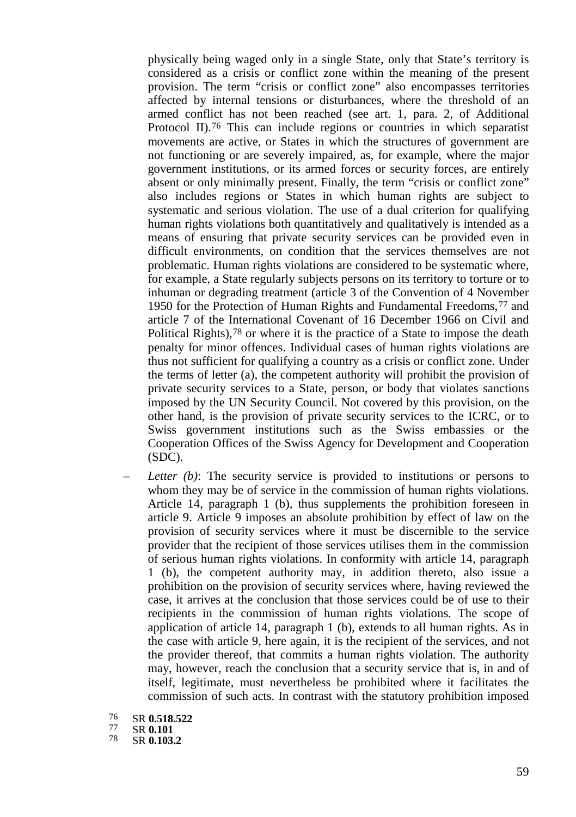physically being waged only in a single State, only that State's territory is considered as a crisis or conflict zone within the meaning of the present provision. The term "crisis or conflict zone" also encompasses territories affected by internal tensions or disturbances, where the threshold of an armed conflict has not been reached (see art. 1, para. 2, of Additional Protocol II)[.76](#page-58-0) This can include regions or countries in which separatist movements are active, or States in which the structures of government are not functioning or are severely impaired, as, for example, where the major government institutions, or its armed forces or security forces, are entirely absent or only minimally present. Finally, the term "crisis or conflict zone" also includes regions or States in which human rights are subject to systematic and serious violation. The use of a dual criterion for qualifying human rights violations both quantitatively and qualitatively is intended as a means of ensuring that private security services can be provided even in difficult environments, on condition that the services themselves are not problematic. Human rights violations are considered to be systematic where, for example, a State regularly subjects persons on its territory to torture or to inhuman or degrading treatment (article 3 of the Convention of 4 November 1950 for the Protection of Human Rights and Fundamental Freedoms,[77](#page-58-1) and article 7 of the International Covenant of 16 December 1966 on Civil and Political Rights),<sup>[78](#page-58-2)</sup> or where it is the practice of a State to impose the death penalty for minor offences. Individual cases of human rights violations are thus not sufficient for qualifying a country as a crisis or conflict zone. Under the terms of letter (a), the competent authority will prohibit the provision of private security services to a State, person, or body that violates sanctions imposed by the UN Security Council. Not covered by this provision, on the other hand, is the provision of private security services to the ICRC, or to Swiss government institutions such as the Swiss embassies or the Cooperation Offices of the Swiss Agency for Development and Cooperation (SDC).

- *Letter (b)*: The security service is provided to institutions or persons to whom they may be of service in the commission of human rights violations. Article 14, paragraph 1 (b), thus supplements the prohibition foreseen in article 9. Article 9 imposes an absolute prohibition by effect of law on the provision of security services where it must be discernible to the service provider that the recipient of those services utilises them in the commission of serious human rights violations. In conformity with article 14, paragraph 1 (b), the competent authority may, in addition thereto, also issue a prohibition on the provision of security services where, having reviewed the case, it arrives at the conclusion that those services could be of use to their recipients in the commission of human rights violations. The scope of application of article 14, paragraph 1 (b), extends to all human rights. As in the case with article 9, here again, it is the recipient of the services, and not the provider thereof, that commits a human rights violation. The authority may, however, reach the conclusion that a security service that is, in and of itself, legitimate, must nevertheless be prohibited where it facilitates the commission of such acts. In contrast with the statutory prohibition imposed
- <span id="page-58-0"></span><sup>76</sup> SR **0.518.522** <sup>77</sup> SR **0.101** <sup>78</sup> SR **0.103.2**
- <span id="page-58-1"></span>
- <span id="page-58-2"></span>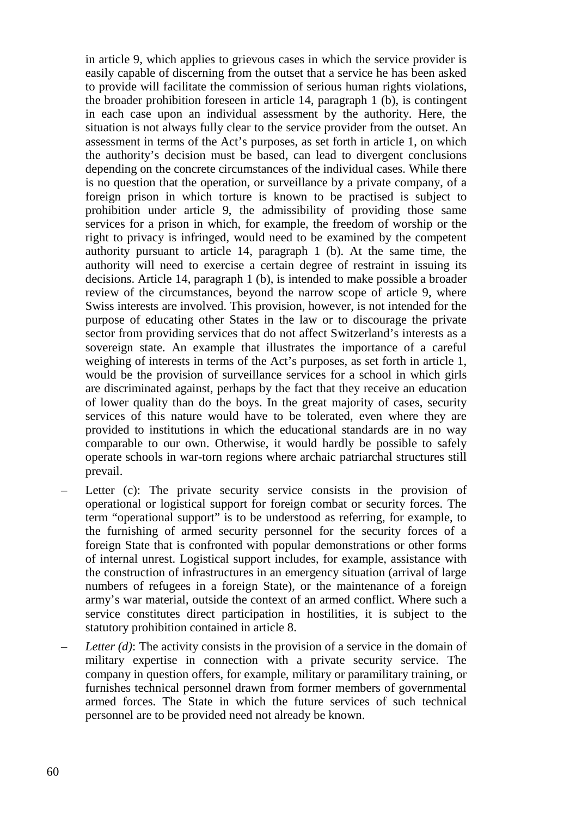in article 9, which applies to grievous cases in which the service provider is easily capable of discerning from the outset that a service he has been asked to provide will facilitate the commission of serious human rights violations, the broader prohibition foreseen in article 14, paragraph 1 (b), is contingent in each case upon an individual assessment by the authority. Here, the situation is not always fully clear to the service provider from the outset. An assessment in terms of the Act's purposes, as set forth in article 1, on which the authority's decision must be based, can lead to divergent conclusions depending on the concrete circumstances of the individual cases. While there is no question that the operation, or surveillance by a private company, of a foreign prison in which torture is known to be practised is subject to prohibition under article 9, the admissibility of providing those same services for a prison in which, for example, the freedom of worship or the right to privacy is infringed, would need to be examined by the competent authority pursuant to article 14, paragraph 1 (b). At the same time, the authority will need to exercise a certain degree of restraint in issuing its decisions. Article 14, paragraph 1 (b), is intended to make possible a broader review of the circumstances, beyond the narrow scope of article 9, where Swiss interests are involved. This provision, however, is not intended for the purpose of educating other States in the law or to discourage the private sector from providing services that do not affect Switzerland's interests as a sovereign state. An example that illustrates the importance of a careful weighing of interests in terms of the Act's purposes, as set forth in article 1, would be the provision of surveillance services for a school in which girls are discriminated against, perhaps by the fact that they receive an education of lower quality than do the boys. In the great majority of cases, security services of this nature would have to be tolerated, even where they are provided to institutions in which the educational standards are in no way comparable to our own. Otherwise, it would hardly be possible to safely operate schools in war-torn regions where archaic patriarchal structures still prevail.

- Letter (c): The private security service consists in the provision of operational or logistical support for foreign combat or security forces. The term "operational support" is to be understood as referring, for example, to the furnishing of armed security personnel for the security forces of a foreign State that is confronted with popular demonstrations or other forms of internal unrest. Logistical support includes, for example, assistance with the construction of infrastructures in an emergency situation (arrival of large numbers of refugees in a foreign State), or the maintenance of a foreign army's war material, outside the context of an armed conflict. Where such a service constitutes direct participation in hostilities, it is subject to the statutory prohibition contained in article 8.
- *Letter (d)*: The activity consists in the provision of a service in the domain of military expertise in connection with a private security service. The company in question offers, for example, military or paramilitary training, or furnishes technical personnel drawn from former members of governmental armed forces. The State in which the future services of such technical personnel are to be provided need not already be known.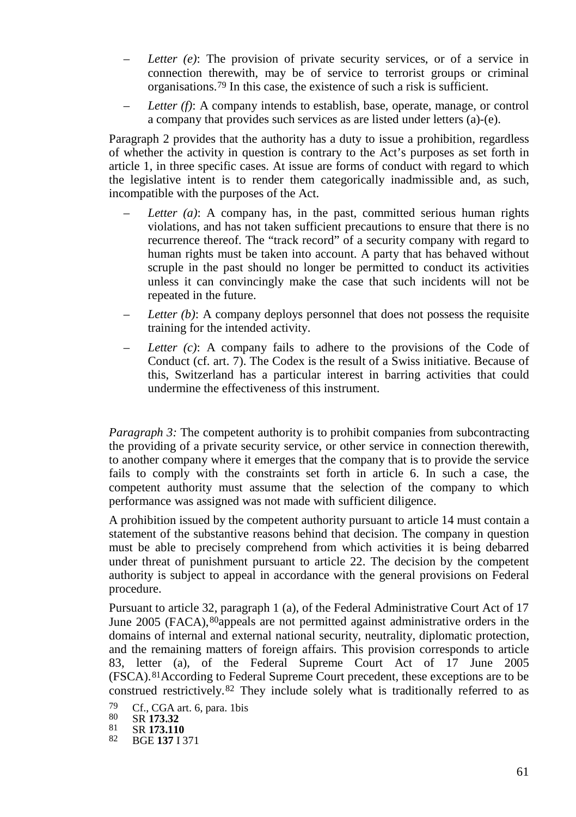- *Letter (e)*: The provision of private security services, or of a service in connection therewith, may be of service to terrorist groups or criminal organisations.[79](#page-60-0) In this case, the existence of such a risk is sufficient.
- *Letter (f)*: A company intends to establish, base, operate, manage, or control a company that provides such services as are listed under letters (a)-(e).

Paragraph 2 provides that the authority has a duty to issue a prohibition, regardless of whether the activity in question is contrary to the Act's purposes as set forth in article 1, in three specific cases. At issue are forms of conduct with regard to which the legislative intent is to render them categorically inadmissible and, as such, incompatible with the purposes of the Act.

- *Letter (a)*: A company has, in the past, committed serious human rights violations, and has not taken sufficient precautions to ensure that there is no recurrence thereof. The "track record" of a security company with regard to human rights must be taken into account. A party that has behaved without scruple in the past should no longer be permitted to conduct its activities unless it can convincingly make the case that such incidents will not be repeated in the future.
- *Letter (b)*: A company deploys personnel that does not possess the requisite training for the intended activity.
- *Letter (c)*: A company fails to adhere to the provisions of the Code of Conduct (cf. art. 7). The Codex is the result of a Swiss initiative. Because of this, Switzerland has a particular interest in barring activities that could undermine the effectiveness of this instrument.

*Paragraph 3:* The competent authority is to prohibit companies from subcontracting the providing of a private security service, or other service in connection therewith, to another company where it emerges that the company that is to provide the service fails to comply with the constraints set forth in article 6. In such a case, the competent authority must assume that the selection of the company to which performance was assigned was not made with sufficient diligence.

A prohibition issued by the competent authority pursuant to article 14 must contain a statement of the substantive reasons behind that decision. The company in question must be able to precisely comprehend from which activities it is being debarred under threat of punishment pursuant to article 22. The decision by the competent authority is subject to appeal in accordance with the general provisions on Federal procedure.

Pursuant to article 32, paragraph 1 (a), of the Federal Administrative Court Act of 17 June 2005 (FACA),[80](#page-60-1)appeals are not permitted against administrative orders in the domains of internal and external national security, neutrality, diplomatic protection, and the remaining matters of foreign affairs. This provision corresponds to article 83, letter (a), of the Federal Supreme Court Act of 17 June 2005 (FSCA).[81](#page-60-2)According to Federal Supreme Court precedent, these exceptions are to be construed restrictively.[82](#page-60-3) They include solely what is traditionally referred to as

- <span id="page-60-0"></span> $^{79}$  Cf., CGA art. 6, para. 1bis<br>80 SR 173.32
- 
- <span id="page-60-2"></span><span id="page-60-1"></span><sup>80</sup> SR **173.32** <sup>81</sup> SR **173.110** <sup>82</sup> BGE **<sup>137</sup>** I 371
- <span id="page-60-3"></span>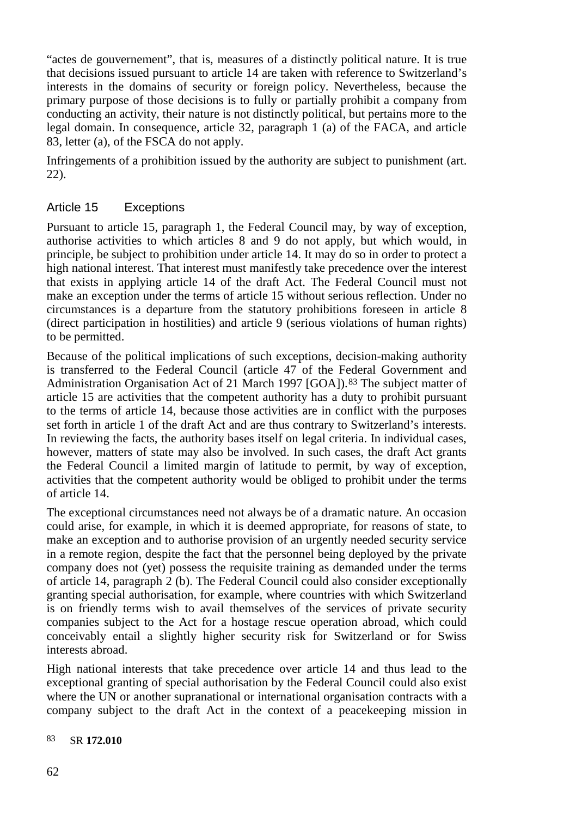"actes de gouvernement", that is, measures of a distinctly political nature. It is true that decisions issued pursuant to article 14 are taken with reference to Switzerland's interests in the domains of security or foreign policy. Nevertheless, because the primary purpose of those decisions is to fully or partially prohibit a company from conducting an activity, their nature is not distinctly political, but pertains more to the legal domain. In consequence, article 32, paragraph 1 (a) of the FACA, and article 83, letter (a), of the FSCA do not apply.

Infringements of a prohibition issued by the authority are subject to punishment (art. 22).

### Article 15 Exceptions

Pursuant to article 15, paragraph 1, the Federal Council may, by way of exception, authorise activities to which articles 8 and 9 do not apply, but which would, in principle, be subject to prohibition under article 14. It may do so in order to protect a high national interest. That interest must manifestly take precedence over the interest that exists in applying article 14 of the draft Act. The Federal Council must not make an exception under the terms of article 15 without serious reflection. Under no circumstances is a departure from the statutory prohibitions foreseen in article 8 (direct participation in hostilities) and article 9 (serious violations of human rights) to be permitted.

Because of the political implications of such exceptions, decision-making authority is transferred to the Federal Council (article 47 of the Federal Government and Administration Organisation Act of 21 March 1997 [GOA]).<sup>[83](#page-61-0)</sup> The subject matter of article 15 are activities that the competent authority has a duty to prohibit pursuant to the terms of article 14, because those activities are in conflict with the purposes set forth in article 1 of the draft Act and are thus contrary to Switzerland's interests. In reviewing the facts, the authority bases itself on legal criteria. In individual cases, however, matters of state may also be involved. In such cases, the draft Act grants the Federal Council a limited margin of latitude to permit, by way of exception, activities that the competent authority would be obliged to prohibit under the terms of article 14.

The exceptional circumstances need not always be of a dramatic nature. An occasion could arise, for example, in which it is deemed appropriate, for reasons of state, to make an exception and to authorise provision of an urgently needed security service in a remote region, despite the fact that the personnel being deployed by the private company does not (yet) possess the requisite training as demanded under the terms of article 14, paragraph 2 (b). The Federal Council could also consider exceptionally granting special authorisation, for example, where countries with which Switzerland is on friendly terms wish to avail themselves of the services of private security companies subject to the Act for a hostage rescue operation abroad, which could conceivably entail a slightly higher security risk for Switzerland or for Swiss interests abroad.

High national interests that take precedence over article 14 and thus lead to the exceptional granting of special authorisation by the Federal Council could also exist where the UN or another supranational or international organisation contracts with a company subject to the draft Act in the context of a peacekeeping mission in

#### <span id="page-61-0"></span>83 SR **172.010**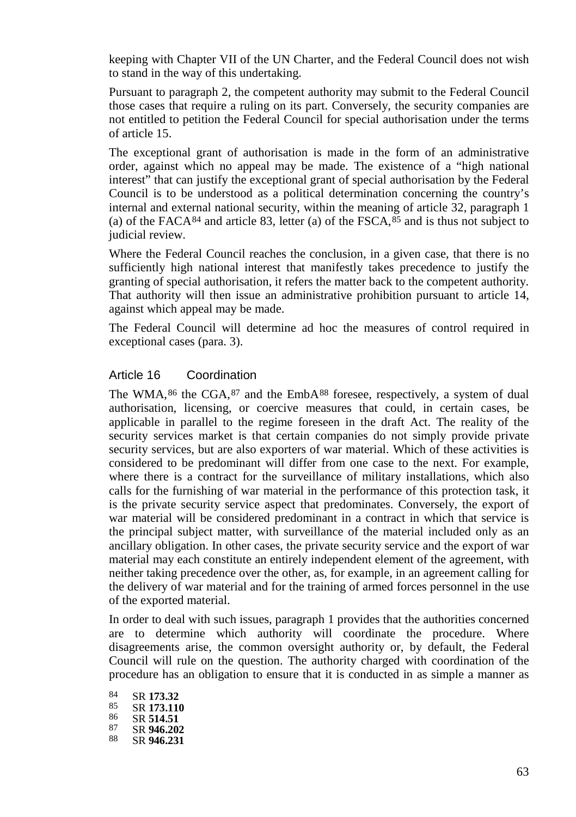keeping with Chapter VII of the UN Charter, and the Federal Council does not wish to stand in the way of this undertaking.

Pursuant to paragraph 2, the competent authority may submit to the Federal Council those cases that require a ruling on its part. Conversely, the security companies are not entitled to petition the Federal Council for special authorisation under the terms of article 15.

The exceptional grant of authorisation is made in the form of an administrative order, against which no appeal may be made. The existence of a "high national interest" that can justify the exceptional grant of special authorisation by the Federal Council is to be understood as a political determination concerning the country's internal and external national security, within the meaning of article 32, paragraph 1 (a) of the FACA $84$  and article 83, letter (a) of the FSCA, $85$  and is thus not subject to judicial review.

Where the Federal Council reaches the conclusion, in a given case, that there is no sufficiently high national interest that manifestly takes precedence to justify the granting of special authorisation, it refers the matter back to the competent authority. That authority will then issue an administrative prohibition pursuant to article 14, against which appeal may be made.

The Federal Council will determine ad hoc the measures of control required in exceptional cases (para. 3).

#### Article 16 Coordination

The WMA,<sup>[86](#page-62-2)</sup> the CGA,<sup>[87](#page-62-3)</sup> and the EmbA<sup>[88](#page-62-4)</sup> foresee, respectively, a system of dual authorisation, licensing, or coercive measures that could, in certain cases, be applicable in parallel to the regime foreseen in the draft Act. The reality of the security services market is that certain companies do not simply provide private security services, but are also exporters of war material. Which of these activities is considered to be predominant will differ from one case to the next. For example, where there is a contract for the surveillance of military installations, which also calls for the furnishing of war material in the performance of this protection task, it is the private security service aspect that predominates. Conversely, the export of war material will be considered predominant in a contract in which that service is the principal subject matter, with surveillance of the material included only as an ancillary obligation. In other cases, the private security service and the export of war material may each constitute an entirely independent element of the agreement, with neither taking precedence over the other, as, for example, in an agreement calling for the delivery of war material and for the training of armed forces personnel in the use of the exported material.

In order to deal with such issues, paragraph 1 provides that the authorities concerned are to determine which authority will coordinate the procedure. Where disagreements arise, the common oversight authority or, by default, the Federal Council will rule on the question. The authority charged with coordination of the procedure has an obligation to ensure that it is conducted in as simple a manner as

<span id="page-62-4"></span><span id="page-62-3"></span><span id="page-62-2"></span><span id="page-62-1"></span><span id="page-62-0"></span>

| 84 | SR 173.32  |
|----|------------|
| 85 | SR 173.110 |
| 86 | SR 514.51  |
| 87 | SR 946.202 |
| 88 | SR 946.231 |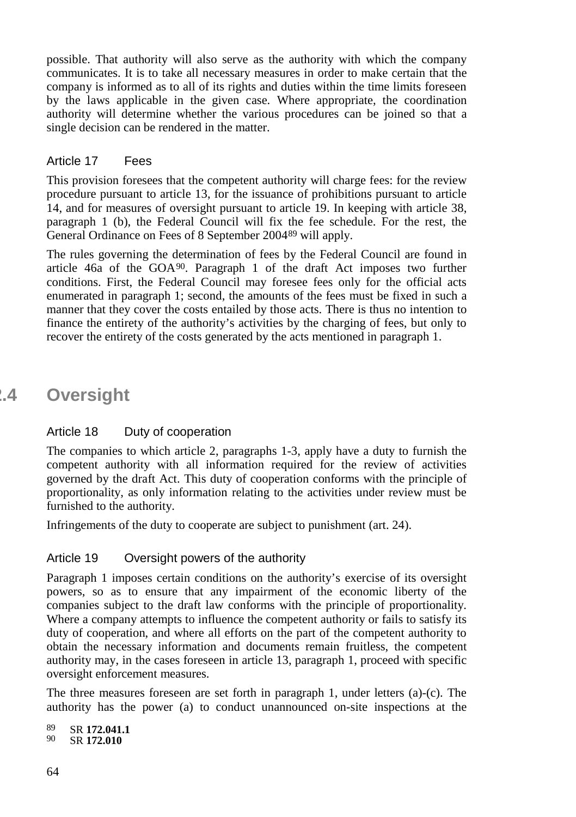possible. That authority will also serve as the authority with which the company communicates. It is to take all necessary measures in order to make certain that the company is informed as to all of its rights and duties within the time limits foreseen by the laws applicable in the given case. Where appropriate, the coordination authority will determine whether the various procedures can be joined so that a single decision can be rendered in the matter.

#### Article 17 Fees

This provision foresees that the competent authority will charge fees: for the review procedure pursuant to article 13, for the issuance of prohibitions pursuant to article 14, and for measures of oversight pursuant to article 19. In keeping with article 38, paragraph 1 (b), the Federal Council will fix the fee schedule. For the rest, the General Ordinance on Fees of 8 September 2004[89](#page-63-0) will apply.

The rules governing the determination of fees by the Federal Council are found in article 46a of the GOA [90.](#page-63-1) Paragraph 1 of the draft Act imposes two further conditions. First, the Federal Council may foresee fees only for the official acts enumerated in paragraph 1; second, the amounts of the fees must be fixed in such a manner that they cover the costs entailed by those acts. There is thus no intention to finance the entirety of the authority's activities by the charging of fees, but only to recover the entirety of the costs generated by the acts mentioned in paragraph 1.

# **2.4 Oversight**

#### Article 18 Duty of cooperation

The companies to which article 2, paragraphs 1-3, apply have a duty to furnish the competent authority with all information required for the review of activities governed by the draft Act. This duty of cooperation conforms with the principle of proportionality, as only information relating to the activities under review must be furnished to the authority.

Infringements of the duty to cooperate are subject to punishment (art. 24).

#### Article 19 Oversight powers of the authority

Paragraph 1 imposes certain conditions on the authority's exercise of its oversight powers, so as to ensure that any impairment of the economic liberty of the companies subject to the draft law conforms with the principle of proportionality. Where a company attempts to influence the competent authority or fails to satisfy its duty of cooperation, and where all efforts on the part of the competent authority to obtain the necessary information and documents remain fruitless, the competent authority may, in the cases foreseen in article 13, paragraph 1, proceed with specific oversight enforcement measures.

The three measures foreseen are set forth in paragraph 1, under letters (a)-(c). The authority has the power (a) to conduct unannounced on-site inspections at the

<span id="page-63-1"></span><span id="page-63-0"></span>89 SR **172.041.1**<br>90 SR **172.040.10** 90 SR **172.010**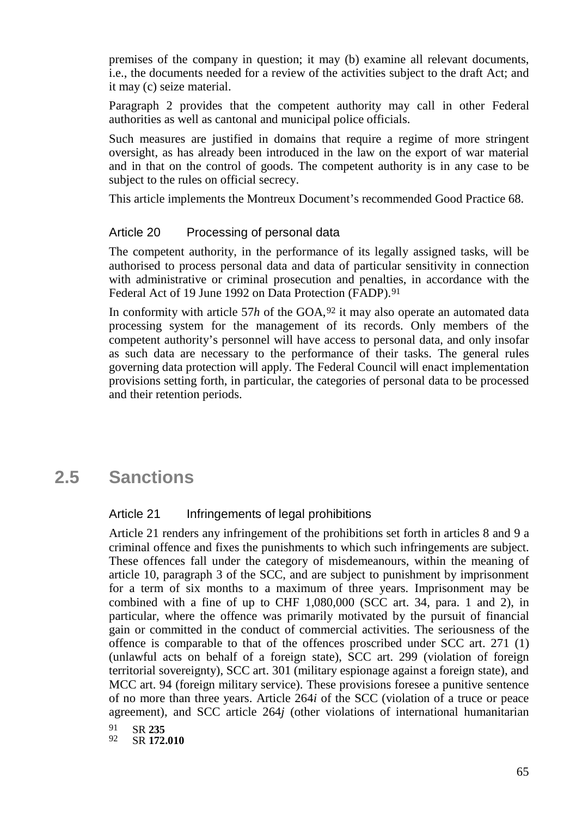premises of the company in question; it may (b) examine all relevant documents, i.e., the documents needed for a review of the activities subject to the draft Act; and it may (c) seize material.

Paragraph 2 provides that the competent authority may call in other Federal authorities as well as cantonal and municipal police officials.

Such measures are justified in domains that require a regime of more stringent oversight, as has already been introduced in the law on the export of war material and in that on the control of goods. The competent authority is in any case to be subject to the rules on official secrecy.

This article implements the Montreux Document's recommended Good Practice 68.

#### Article 20 Processing of personal data

The competent authority, in the performance of its legally assigned tasks, will be authorised to process personal data and data of particular sensitivity in connection with administrative or criminal prosecution and penalties, in accordance with the Federal Act of 19 June 1992 on Data Protection (FADP).<sup>91</sup>

In conformity with article 57h of the  $GOA<sup>92</sup>$  $GOA<sup>92</sup>$  $GOA<sup>92</sup>$  it may also operate an automated data processing system for the management of its records. Only members of the competent authority's personnel will have access to personal data, and only insofar as such data are necessary to the performance of their tasks. The general rules governing data protection will apply. The Federal Council will enact implementation provisions setting forth, in particular, the categories of personal data to be processed and their retention periods.

# **2.5 Sanctions**

#### Article 21 Infringements of legal prohibitions

Article 21 renders any infringement of the prohibitions set forth in articles 8 and 9 a criminal offence and fixes the punishments to which such infringements are subject. These offences fall under the category of misdemeanours, within the meaning of article 10, paragraph 3 of the SCC, and are subject to punishment by imprisonment for a term of six months to a maximum of three years. Imprisonment may be combined with a fine of up to CHF 1,080,000 (SCC art. 34, para. 1 and 2), in particular, where the offence was primarily motivated by the pursuit of financial gain or committed in the conduct of commercial activities. The seriousness of the offence is comparable to that of the offences proscribed under SCC art. 271 (1) (unlawful acts on behalf of a foreign state), SCC art. 299 (violation of foreign territorial sovereignty), SCC art. 301 (military espionage against a foreign state), and MCC art. 94 (foreign military service). These provisions foresee a punitive sentence of no more than three years. Article 264*i* of the SCC (violation of a truce or peace agreement), and SCC article 264*j* (other violations of international humanitarian

<span id="page-64-1"></span><span id="page-64-0"></span>91 SR 235<br>92 SP 172 92 SR **172.010**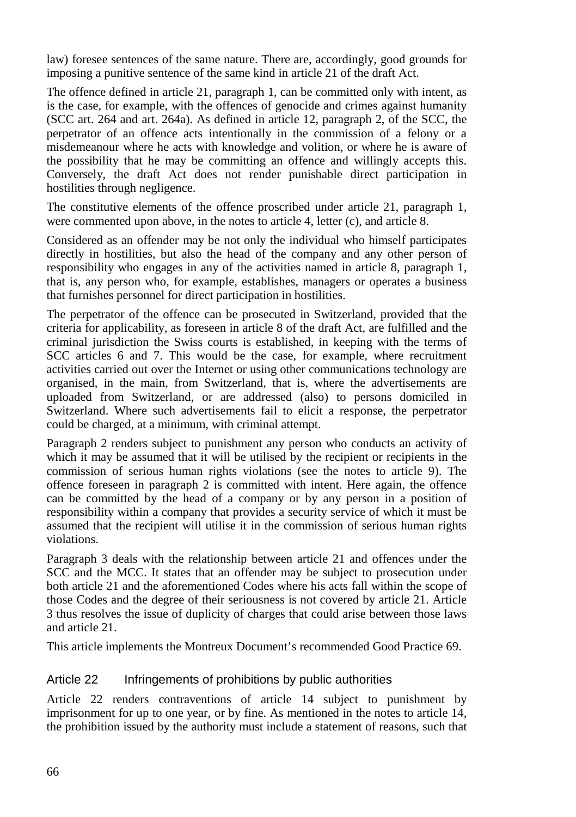law) foresee sentences of the same nature. There are, accordingly, good grounds for imposing a punitive sentence of the same kind in article 21 of the draft Act.

The offence defined in article 21, paragraph 1, can be committed only with intent, as is the case, for example, with the offences of genocide and crimes against humanity (SCC art. 264 and art. 264a). As defined in article 12, paragraph 2, of the SCC, the perpetrator of an offence acts intentionally in the commission of a felony or a misdemeanour where he acts with knowledge and volition, or where he is aware of the possibility that he may be committing an offence and willingly accepts this. Conversely, the draft Act does not render punishable direct participation in hostilities through negligence.

The constitutive elements of the offence proscribed under article 21, paragraph 1, were commented upon above, in the notes to article 4, letter (c), and article 8.

Considered as an offender may be not only the individual who himself participates directly in hostilities, but also the head of the company and any other person of responsibility who engages in any of the activities named in article 8, paragraph 1, that is, any person who, for example, establishes, managers or operates a business that furnishes personnel for direct participation in hostilities.

The perpetrator of the offence can be prosecuted in Switzerland, provided that the criteria for applicability, as foreseen in article 8 of the draft Act, are fulfilled and the criminal jurisdiction the Swiss courts is established, in keeping with the terms of SCC articles 6 and 7. This would be the case, for example, where recruitment activities carried out over the Internet or using other communications technology are organised, in the main, from Switzerland, that is, where the advertisements are uploaded from Switzerland, or are addressed (also) to persons domiciled in Switzerland. Where such advertisements fail to elicit a response, the perpetrator could be charged, at a minimum, with criminal attempt.

Paragraph 2 renders subject to punishment any person who conducts an activity of which it may be assumed that it will be utilised by the recipient or recipients in the commission of serious human rights violations (see the notes to article 9). The offence foreseen in paragraph 2 is committed with intent. Here again, the offence can be committed by the head of a company or by any person in a position of responsibility within a company that provides a security service of which it must be assumed that the recipient will utilise it in the commission of serious human rights violations.

Paragraph 3 deals with the relationship between article 21 and offences under the SCC and the MCC. It states that an offender may be subject to prosecution under both article 21 and the aforementioned Codes where his acts fall within the scope of those Codes and the degree of their seriousness is not covered by article 21. Article 3 thus resolves the issue of duplicity of charges that could arise between those laws and article 21.

This article implements the Montreux Document's recommended Good Practice 69.

### Article 22 Infringements of prohibitions by public authorities

Article 22 renders contraventions of article 14 subject to punishment by imprisonment for up to one year, or by fine. As mentioned in the notes to article 14, the prohibition issued by the authority must include a statement of reasons, such that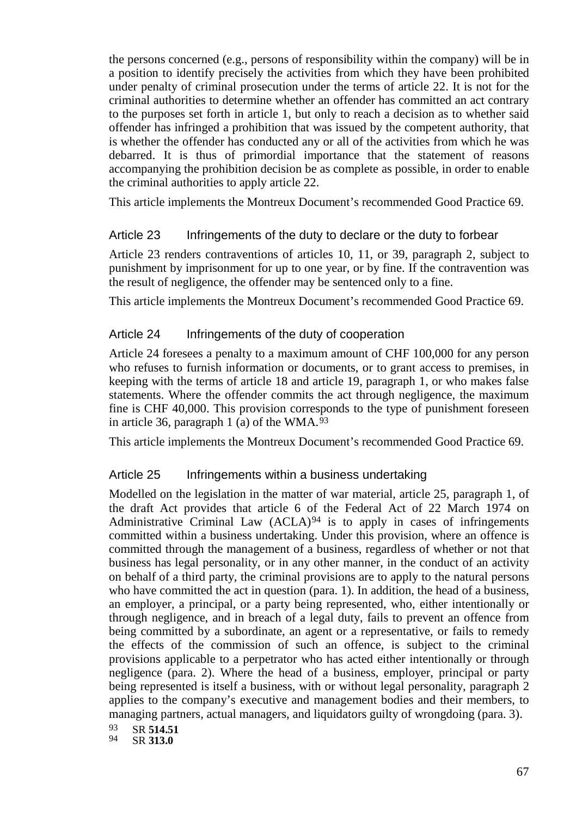the persons concerned (e.g., persons of responsibility within the company) will be in a position to identify precisely the activities from which they have been prohibited under penalty of criminal prosecution under the terms of article 22. It is not for the criminal authorities to determine whether an offender has committed an act contrary to the purposes set forth in article 1, but only to reach a decision as to whether said offender has infringed a prohibition that was issued by the competent authority, that is whether the offender has conducted any or all of the activities from which he was debarred. It is thus of primordial importance that the statement of reasons accompanying the prohibition decision be as complete as possible, in order to enable the criminal authorities to apply article 22.

This article implements the Montreux Document's recommended Good Practice 69.

#### Article 23 Infringements of the duty to declare or the duty to forbear

Article 23 renders contraventions of articles 10, 11, or 39, paragraph 2, subject to punishment by imprisonment for up to one year, or by fine. If the contravention was the result of negligence, the offender may be sentenced only to a fine.

This article implements the Montreux Document's recommended Good Practice 69.

#### Article 24 Infringements of the duty of cooperation

Article 24 foresees a penalty to a maximum amount of CHF 100,000 for any person who refuses to furnish information or documents, or to grant access to premises, in keeping with the terms of article 18 and article 19, paragraph 1, or who makes false statements. Where the offender commits the act through negligence, the maximum fine is CHF 40,000. This provision corresponds to the type of punishment foreseen in article 36, paragraph 1 (a) of the WMA. $93$ 

This article implements the Montreux Document's recommended Good Practice 69.

#### Article 25 Infringements within a business undertaking

Modelled on the legislation in the matter of war material, article 25, paragraph 1, of the draft Act provides that article 6 of the Federal Act of 22 March 1974 on Administrative Criminal Law (ACLA)<sup>[94](#page-66-1)</sup> is to apply in cases of infringements committed within a business undertaking. Under this provision, where an offence is committed through the management of a business, regardless of whether or not that business has legal personality, or in any other manner, in the conduct of an activity on behalf of a third party, the criminal provisions are to apply to the natural persons who have committed the act in question (para. 1). In addition, the head of a business, an employer, a principal, or a party being represented, who, either intentionally or through negligence, and in breach of a legal duty, fails to prevent an offence from being committed by a subordinate, an agent or a representative, or fails to remedy the effects of the commission of such an offence, is subject to the criminal provisions applicable to a perpetrator who has acted either intentionally or through negligence (para. 2). Where the head of a business, employer, principal or party being represented is itself a business, with or without legal personality, paragraph 2 applies to the company's executive and management bodies and their members, to managing partners, actual managers, and liquidators guilty of wrongdoing (para. 3).

<span id="page-66-1"></span><span id="page-66-0"></span>93 SR **514.51**<br>94 SP 313.0

94 SR **313.0**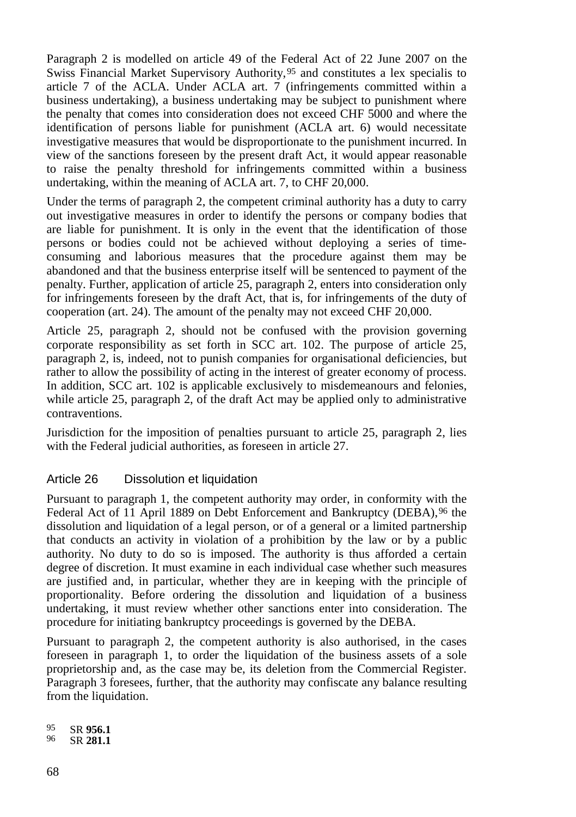Paragraph 2 is modelled on article 49 of the Federal Act of 22 June 2007 on the Swiss Financial Market Supervisory Authority,[95](#page-67-0) and constitutes a lex specialis to article 7 of the ACLA. Under ACLA art. 7 (infringements committed within a business undertaking), a business undertaking may be subject to punishment where the penalty that comes into consideration does not exceed CHF 5000 and where the identification of persons liable for punishment (ACLA art. 6) would necessitate investigative measures that would be disproportionate to the punishment incurred. In view of the sanctions foreseen by the present draft Act, it would appear reasonable to raise the penalty threshold for infringements committed within a business undertaking, within the meaning of ACLA art. 7, to CHF 20,000.

Under the terms of paragraph 2, the competent criminal authority has a duty to carry out investigative measures in order to identify the persons or company bodies that are liable for punishment. It is only in the event that the identification of those persons or bodies could not be achieved without deploying a series of timeconsuming and laborious measures that the procedure against them may be abandoned and that the business enterprise itself will be sentenced to payment of the penalty. Further, application of article 25, paragraph 2, enters into consideration only for infringements foreseen by the draft Act, that is, for infringements of the duty of cooperation (art. 24). The amount of the penalty may not exceed CHF 20,000.

Article 25, paragraph 2, should not be confused with the provision governing corporate responsibility as set forth in SCC art. 102. The purpose of article 25, paragraph 2, is, indeed, not to punish companies for organisational deficiencies, but rather to allow the possibility of acting in the interest of greater economy of process. In addition, SCC art. 102 is applicable exclusively to misdemeanours and felonies, while article 25, paragraph 2, of the draft Act may be applied only to administrative contraventions.

Jurisdiction for the imposition of penalties pursuant to article 25, paragraph 2, lies with the Federal judicial authorities, as foreseen in article 27.

### Article 26 Dissolution et liquidation

Pursuant to paragraph 1, the competent authority may order, in conformity with the Federal Act of 11 April 1889 on Debt Enforcement and Bankruptcy (DEBA), [96](#page-67-1) the dissolution and liquidation of a legal person, or of a general or a limited partnership that conducts an activity in violation of a prohibition by the law or by a public authority. No duty to do so is imposed. The authority is thus afforded a certain degree of discretion. It must examine in each individual case whether such measures are justified and, in particular, whether they are in keeping with the principle of proportionality. Before ordering the dissolution and liquidation of a business undertaking, it must review whether other sanctions enter into consideration. The procedure for initiating bankruptcy proceedings is governed by the DEBA.

Pursuant to paragraph 2, the competent authority is also authorised, in the cases foreseen in paragraph 1, to order the liquidation of the business assets of a sole proprietorship and, as the case may be, its deletion from the Commercial Register. Paragraph 3 foresees, further, that the authority may confiscate any balance resulting from the liquidation.

<span id="page-67-1"></span><span id="page-67-0"></span><sup>95</sup> SR **956.1** <sup>96</sup> SR **281.1**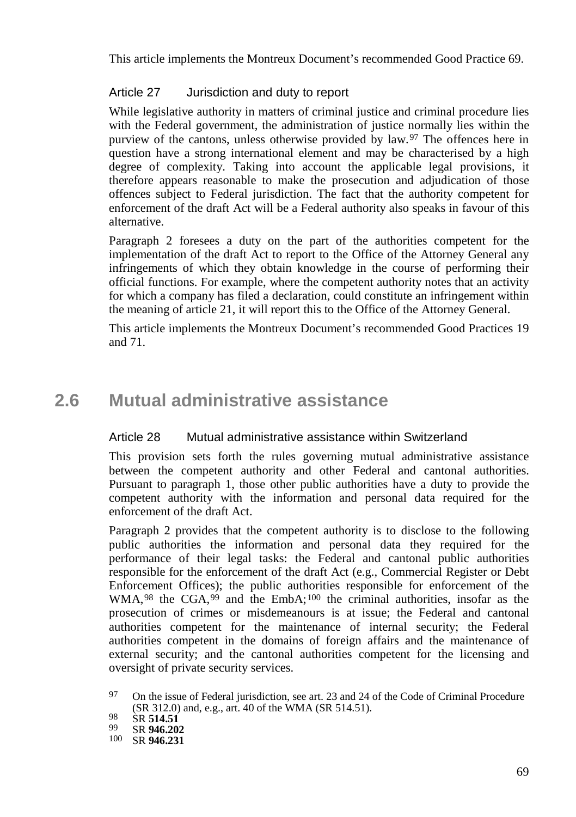This article implements the Montreux Document's recommended Good Practice 69.

### Article 27 Jurisdiction and duty to report

While legislative authority in matters of criminal justice and criminal procedure lies with the Federal government, the administration of justice normally lies within the purview of the cantons, unless otherwise provided by law.<sup>[97](#page-68-0)</sup> The offences here in question have a strong international element and may be characterised by a high degree of complexity. Taking into account the applicable legal provisions, it therefore appears reasonable to make the prosecution and adjudication of those offences subject to Federal jurisdiction. The fact that the authority competent for enforcement of the draft Act will be a Federal authority also speaks in favour of this alternative.

Paragraph 2 foresees a duty on the part of the authorities competent for the implementation of the draft Act to report to the Office of the Attorney General any infringements of which they obtain knowledge in the course of performing their official functions. For example, where the competent authority notes that an activity for which a company has filed a declaration, could constitute an infringement within the meaning of article 21, it will report this to the Office of the Attorney General.

This article implements the Montreux Document's recommended Good Practices 19 and 71.

# **2.6 Mutual administrative assistance**

### Article 28 Mutual administrative assistance within Switzerland

This provision sets forth the rules governing mutual administrative assistance between the competent authority and other Federal and cantonal authorities. Pursuant to paragraph 1, those other public authorities have a duty to provide the competent authority with the information and personal data required for the enforcement of the draft Act.

Paragraph 2 provides that the competent authority is to disclose to the following public authorities the information and personal data they required for the performance of their legal tasks: the Federal and cantonal public authorities responsible for the enforcement of the draft Act (e.g., Commercial Register or Debt Enforcement Offices); the public authorities responsible for enforcement of the WMA,<sup>[98](#page-68-1)</sup> the CGA,<sup>[99](#page-68-2)</sup> and the EmbA;<sup>[100](#page-68-3)</sup> the criminal authorities, insofar as the prosecution of crimes or misdemeanours is at issue; the Federal and cantonal authorities competent for the maintenance of internal security; the Federal authorities competent in the domains of foreign affairs and the maintenance of external security; and the cantonal authorities competent for the licensing and oversight of private security services.

<span id="page-68-0"></span><sup>97</sup> On the issue of Federal jurisdiction, see art. 23 and 24 of the Code of Criminal Procedure (SR 312.0) and, e.g., art. 40 of the WMA (SR 514.51).

<span id="page-68-3"></span>

<span id="page-68-2"></span><span id="page-68-1"></span><sup>98</sup> SR **514.51** <sup>99</sup> SR **946.202** <sup>100</sup> SR **946.231**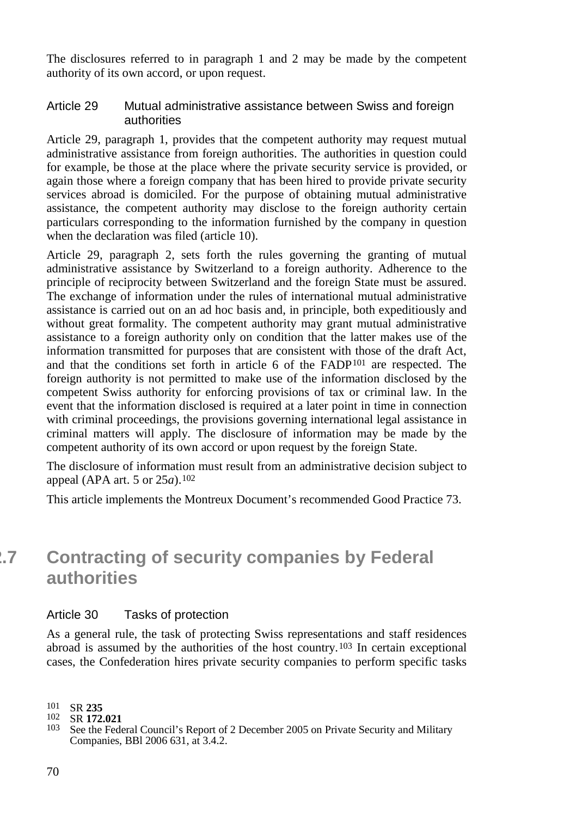The disclosures referred to in paragraph 1 and 2 may be made by the competent authority of its own accord, or upon request.

#### Article 29 Mutual administrative assistance between Swiss and foreign authorities

Article 29, paragraph 1, provides that the competent authority may request mutual administrative assistance from foreign authorities. The authorities in question could for example, be those at the place where the private security service is provided, or again those where a foreign company that has been hired to provide private security services abroad is domiciled. For the purpose of obtaining mutual administrative assistance, the competent authority may disclose to the foreign authority certain particulars corresponding to the information furnished by the company in question when the declaration was filed (article 10).

Article 29, paragraph 2, sets forth the rules governing the granting of mutual administrative assistance by Switzerland to a foreign authority. Adherence to the principle of reciprocity between Switzerland and the foreign State must be assured. The exchange of information under the rules of international mutual administrative assistance is carried out on an ad hoc basis and, in principle, both expeditiously and without great formality. The competent authority may grant mutual administrative assistance to a foreign authority only on condition that the latter makes use of the information transmitted for purposes that are consistent with those of the draft Act, and that the conditions set forth in article 6 of the FADP[101](#page-69-0) are respected. The foreign authority is not permitted to make use of the information disclosed by the competent Swiss authority for enforcing provisions of tax or criminal law. In the event that the information disclosed is required at a later point in time in connection with criminal proceedings, the provisions governing international legal assistance in criminal matters will apply. The disclosure of information may be made by the competent authority of its own accord or upon request by the foreign State.

The disclosure of information must result from an administrative decision subject to appeal (APA art. 5 or 25*a*). [102](#page-69-1)

This article implements the Montreux Document's recommended Good Practice 73.

# **2.7 Contracting of security companies by Federal authorities**

#### Article 30 Tasks of protection

As a general rule, the task of protecting Swiss representations and staff residences abroad is assumed by the authorities of the host country.[103](#page-69-2) In certain exceptional cases, the Confederation hires private security companies to perform specific tasks

<span id="page-69-1"></span>

<span id="page-69-0"></span><sup>101</sup> SR **235**

<span id="page-69-2"></span><sup>&</sup>lt;sup>103</sup> See the Federal Council's Report of 2 December 2005 on Private Security and Military Companies, BBl 2006 631, at 3.4.2.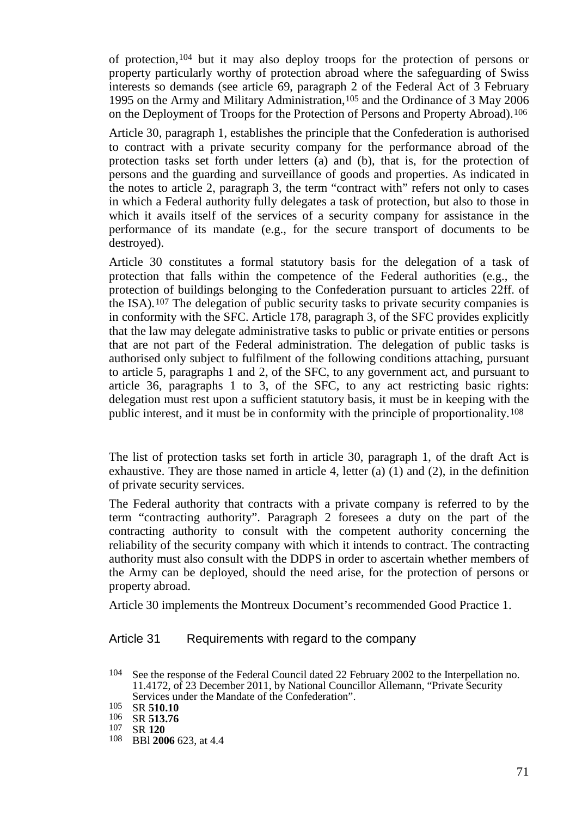of protection[,104](#page-70-0) but it may also deploy troops for the protection of persons or property particularly worthy of protection abroad where the safeguarding of Swiss interests so demands (see article 69, paragraph 2 of the Federal Act of 3 February 1995 on the Army and Military Administration,[105](#page-70-1) and the Ordinance of 3 May 2006 on the Deployment of Troops for the Protection of Persons and Property Abroad).[106](#page-70-2)

Article 30, paragraph 1, establishes the principle that the Confederation is authorised to contract with a private security company for the performance abroad of the protection tasks set forth under letters (a) and (b), that is, for the protection of persons and the guarding and surveillance of goods and properties. As indicated in the notes to article 2, paragraph 3, the term "contract with" refers not only to cases in which a Federal authority fully delegates a task of protection, but also to those in which it avails itself of the services of a security company for assistance in the performance of its mandate (e.g., for the secure transport of documents to be destroyed).

Article 30 constitutes a formal statutory basis for the delegation of a task of protection that falls within the competence of the Federal authorities (e.g., the protection of buildings belonging to the Confederation pursuant to articles 22ff. of the ISA).<sup>[107](#page-70-3)</sup> The delegation of public security tasks to private security companies is in conformity with the SFC. Article 178, paragraph 3, of the SFC provides explicitly that the law may delegate administrative tasks to public or private entities or persons that are not part of the Federal administration. The delegation of public tasks is authorised only subject to fulfilment of the following conditions attaching, pursuant to article 5, paragraphs 1 and 2, of the SFC, to any government act, and pursuant to article 36, paragraphs 1 to 3, of the SFC, to any act restricting basic rights: delegation must rest upon a sufficient statutory basis, it must be in keeping with the public interest, and it must be in conformity with the principle of proportionality.[108](#page-70-4)

The list of protection tasks set forth in article 30, paragraph 1, of the draft Act is exhaustive. They are those named in article 4, letter (a)  $(1)$  and  $(2)$ , in the definition of private security services.

The Federal authority that contracts with a private company is referred to by the term "contracting authority". Paragraph 2 foresees a duty on the part of the contracting authority to consult with the competent authority concerning the reliability of the security company with which it intends to contract. The contracting authority must also consult with the DDPS in order to ascertain whether members of the Army can be deployed, should the need arise, for the protection of persons or property abroad.

Article 30 implements the Montreux Document's recommended Good Practice 1.

#### Article 31 Requirements with regard to the company

<span id="page-70-0"></span><sup>104</sup> See the response of the Federal Council dated 22 February 2002 to the Interpellation no. 11.4172, of 23 December 2011, by National Councillor Allemann, "Private Security Services under the Mandate of the Confederation".<br>
105 SR **510.10**<br>
106 SR **513.76**<br>
107 SR **120**<br>
108 BB**l 2006** 623, at 4.4

<span id="page-70-2"></span><span id="page-70-1"></span>

<span id="page-70-4"></span><span id="page-70-3"></span>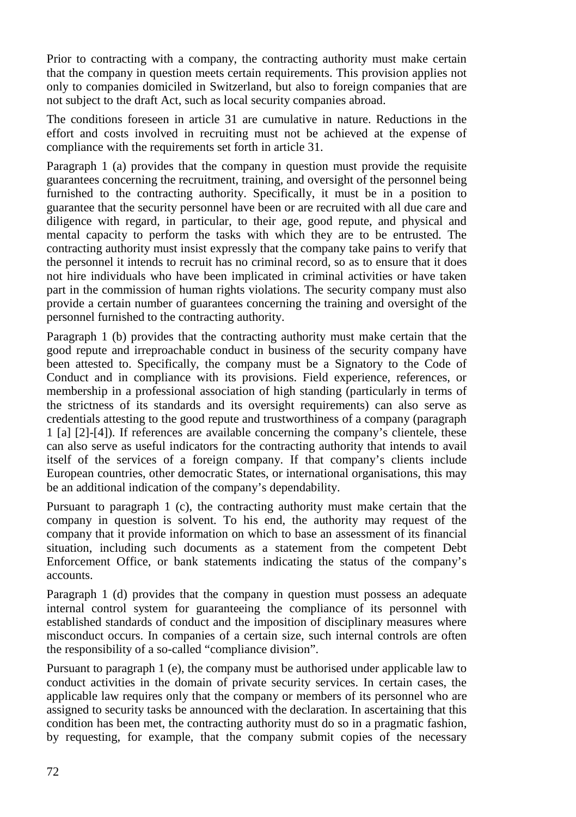Prior to contracting with a company, the contracting authority must make certain that the company in question meets certain requirements. This provision applies not only to companies domiciled in Switzerland, but also to foreign companies that are not subject to the draft Act, such as local security companies abroad.

The conditions foreseen in article 31 are cumulative in nature. Reductions in the effort and costs involved in recruiting must not be achieved at the expense of compliance with the requirements set forth in article 31.

Paragraph 1 (a) provides that the company in question must provide the requisite guarantees concerning the recruitment, training, and oversight of the personnel being furnished to the contracting authority. Specifically, it must be in a position to guarantee that the security personnel have been or are recruited with all due care and diligence with regard, in particular, to their age, good repute, and physical and mental capacity to perform the tasks with which they are to be entrusted. The contracting authority must insist expressly that the company take pains to verify that the personnel it intends to recruit has no criminal record, so as to ensure that it does not hire individuals who have been implicated in criminal activities or have taken part in the commission of human rights violations. The security company must also provide a certain number of guarantees concerning the training and oversight of the personnel furnished to the contracting authority.

Paragraph 1 (b) provides that the contracting authority must make certain that the good repute and irreproachable conduct in business of the security company have been attested to. Specifically, the company must be a Signatory to the Code of Conduct and in compliance with its provisions. Field experience, references, or membership in a professional association of high standing (particularly in terms of the strictness of its standards and its oversight requirements) can also serve as credentials attesting to the good repute and trustworthiness of a company (paragraph 1 [a] [2]-[4]). If references are available concerning the company's clientele, these can also serve as useful indicators for the contracting authority that intends to avail itself of the services of a foreign company. If that company's clients include European countries, other democratic States, or international organisations, this may be an additional indication of the company's dependability.

Pursuant to paragraph 1 (c), the contracting authority must make certain that the company in question is solvent. To his end, the authority may request of the company that it provide information on which to base an assessment of its financial situation, including such documents as a statement from the competent Debt Enforcement Office, or bank statements indicating the status of the company's accounts.

Paragraph 1 (d) provides that the company in question must possess an adequate internal control system for guaranteeing the compliance of its personnel with established standards of conduct and the imposition of disciplinary measures where misconduct occurs. In companies of a certain size, such internal controls are often the responsibility of a so-called "compliance division".

Pursuant to paragraph 1 (e), the company must be authorised under applicable law to conduct activities in the domain of private security services. In certain cases, the applicable law requires only that the company or members of its personnel who are assigned to security tasks be announced with the declaration. In ascertaining that this condition has been met, the contracting authority must do so in a pragmatic fashion, by requesting, for example, that the company submit copies of the necessary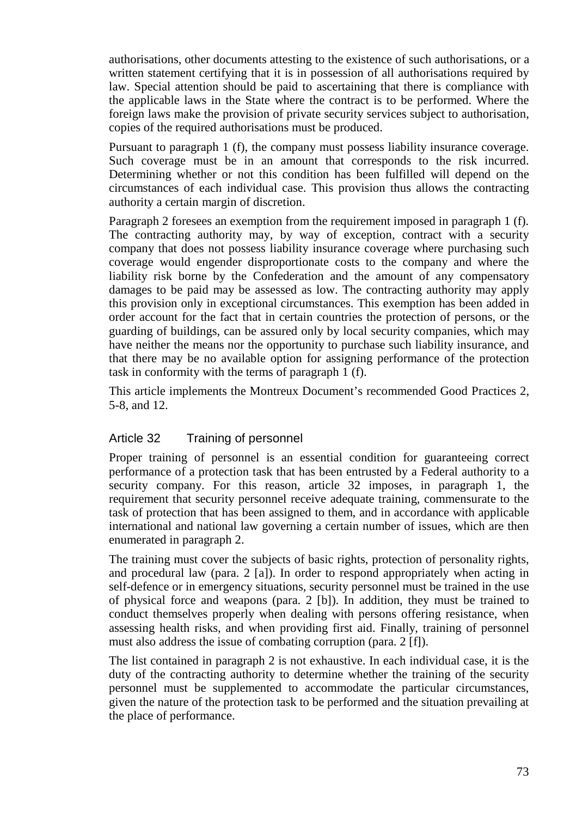authorisations, other documents attesting to the existence of such authorisations, or a written statement certifying that it is in possession of all authorisations required by law. Special attention should be paid to ascertaining that there is compliance with the applicable laws in the State where the contract is to be performed. Where the foreign laws make the provision of private security services subject to authorisation, copies of the required authorisations must be produced.

Pursuant to paragraph 1 (f), the company must possess liability insurance coverage. Such coverage must be in an amount that corresponds to the risk incurred. Determining whether or not this condition has been fulfilled will depend on the circumstances of each individual case. This provision thus allows the contracting authority a certain margin of discretion.

Paragraph 2 foresees an exemption from the requirement imposed in paragraph 1 (f). The contracting authority may, by way of exception, contract with a security company that does not possess liability insurance coverage where purchasing such coverage would engender disproportionate costs to the company and where the liability risk borne by the Confederation and the amount of any compensatory damages to be paid may be assessed as low. The contracting authority may apply this provision only in exceptional circumstances. This exemption has been added in order account for the fact that in certain countries the protection of persons, or the guarding of buildings, can be assured only by local security companies, which may have neither the means nor the opportunity to purchase such liability insurance, and that there may be no available option for assigning performance of the protection task in conformity with the terms of paragraph 1 (f).

This article implements the Montreux Document's recommended Good Practices 2, 5-8, and 12.

### Article 32 Training of personnel

Proper training of personnel is an essential condition for guaranteeing correct performance of a protection task that has been entrusted by a Federal authority to a security company. For this reason, article 32 imposes, in paragraph 1, the requirement that security personnel receive adequate training, commensurate to the task of protection that has been assigned to them, and in accordance with applicable international and national law governing a certain number of issues, which are then enumerated in paragraph 2.

The training must cover the subjects of basic rights, protection of personality rights, and procedural law (para. 2 [a]). In order to respond appropriately when acting in self-defence or in emergency situations, security personnel must be trained in the use of physical force and weapons (para. 2 [b]). In addition, they must be trained to conduct themselves properly when dealing with persons offering resistance, when assessing health risks, and when providing first aid. Finally, training of personnel must also address the issue of combating corruption (para. 2 [f]).

The list contained in paragraph 2 is not exhaustive. In each individual case, it is the duty of the contracting authority to determine whether the training of the security personnel must be supplemented to accommodate the particular circumstances, given the nature of the protection task to be performed and the situation prevailing at the place of performance.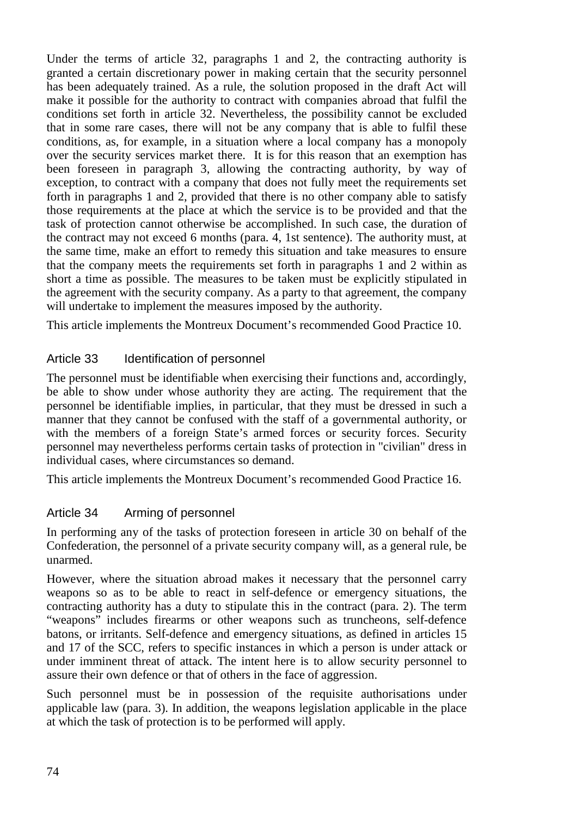Under the terms of article 32, paragraphs 1 and 2, the contracting authority is granted a certain discretionary power in making certain that the security personnel has been adequately trained. As a rule, the solution proposed in the draft Act will make it possible for the authority to contract with companies abroad that fulfil the conditions set forth in article 32. Nevertheless, the possibility cannot be excluded that in some rare cases, there will not be any company that is able to fulfil these conditions, as, for example, in a situation where a local company has a monopoly over the security services market there. It is for this reason that an exemption has been foreseen in paragraph 3, allowing the contracting authority, by way of exception, to contract with a company that does not fully meet the requirements set forth in paragraphs 1 and 2, provided that there is no other company able to satisfy those requirements at the place at which the service is to be provided and that the task of protection cannot otherwise be accomplished. In such case, the duration of the contract may not exceed 6 months (para. 4, 1st sentence). The authority must, at the same time, make an effort to remedy this situation and take measures to ensure that the company meets the requirements set forth in paragraphs 1 and 2 within as short a time as possible. The measures to be taken must be explicitly stipulated in the agreement with the security company. As a party to that agreement, the company will undertake to implement the measures imposed by the authority.

This article implements the Montreux Document's recommended Good Practice 10.

### Article 33 Identification of personnel

The personnel must be identifiable when exercising their functions and, accordingly, be able to show under whose authority they are acting. The requirement that the personnel be identifiable implies, in particular, that they must be dressed in such a manner that they cannot be confused with the staff of a governmental authority, or with the members of a foreign State's armed forces or security forces. Security personnel may nevertheless performs certain tasks of protection in "civilian" dress in individual cases, where circumstances so demand.

This article implements the Montreux Document's recommended Good Practice 16.

### Article 34 Arming of personnel

In performing any of the tasks of protection foreseen in article 30 on behalf of the Confederation, the personnel of a private security company will, as a general rule, be unarmed.

However, where the situation abroad makes it necessary that the personnel carry weapons so as to be able to react in self-defence or emergency situations, the contracting authority has a duty to stipulate this in the contract (para. 2). The term "weapons" includes firearms or other weapons such as truncheons, self-defence batons, or irritants. Self-defence and emergency situations, as defined in articles 15 and 17 of the SCC, refers to specific instances in which a person is under attack or under imminent threat of attack. The intent here is to allow security personnel to assure their own defence or that of others in the face of aggression.

Such personnel must be in possession of the requisite authorisations under applicable law (para. 3). In addition, the weapons legislation applicable in the place at which the task of protection is to be performed will apply.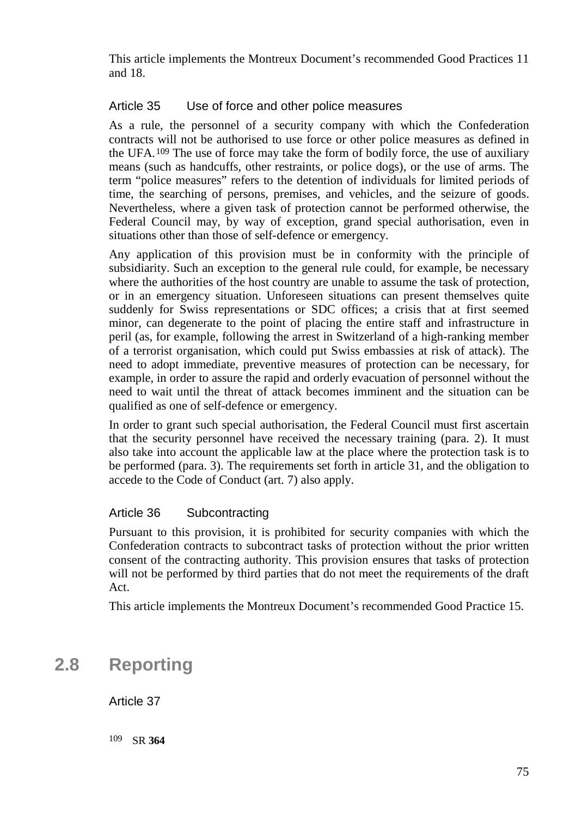This article implements the Montreux Document's recommended Good Practices 11 and 18.

### Article 35 Use of force and other police measures

As a rule, the personnel of a security company with which the Confederation contracts will not be authorised to use force or other police measures as defined in the UFA.[109](#page-74-0) The use of force may take the form of bodily force, the use of auxiliary means (such as handcuffs, other restraints, or police dogs), or the use of arms. The term "police measures" refers to the detention of individuals for limited periods of time, the searching of persons, premises, and vehicles, and the seizure of goods. Nevertheless, where a given task of protection cannot be performed otherwise, the Federal Council may, by way of exception, grand special authorisation, even in situations other than those of self-defence or emergency.

Any application of this provision must be in conformity with the principle of subsidiarity. Such an exception to the general rule could, for example, be necessary where the authorities of the host country are unable to assume the task of protection, or in an emergency situation. Unforeseen situations can present themselves quite suddenly for Swiss representations or SDC offices; a crisis that at first seemed minor, can degenerate to the point of placing the entire staff and infrastructure in peril (as, for example, following the arrest in Switzerland of a high-ranking member of a terrorist organisation, which could put Swiss embassies at risk of attack). The need to adopt immediate, preventive measures of protection can be necessary, for example, in order to assure the rapid and orderly evacuation of personnel without the need to wait until the threat of attack becomes imminent and the situation can be qualified as one of self-defence or emergency.

In order to grant such special authorisation, the Federal Council must first ascertain that the security personnel have received the necessary training (para. 2). It must also take into account the applicable law at the place where the protection task is to be performed (para. 3). The requirements set forth in article 31, and the obligation to accede to the Code of Conduct (art. 7) also apply.

### Article 36 Subcontracting

Pursuant to this provision, it is prohibited for security companies with which the Confederation contracts to subcontract tasks of protection without the prior written consent of the contracting authority. This provision ensures that tasks of protection will not be performed by third parties that do not meet the requirements of the draft Act.

This article implements the Montreux Document's recommended Good Practice 15.

## <span id="page-74-0"></span>**2.8 Reporting**

Article 37

109 SR **364**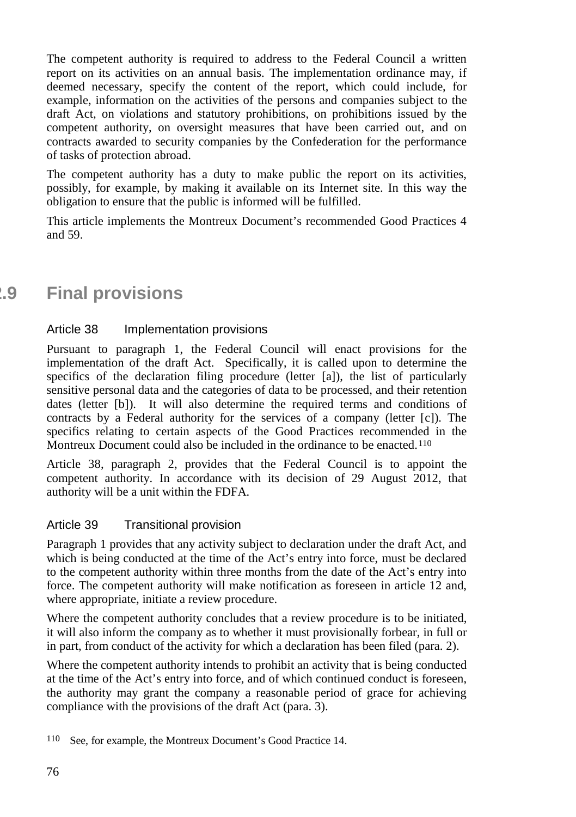The competent authority is required to address to the Federal Council a written report on its activities on an annual basis. The implementation ordinance may, if deemed necessary, specify the content of the report, which could include, for example, information on the activities of the persons and companies subject to the draft Act, on violations and statutory prohibitions, on prohibitions issued by the competent authority, on oversight measures that have been carried out, and on contracts awarded to security companies by the Confederation for the performance of tasks of protection abroad.

The competent authority has a duty to make public the report on its activities, possibly, for example, by making it available on its Internet site. In this way the obligation to ensure that the public is informed will be fulfilled.

This article implements the Montreux Document's recommended Good Practices 4 and 59.

# **2.9 Final provisions**

### Article 38 Implementation provisions

Pursuant to paragraph 1, the Federal Council will enact provisions for the implementation of the draft Act. Specifically, it is called upon to determine the specifics of the declaration filing procedure (letter [a]), the list of particularly sensitive personal data and the categories of data to be processed, and their retention dates (letter [b]). It will also determine the required terms and conditions of contracts by a Federal authority for the services of a company (letter [c]). The specifics relating to certain aspects of the Good Practices recommended in the Montreux Document could also be included in the ordinance to be enacted.<sup>[110](#page-75-0)</sup>

Article 38, paragraph 2, provides that the Federal Council is to appoint the competent authority. In accordance with its decision of 29 August 2012, that authority will be a unit within the FDFA.

### Article 39 Transitional provision

Paragraph 1 provides that any activity subject to declaration under the draft Act, and which is being conducted at the time of the Act's entry into force, must be declared to the competent authority within three months from the date of the Act's entry into force. The competent authority will make notification as foreseen in article 12 and, where appropriate, initiate a review procedure.

Where the competent authority concludes that a review procedure is to be initiated, it will also inform the company as to whether it must provisionally forbear, in full or in part, from conduct of the activity for which a declaration has been filed (para. 2).

Where the competent authority intends to prohibit an activity that is being conducted at the time of the Act's entry into force, and of which continued conduct is foreseen, the authority may grant the company a reasonable period of grace for achieving compliance with the provisions of the draft Act (para. 3).

<span id="page-75-0"></span><sup>110</sup> See, for example, the Montreux Document's Good Practice 14.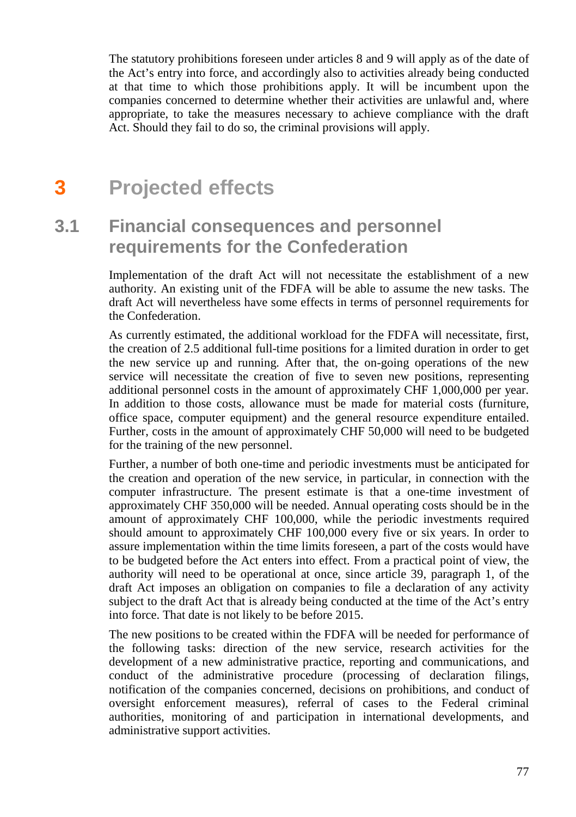The statutory prohibitions foreseen under articles 8 and 9 will apply as of the date of the Act's entry into force, and accordingly also to activities already being conducted at that time to which those prohibitions apply. It will be incumbent upon the companies concerned to determine whether their activities are unlawful and, where appropriate, to take the measures necessary to achieve compliance with the draft Act. Should they fail to do so, the criminal provisions will apply.

# **3 Projected effects**

# **3.1 Financial consequences and personnel requirements for the Confederation**

Implementation of the draft Act will not necessitate the establishment of a new authority. An existing unit of the FDFA will be able to assume the new tasks. The draft Act will nevertheless have some effects in terms of personnel requirements for the Confederation.

As currently estimated, the additional workload for the FDFA will necessitate, first, the creation of 2.5 additional full-time positions for a limited duration in order to get the new service up and running. After that, the on-going operations of the new service will necessitate the creation of five to seven new positions, representing additional personnel costs in the amount of approximately CHF 1,000,000 per year. In addition to those costs, allowance must be made for material costs (furniture, office space, computer equipment) and the general resource expenditure entailed. Further, costs in the amount of approximately CHF 50,000 will need to be budgeted for the training of the new personnel.

Further, a number of both one-time and periodic investments must be anticipated for the creation and operation of the new service, in particular, in connection with the computer infrastructure. The present estimate is that a one-time investment of approximately CHF 350,000 will be needed. Annual operating costs should be in the amount of approximately CHF 100,000, while the periodic investments required should amount to approximately CHF 100,000 every five or six years. In order to assure implementation within the time limits foreseen, a part of the costs would have to be budgeted before the Act enters into effect. From a practical point of view, the authority will need to be operational at once, since article 39, paragraph 1, of the draft Act imposes an obligation on companies to file a declaration of any activity subject to the draft Act that is already being conducted at the time of the Act's entry into force. That date is not likely to be before 2015.

The new positions to be created within the FDFA will be needed for performance of the following tasks: direction of the new service, research activities for the development of a new administrative practice, reporting and communications, and conduct of the administrative procedure (processing of declaration filings, notification of the companies concerned, decisions on prohibitions, and conduct of oversight enforcement measures), referral of cases to the Federal criminal authorities, monitoring of and participation in international developments, and administrative support activities.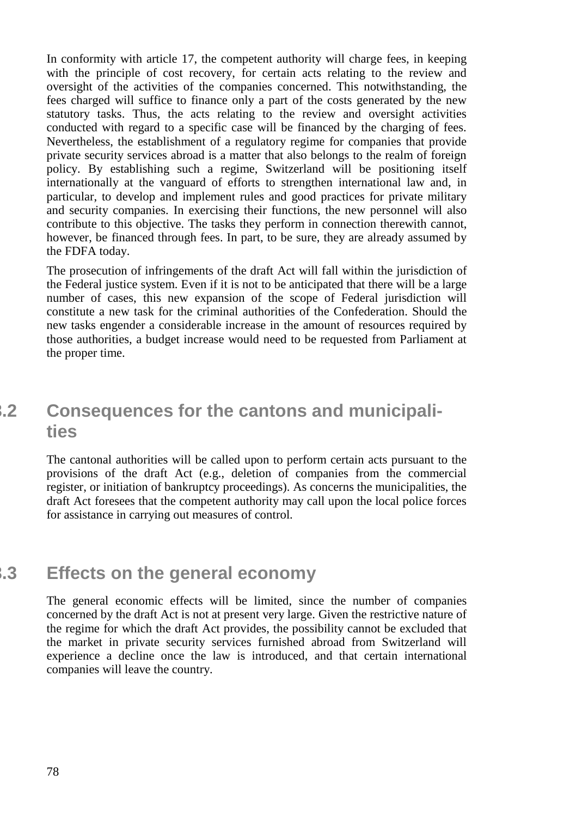In conformity with article 17, the competent authority will charge fees, in keeping with the principle of cost recovery, for certain acts relating to the review and oversight of the activities of the companies concerned. This notwithstanding, the fees charged will suffice to finance only a part of the costs generated by the new statutory tasks. Thus, the acts relating to the review and oversight activities conducted with regard to a specific case will be financed by the charging of fees. Nevertheless, the establishment of a regulatory regime for companies that provide private security services abroad is a matter that also belongs to the realm of foreign policy. By establishing such a regime, Switzerland will be positioning itself internationally at the vanguard of efforts to strengthen international law and, in particular, to develop and implement rules and good practices for private military and security companies. In exercising their functions, the new personnel will also contribute to this objective. The tasks they perform in connection therewith cannot, however, be financed through fees. In part, to be sure, they are already assumed by the FDFA today.

The prosecution of infringements of the draft Act will fall within the jurisdiction of the Federal justice system. Even if it is not to be anticipated that there will be a large number of cases, this new expansion of the scope of Federal jurisdiction will constitute a new task for the criminal authorities of the Confederation. Should the new tasks engender a considerable increase in the amount of resources required by those authorities, a budget increase would need to be requested from Parliament at the proper time.

# **3.2 Consequences for the cantons and municipalities**

The cantonal authorities will be called upon to perform certain acts pursuant to the provisions of the draft Act (e.g., deletion of companies from the commercial register, or initiation of bankruptcy proceedings). As concerns the municipalities, the draft Act foresees that the competent authority may call upon the local police forces for assistance in carrying out measures of control.

## **3.3 Effects on the general economy**

The general economic effects will be limited, since the number of companies concerned by the draft Act is not at present very large. Given the restrictive nature of the regime for which the draft Act provides, the possibility cannot be excluded that the market in private security services furnished abroad from Switzerland will experience a decline once the law is introduced, and that certain international companies will leave the country.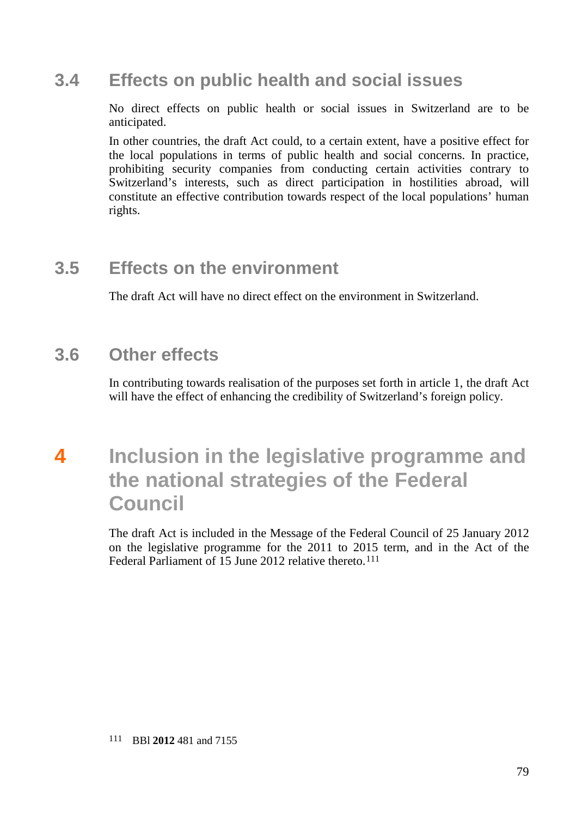## **3.4 Effects on public health and social issues**

No direct effects on public health or social issues in Switzerland are to be anticipated.

In other countries, the draft Act could, to a certain extent, have a positive effect for the local populations in terms of public health and social concerns. In practice, prohibiting security companies from conducting certain activities contrary to Switzerland's interests, such as direct participation in hostilities abroad, will constitute an effective contribution towards respect of the local populations' human rights.

# **3.5 Effects on the environment**

The draft Act will have no direct effect on the environment in Switzerland.

## **3.6 Other effects**

In contributing towards realisation of the purposes set forth in article 1, the draft Act will have the effect of enhancing the credibility of Switzerland's foreign policy.

# **4 Inclusion in the legislative programme and the national strategies of the Federal Council**

<span id="page-78-0"></span>The draft Act is included in the Message of the Federal Council of 25 January 2012 on the legislative programme for the 2011 to 2015 term, and in the Act of the Federal Parliament of 15 June 2012 relative thereto.<sup>[111](#page-78-0)</sup>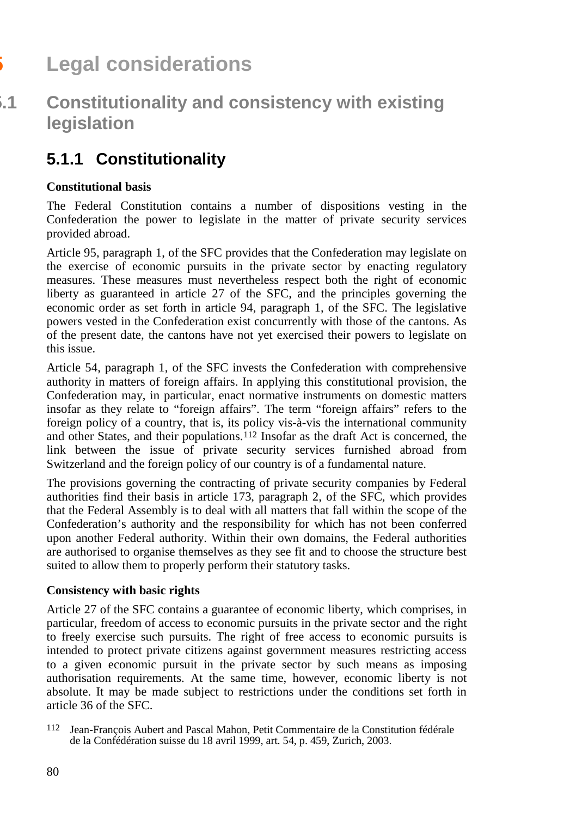# **5 Legal considerations**

# **5.1 Constitutionality and consistency with existing legislation**

# **5.1.1 Constitutionality**

### **Constitutional basis**

The Federal Constitution contains a number of dispositions vesting in the Confederation the power to legislate in the matter of private security services provided abroad.

Article 95, paragraph 1, of the SFC provides that the Confederation may legislate on the exercise of economic pursuits in the private sector by enacting regulatory measures. These measures must nevertheless respect both the right of economic liberty as guaranteed in article 27 of the SFC, and the principles governing the economic order as set forth in article 94, paragraph 1, of the SFC. The legislative powers vested in the Confederation exist concurrently with those of the cantons. As of the present date, the cantons have not yet exercised their powers to legislate on this issue.

Article 54, paragraph 1, of the SFC invests the Confederation with comprehensive authority in matters of foreign affairs. In applying this constitutional provision, the Confederation may, in particular, enact normative instruments on domestic matters insofar as they relate to "foreign affairs". The term "foreign affairs" refers to the foreign policy of a country, that is, its policy vis-à-vis the international community and other States, and their populations.[112](#page-79-0) Insofar as the draft Act is concerned, the link between the issue of private security services furnished abroad from Switzerland and the foreign policy of our country is of a fundamental nature.

The provisions governing the contracting of private security companies by Federal authorities find their basis in article 173, paragraph 2, of the SFC, which provides that the Federal Assembly is to deal with all matters that fall within the scope of the Confederation's authority and the responsibility for which has not been conferred upon another Federal authority. Within their own domains, the Federal authorities are authorised to organise themselves as they see fit and to choose the structure best suited to allow them to properly perform their statutory tasks.

### **Consistency with basic rights**

Article 27 of the SFC contains a guarantee of economic liberty, which comprises, in particular, freedom of access to economic pursuits in the private sector and the right to freely exercise such pursuits. The right of free access to economic pursuits is intended to protect private citizens against government measures restricting access to a given economic pursuit in the private sector by such means as imposing authorisation requirements. At the same time, however, economic liberty is not absolute. It may be made subject to restrictions under the conditions set forth in article 36 of the SFC.

<span id="page-79-0"></span><sup>112</sup> Jean-François Aubert and Pascal Mahon, Petit Commentaire de la Constitution fédérale de la Confédération suisse du 18 avril 1999, art. 54, p. 459, Zurich, 2003.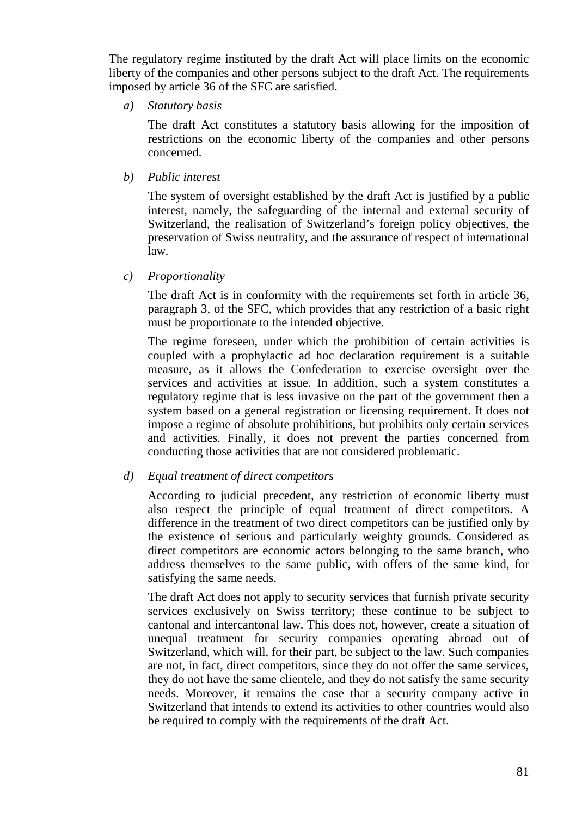The regulatory regime instituted by the draft Act will place limits on the economic liberty of the companies and other persons subject to the draft Act. The requirements imposed by article 36 of the SFC are satisfied.

*a) Statutory basis*

The draft Act constitutes a statutory basis allowing for the imposition of restrictions on the economic liberty of the companies and other persons concerned.

*b) Public interest*

The system of oversight established by the draft Act is justified by a public interest, namely, the safeguarding of the internal and external security of Switzerland, the realisation of Switzerland's foreign policy objectives, the preservation of Swiss neutrality, and the assurance of respect of international law.

*c) Proportionality* 

The draft Act is in conformity with the requirements set forth in article 36, paragraph 3, of the SFC, which provides that any restriction of a basic right must be proportionate to the intended objective.

The regime foreseen, under which the prohibition of certain activities is coupled with a prophylactic ad hoc declaration requirement is a suitable measure, as it allows the Confederation to exercise oversight over the services and activities at issue. In addition, such a system constitutes a regulatory regime that is less invasive on the part of the government then a system based on a general registration or licensing requirement. It does not impose a regime of absolute prohibitions, but prohibits only certain services and activities. Finally, it does not prevent the parties concerned from conducting those activities that are not considered problematic.

#### *d) Equal treatment of direct competitors*

According to judicial precedent, any restriction of economic liberty must also respect the principle of equal treatment of direct competitors. A difference in the treatment of two direct competitors can be justified only by the existence of serious and particularly weighty grounds. Considered as direct competitors are economic actors belonging to the same branch, who address themselves to the same public, with offers of the same kind, for satisfying the same needs.

The draft Act does not apply to security services that furnish private security services exclusively on Swiss territory; these continue to be subject to cantonal and intercantonal law. This does not, however, create a situation of unequal treatment for security companies operating abroad out of Switzerland, which will, for their part, be subject to the law. Such companies are not, in fact, direct competitors, since they do not offer the same services, they do not have the same clientele, and they do not satisfy the same security needs. Moreover, it remains the case that a security company active in Switzerland that intends to extend its activities to other countries would also be required to comply with the requirements of the draft Act.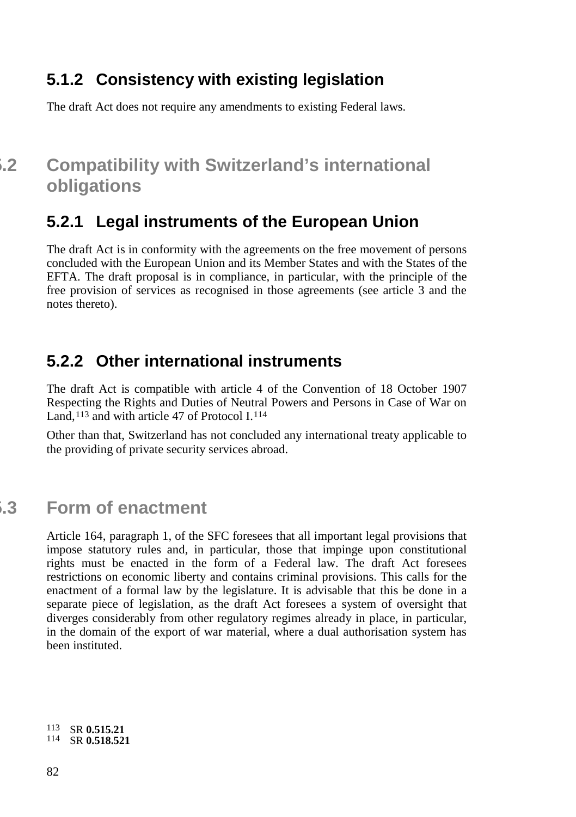## **5.1.2 Consistency with existing legislation**

The draft Act does not require any amendments to existing Federal laws.

# **5.2 Compatibility with Switzerland's international obligations**

## **5.2.1 Legal instruments of the European Union**

The draft Act is in conformity with the agreements on the free movement of persons concluded with the European Union and its Member States and with the States of the EFTA. The draft proposal is in compliance, in particular, with the principle of the free provision of services as recognised in those agreements (see article 3 and the notes thereto).

## **5.2.2 Other international instruments**

The draft Act is compatible with article 4 of the Convention of 18 October 1907 Respecting the Rights and Duties of Neutral Powers and Persons in Case of War on Land,[113](#page-81-0) and with article 47 of Protocol I.[114](#page-81-1)

Other than that, Switzerland has not concluded any international treaty applicable to the providing of private security services abroad.

# **5.3 Form of enactment**

Article 164, paragraph 1, of the SFC foresees that all important legal provisions that impose statutory rules and, in particular, those that impinge upon constitutional rights must be enacted in the form of a Federal law. The draft Act foresees restrictions on economic liberty and contains criminal provisions. This calls for the enactment of a formal law by the legislature. It is advisable that this be done in a separate piece of legislation, as the draft Act foresees a system of oversight that diverges considerably from other regulatory regimes already in place, in particular, in the domain of the export of war material, where a dual authorisation system has been instituted.

<span id="page-81-1"></span><span id="page-81-0"></span><sup>113</sup> SR **0.515.21** <sup>114</sup> SR **0.518.521**